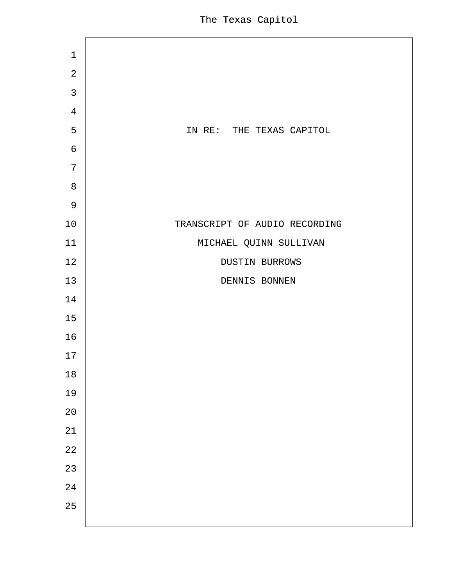| 1              |                               |
|----------------|-------------------------------|
| $\overline{2}$ |                               |
| $\mathfrak{S}$ |                               |
| $\overline{4}$ |                               |
| 5              | IN RE: THE TEXAS CAPITOL      |
| $6\phantom{1}$ |                               |
| $\overline{7}$ |                               |
| $\,8\,$        |                               |
| $9\,$          |                               |
| 10             | TRANSCRIPT OF AUDIO RECORDING |
| 11             | MICHAEL QUINN SULLIVAN        |
| 12             | <b>DUSTIN BURROWS</b>         |
| 13             | <b>DENNIS BONNEN</b>          |
| 14             |                               |
| 15             |                               |
| 16             |                               |
| 17             |                               |
| 18             |                               |
| 19             |                               |
| 20             |                               |
| 21             |                               |
| 22             |                               |
| 23             |                               |
| 24             |                               |
| 25             |                               |
|                |                               |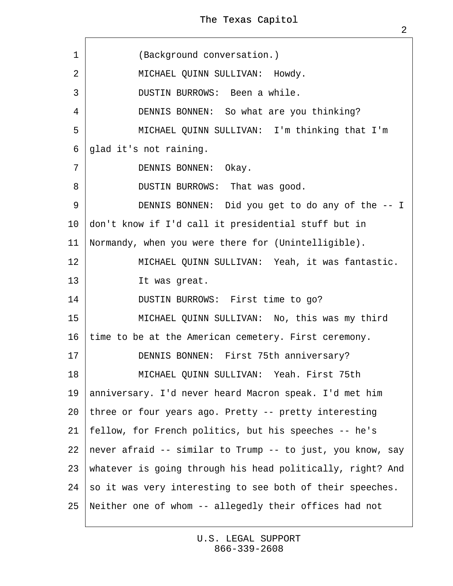| 1              | (Background conversation.)                                    |  |  |
|----------------|---------------------------------------------------------------|--|--|
| $\overline{2}$ | MICHAEL QUINN SULLIVAN: Howdy.                                |  |  |
| 3              | <b>DUSTIN BURROWS: Been a while.</b>                          |  |  |
| 4              | DENNIS BONNEN: So what are you thinking?                      |  |  |
| 5              | MICHAEL QUINN SULLIVAN: I'm thinking that I'm                 |  |  |
| 6              | glad it's not raining.                                        |  |  |
| $\overline{7}$ | DENNIS BONNEN: Okay.                                          |  |  |
| 8              | DUSTIN BURROWS: That was good.                                |  |  |
| 9              | DENNIS BONNEN: Did you get to do any of the -- I              |  |  |
|                | 10 don't know if I'd call it presidential stuff but in        |  |  |
| 11             | Normandy, when you were there for (Unintelligible).           |  |  |
| 12             | MICHAEL QUINN SULLIVAN: Yeah, it was fantastic.               |  |  |
| 13             | It was great.                                                 |  |  |
| 14             | DUSTIN BURROWS: First time to go?                             |  |  |
| 15             | MICHAEL QUINN SULLIVAN: No, this was my third                 |  |  |
| 16             | time to be at the American cemetery. First ceremony.          |  |  |
| 17             | DENNIS BONNEN: First 75th anniversary?                        |  |  |
| 18             | MICHAEL QUINN SULLIVAN: Yeah. First 75th                      |  |  |
| 19             | anniversary. I'd never heard Macron speak. I'd met him        |  |  |
| 20             | three or four years ago. Pretty -- pretty interesting         |  |  |
| 21             | fellow, for French politics, but his speeches -- he's         |  |  |
|                | 22 never afraid -- similar to Trump -- to just, you know, say |  |  |
|                | 23 whatever is going through his head politically, right? And |  |  |
| 24             | \$0 it was very interesting to see both of their speeches.    |  |  |
| 25             | Neither one of whom -- allegedly their offices had not        |  |  |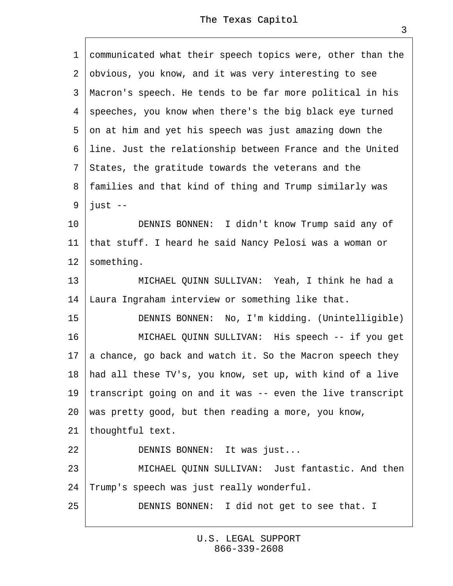1 communicated what their speech topics were, other than the ·2· obvious, you know, and it was very interesting to see 3 Macron's speech. He tends to be far more political in his 4 speeches, you know when there's the big black eye turned 5 on at him and yet his speech was just amazing down the ·6· line. Just the relationship between France and the United ·7· States, the gratitude towards the veterans and the ·8· families and that kind of thing and Trump similarly was ·9· just -- 10 **DENNIS BONNEN:** I didn't know Trump said any of 11 that stuff. I heard he said Nancy Pelosi was a woman or 12 something. 13 | MICHAEL QUINN SULLIVAN: Yeah, I think he had a 14 Laura Ingraham interview or something like that. 15 | DENNIS BONNEN: No, I'm kidding. (Unintelligible) 16 | MICHAEL QUINN SULLIVAN: His speech -- if you get 17 a chance, go back and watch it. So the Macron speech they 18 had all these TV's, you know, set up, with kind of a live 19 transcript going on and it was -- even the live transcript 20· was pretty good, but then reading a more, you know, 21 thoughtful text. 22 | DENNIS BONNEN: It was just... 23 **MICHAEL QUINN SULLIVAN: Just fantastic. And then** 24· Trump's speech was just really wonderful. 25 **DENNIS BONNEN:** I did not get to see that. I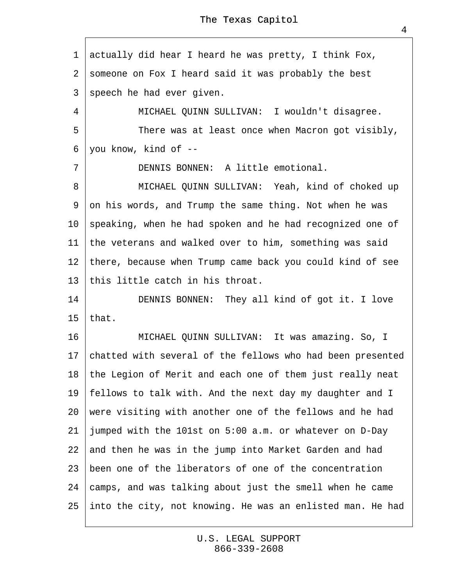·1· actually did hear I heard he was pretty, I think Fox,

2 someone on Fox I heard said it was probably the best

3 speech he had ever given.

4 | MICHAEL QUINN SULLIVAN: I wouldn't disagree.

 $\overline{5}$  | There was at least once when Macron got visibly,

·6· you know, kind of --

7 | DENNIS BONNEN: A little emotional.

8 | MICHAEL QUINN SULLIVAN: Yeah, kind of choked up 9 on his words, and Trump the same thing. Not when he was 10· speaking, when he had spoken and he had recognized one of 11 the veterans and walked over to him, something was said 12 there, because when Trump came back you could kind of see 13 this little catch in his throat.

14 | DENNIS BONNEN: They all kind of got it. I love 15 that.

16 | MICHAEL QUINN SULLIVAN: It was amazing. So, I 17· chatted with several of the fellows who had been presented 18· the Legion of Merit and each one of them just really neat 19· fellows to talk with. And the next day my daughter and I 20· were visiting with another one of the fellows and he had 21 jumped with the 101st on 5:00 a.m. or whatever on D-Day 22 and then he was in the jump into Market Garden and had 23 been one of the liberators of one of the concentration 24 ¢amps, and was talking about just the smell when he came 25· into the city, not knowing. He was an enlisted man. He had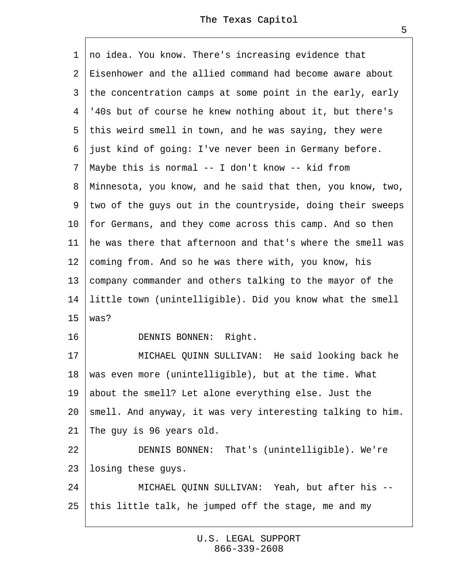1 no idea. You know. There's increasing evidence that 2 Eisenhower and the allied command had become aware about 3 the concentration camps at some point in the early, early ·4· '40s but of course he knew nothing about it, but there's 5 this weird smell in town, and he was saying, they were 6 just kind of going: I've never been in Germany before. ·7· Maybe this is normal -- I don't know -- kid from ·8· Minnesota, you know, and he said that then, you know, two, 9 two of the guys out in the countryside, doing their sweeps 10 for Germans, and they come across this camp. And so then 11 he was there that afternoon and that's where the smell was 12 coming from. And so he was there with, you know, his 13 company commander and others talking to the mayor of the 14 little town (unintelligible). Did you know what the smell 15 $\forall$  was? 16 | DENNIS BONNEN: Right. 17 | MICHAEL QUINN SULLIVAN: He said looking back he 18· was even more (unintelligible), but at the time. What 19· about the smell? Let alone everything else. Just the 20 smell. And anyway, it was very interesting talking to him. 21· The guy is 96 years old. 22 | DENNIS BONNEN: That's (unintelligible). We're 23 losing these guys. 24 | MICHAEL QUINN SULLIVAN: Yeah, but after his --25· this little talk, he jumped off the stage, me and my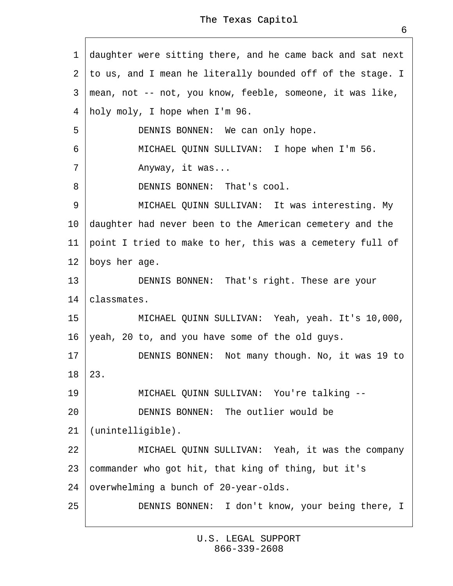1 daughter were sitting there, and he came back and sat next 2 to us, and I mean he literally bounded off of the stage. I ·3· mean, not -- not, you know, feeble, someone, it was like, 4 holy moly, I hope when I'm 96. 5 | DENNIS BONNEN: We can only hope. 6 | MICHAEL QUINN SULLIVAN: I hope when I'm 56.  $7 \mid$  Anyway, it was... 8 **DENNIS BONNEN:** That's cool. 9 | MICHAEL QUINN SULLIVAN: It was interesting. My 10· daughter had never been to the American cemetery and the 11 point I tried to make to her, this was a cemetery full of 12 boys her age. 13 | DENNIS BONNEN: That's right. These are your 14· classmates. 15 | MICHAEL QUINN SULLIVAN: Yeah, yeah. It's 10,000, 16 yeah, 20 to, and you have some of the old guys. 17 | DENNIS BONNEN: Not many though. No, it was 19 to  $18 \; 23.$ 19 | MICHAEL QUINN SULLIVAN: You're talking --20 **DENNIS BONNEN:** The outlier would be 21 (unintelligible).  $22$  | MICHAEL QUINN SULLIVAN: Yeah, it was the company 23 commander who got hit, that king of thing, but it's 24 byerwhelming a bunch of 20-year-olds. 25 **DENNIS BONNEN:** I don't know, your being there, I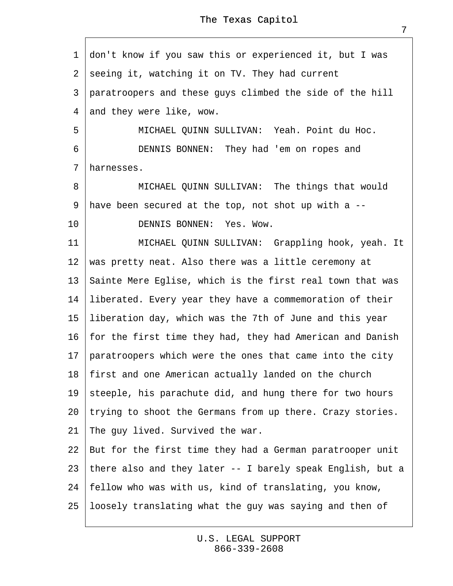·1· don't know if you saw this or experienced it, but I was 2 seeing it, watching it on TV. They had current 3 paratroopers and these guys climbed the side of the hill 4 and they were like, wow. 5 | MICHAEL QUINN SULLIVAN: Yeah. Point du Hoc. 6 | DENNIS BONNEN: They had 'em on ropes and 7 harnesses. 8 | MICHAEL QUINN SULLIVAN: The things that would ·9· have been secured at the top, not shot up with a -- 10 **DENNIS BONNEN: Yes. Wow.** 11 | MICHAEL QUINN SULLIVAN: Grappling hook, yeah. It 12 was pretty neat. Also there was a little ceremony at 13 Sainte Mere Eglise, which is the first real town that was 14 liberated. Every year they have a commemoration of their 15 liberation day, which was the 7th of June and this year 16· for the first time they had, they had American and Danish 17· paratroopers which were the ones that came into the city 18· first and one American actually landed on the church 19 steeple, his parachute did, and hung there for two hours 20 trying to shoot the Germans from up there. Crazy stories. 21 The guy lived. Survived the war. 22 But for the first time they had a German paratrooper unit 23· there also and they later -- I barely speak English, but a 24· fellow who was with us, kind of translating, you know, 25 loosely translating what the guy was saying and then of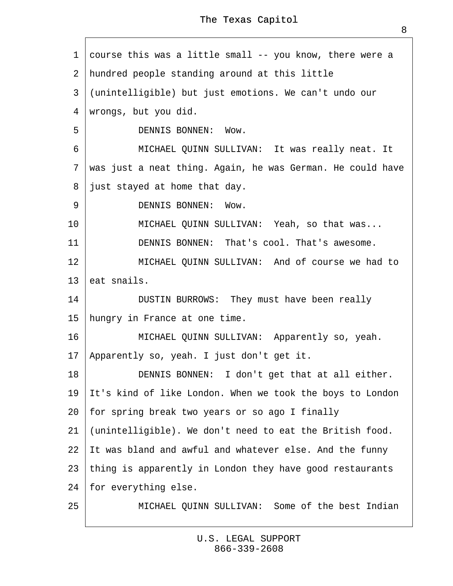1 course this was a little small -- you know, there were a 2 hundred people standing around at this little ·3· (unintelligible) but just emotions. We can't undo our 4 wrongs, but you did. 5 **DENNIS BONNEN: Wow.** 6 | MICHAEL QUINN SULLIVAN: It was really neat. It

7 was just a neat thing. Again, he was German. He could have

 $8$  just stayed at home that day.

9 | DENNIS BONNEN: Wow.

10 | MICHAEL QUINN SULLIVAN: Yeah, so that was...

11 DENNIS BONNEN: That's cool. That's awesome.

 $12$  MICHAEL QUINN SULLIVAN: And of course we had to

13 eat snails.

14 | DUSTIN BURROWS: They must have been really

15 hungry in France at one time.

16 | MICHAEL QUINN SULLIVAN: Apparently so, yeah.

17· Apparently so, yeah. I just don't get it.

18 **DENNIS BONNEN:** I don't get that at all either.

19 It's kind of like London. When we took the boys to London

20· for spring break two years or so ago I finally

21 (unintelligible). We don't need to eat the British food.

22  $\,$  It was bland and awful and whatever else. And the funny

23 thing is apparently in London they have good restaurants

24 for everything else.

25 **MICHAEL QUINN SULLIVAN: Some of the best Indian**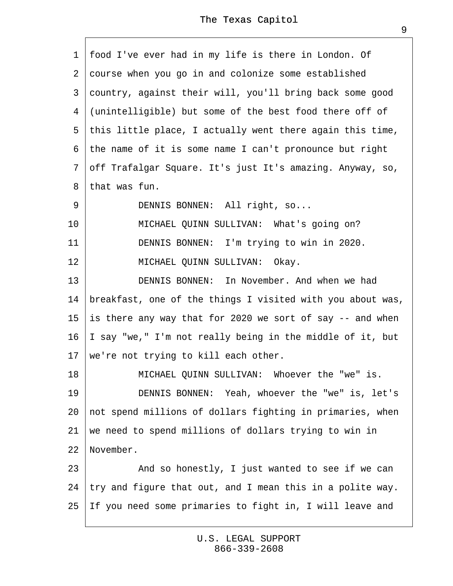1 food I've ever had in my life is there in London. Of 2 course when you go in and colonize some established 3 country, against their will, you'll bring back some good 4 (unintelligible) but some of the best food there off of 5 this little place, I actually went there again this time, ·6· the name of it is some name I can't pronounce but right ·7· off Trafalgar Square. It's just It's amazing. Anyway, so, 8 that was fun. 9 | DENNIS BONNEN: All right, so... 10 | MICHAEL QUINN SULLIVAN: What's going on? 11 **DENNIS BONNEN:** I'm trying to win in 2020. 12 | MICHAEL QUINN SULLIVAN: Okay. 13 **DENNIS BONNEN:** In November. And when we had 14 breakfast, one of the things I visited with you about was, 15 is there any way that for 2020 we sort of say -- and when 16  $\parallel$  say "we," I'm not really being in the middle of it, but 17 we're not trying to kill each other. 18 | MICHAEL QUINN SULLIVAN: Whoever the "we" is. 19 | DENNIS BONNEN: Yeah, whoever the "we" is, let's 20· not spend millions of dollars fighting in primaries, when 21 we need to spend millions of dollars trying to win in 22 November.  $23$  | And so honestly, I just wanted to see if we can 24 try and figure that out, and I mean this in a polite way. 25· If you need some primaries to fight in, I will leave and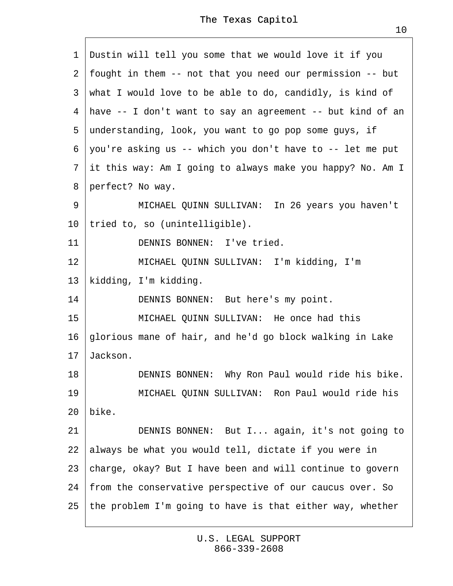| 1               |                                                             | Dustin will tell you some that we would love it if you       |  |
|-----------------|-------------------------------------------------------------|--------------------------------------------------------------|--|
|                 | 2 fought in them -- not that you need our permission -- but |                                                              |  |
|                 | 3 what I would love to be able to do, candidly, is kind of  |                                                              |  |
|                 |                                                             | 4 have -- I don't want to say an agreement -- but kind of an |  |
|                 |                                                             | 5 understanding, look, you want to go pop some guys, if      |  |
|                 |                                                             | 6 you're asking us -- which you don't have to -- let me put  |  |
|                 |                                                             | 7 it this way: Am I going to always make you happy? No. Am I |  |
|                 |                                                             | 8 perfect? No way.                                           |  |
| 9               |                                                             | MICHAEL QUINN SULLIVAN: In 26 years you haven't              |  |
| 10              |                                                             | tried to, so (unintelligible).                               |  |
| 11              |                                                             | <b>DENNIS BONNEN: I've tried.</b>                            |  |
| 12              |                                                             | MICHAEL QUINN SULLIVAN: I'm kidding, I'm                     |  |
| 13              |                                                             | kidding, I'm kidding.                                        |  |
| 14              |                                                             | DENNIS BONNEN: But here's my point.                          |  |
| 15              |                                                             | MICHAEL QUINN SULLIVAN: He once had this                     |  |
| 16              |                                                             | glorious mane of hair, and he'd go block walking in Lake     |  |
| 17 <sup>2</sup> | Jackson.                                                    |                                                              |  |
| 18              |                                                             | DENNIS BONNEN: Why Ron Paul would ride his bike.             |  |
| 19              |                                                             | MICHAEL QUINN SULLIVAN: Ron Paul would ride his              |  |
| 20              | bike.                                                       |                                                              |  |
| 21              |                                                             | DENNIS BONNEN: But I again, it's not going to                |  |
| 22              |                                                             | always be what you would tell, dictate if you were in        |  |
| 23              | charge, okay? But I have been and will continue to govern   |                                                              |  |
| 24              | from the conservative perspective of our caucus over. So    |                                                              |  |
| 25              |                                                             | the problem I'm going to have is that either way, whether    |  |
|                 |                                                             |                                                              |  |

 $\Gamma$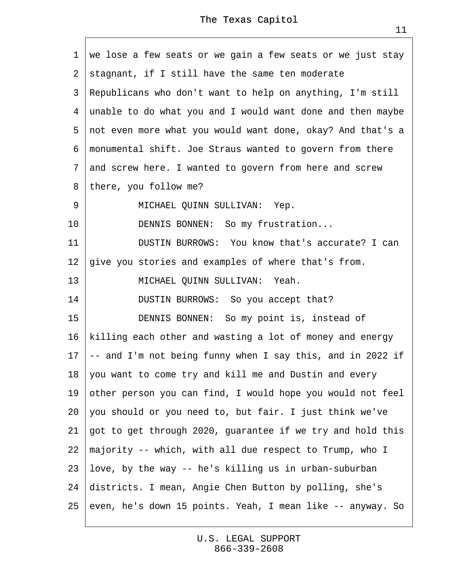|                 | 1 we lose a few seats or we gain a few seats or we just stay  |  |  |
|-----------------|---------------------------------------------------------------|--|--|
|                 | 2 stagnant, if I still have the same ten moderate             |  |  |
|                 | 3 Republicans who don't want to help on anything, I'm still   |  |  |
|                 | 4 unable to do what you and I would want done and then maybe  |  |  |
|                 | 5 not even more what you would want done, okay? And that's a  |  |  |
|                 | 6 monumental shift. Joe Straus wanted to govern from there    |  |  |
|                 | 7 and screw here. I wanted to govern from here and screw      |  |  |
| 8               | there, you follow me?                                         |  |  |
| 9               | MICHAEL QUINN SULLIVAN: Yep.                                  |  |  |
| 10              | DENNIS BONNEN: So my frustration                              |  |  |
| 11              | DUSTIN BURROWS: You know that's accurate? I can               |  |  |
| 12 <sub>2</sub> | give you stories and examples of where that's from.           |  |  |
| 13              | MICHAEL QUINN SULLIVAN: Yeah.                                 |  |  |
| 14              | DUSTIN BURROWS: So you accept that?                           |  |  |
| 15              | DENNIS BONNEN: So my point is, instead of                     |  |  |
| 16              | killing each other and wasting a lot of money and energy      |  |  |
| 17              | + and I'm not being funny when I say this, and in 2022 if     |  |  |
|                 | 18 you want to come try and kill me and Dustin and every      |  |  |
| 19              | other person you can find, I would hope you would not feel    |  |  |
| 20              | you should or you need to, but fair. I just think we've       |  |  |
| 21              | got to get through 2020, guarantee if we try and hold this    |  |  |
|                 | 22 majority -- which, with all due respect to Trump, who I    |  |  |
|                 | 23 love, by the way -- he's killing us in urban-suburban      |  |  |
|                 | 24 districts. I mean, Angie Chen Button by polling, she's     |  |  |
|                 | 25 even, he's down 15 points. Yeah, I mean like -- anyway. So |  |  |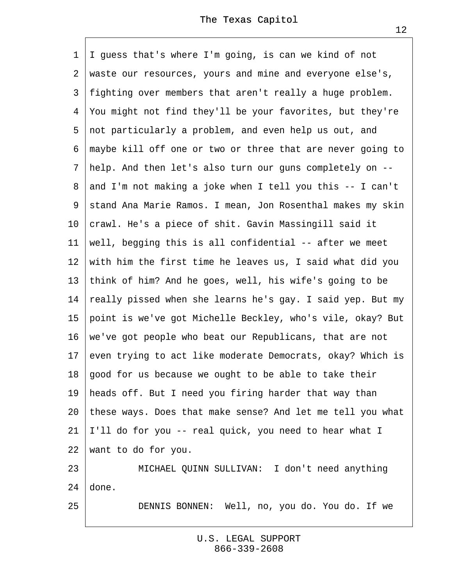1 I guess that's where I'm going, is can we kind of not ·2· waste our resources, yours and mine and everyone else's, 3 fighting over members that aren't really a huge problem. ·4· You might not find they'll be your favorites, but they're ·5· not particularly a problem, and even help us out, and ·6· maybe kill off one or two or three that are never going to ·7· help. And then let's also turn our guns completely on -- ·8· and I'm not making a joke when I tell you this -- I can't 9 stand Ana Marie Ramos. I mean, Jon Rosenthal makes my skin 10 crawl. He's a piece of shit. Gavin Massingill said it 11 well, begging this is all confidential -- after we meet 12 with him the first time he leaves us, I said what did you 13 think of him? And he goes, well, his wife's going to be 14· really pissed when she learns he's gay. I said yep. But my 15 point is we've got Michelle Beckley, who's vile, okay? But 16· we've got people who beat our Republicans, that are not 17 (even trying to act like moderate Democrats, okay? Which is 18· good for us because we ought to be able to take their 19 heads off. But I need you firing harder that way than 20· these ways. Does that make sense? And let me tell you what 21 I'll do for you -- real quick, you need to hear what I 22· want to do for you.

23 | MICHAEL QUINN SULLIVAN: I don't need anything 24 done.

25 | DENNIS BONNEN: Well, no, you do. You do. If we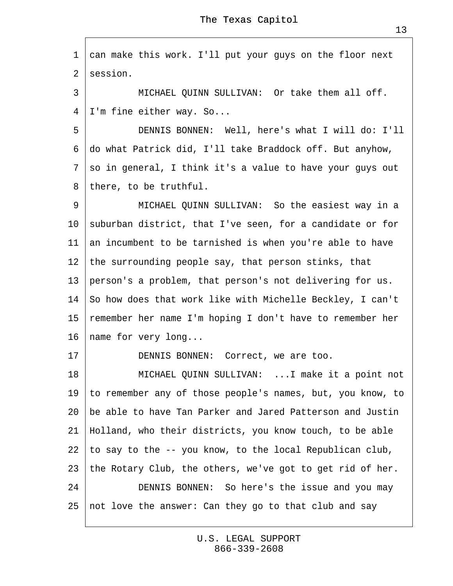1 can make this work. I'll put your guys on the floor next 2 session.

3 | MICHAEL QUINN SULLIVAN: Or take them all off. 4 I'm fine either way. So...

5 | DENNIS BONNEN: Well, here's what I will do: I'll ·6· do what Patrick did, I'll take Braddock off. But anyhow, 7 so in general, I think it's a value to have your guys out 8 there, to be truthful.

9 | MICHAEL QUINN SULLIVAN: So the easiest way in a 10· suburban district, that I've seen, for a candidate or for 11 an incumbent to be tarnished is when you're able to have 12 the surrounding people say, that person stinks, that 13 person's a problem, that person's not delivering for us. 14· So how does that work like with Michelle Beckley, I can't 15 remember her name I'm hoping I don't have to remember her 16 hame for very long...

17 | DENNIS BONNEN: Correct, we are too.

18 | MICHAEL QUINN SULLIVAN: ...I make it a point not 19· to remember any of those people's names, but, you know, to 20· be able to have Tan Parker and Jared Patterson and Justin 21· Holland, who their districts, you know touch, to be able 22 to say to the -- you know, to the local Republican club, 23· the Rotary Club, the others, we've got to get rid of her. 24 **DENNIS BONNEN:** So here's the issue and you may 25 not love the answer: Can they go to that club and say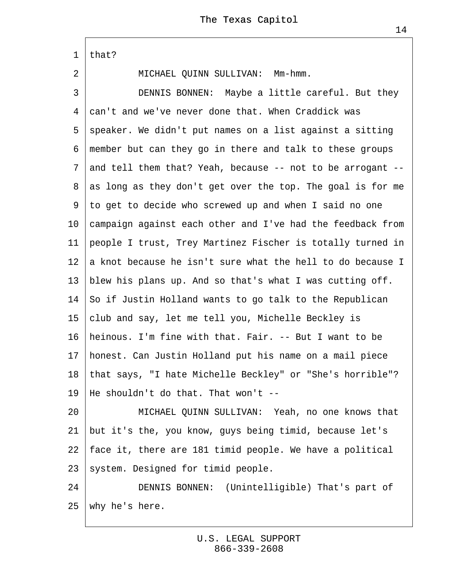·1· that? 2 | MICHAEL QUINN SULLIVAN: Mm-hmm. 3 | DENNIS BONNEN: Maybe a little careful. But they 4 can't and we've never done that. When Craddick was ·5· speaker. We didn't put names on a list against a sitting ·6· member but can they go in there and talk to these groups ·7· and tell them that? Yeah, because -- not to be arrogant -- 8 as long as they don't get over the top. The goal is for me ·9· to get to decide who screwed up and when I said no one 10 tampaign against each other and I've had the feedback from 11· people I trust, Trey Martinez Fischer is totally turned in 12 a knot because he isn't sure what the hell to do because I 13 blew his plans up. And so that's what I was cutting off. 14· So if Justin Holland wants to go talk to the Republican 15 club and say, let me tell you, Michelle Beckley is 16· heinous. I'm fine with that. Fair. -- But I want to be 17· honest. Can Justin Holland put his name on a mail piece 18 that says, "I hate Michelle Beckley" or "She's horrible"? 19· He shouldn't do that. That won't -- 20 | MICHAEL QUINN SULLIVAN: Yeah, no one knows that 21 but it's the, you know, guys being timid, because let's 22· face it, there are 181 timid people. We have a political 23 system. Designed for timid people. 24 | DENNIS BONNEN: (Unintelligible) That's part of

25· why he's here.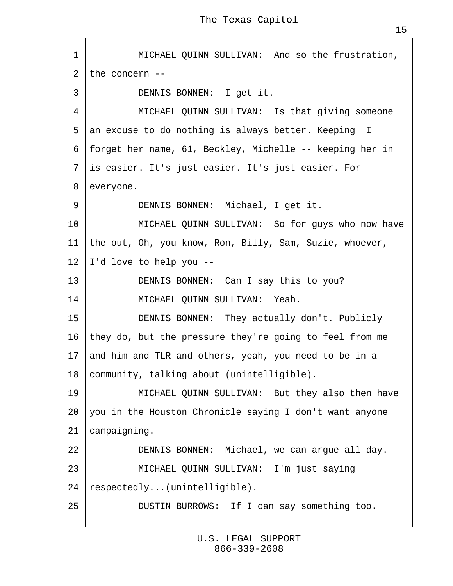1 | MICHAEL QUINN SULLIVAN: And so the frustration, 2 the concern --3 | DENNIS BONNEN: I get it. 4 | MICHAEL QUINN SULLIVAN: Is that giving someone 5 an excuse to do nothing is always better. Keeping I ·6· forget her name, 61, Beckley, Michelle -- keeping her in ·7· is easier. It's just easier. It's just easier. For 8 everyone. 9 | DENNIS BONNEN: Michael, I get it. 10 | MICHAEL QUINN SULLIVAN: So for guys who now have 11 the out, Oh, you know, Ron, Billy, Sam, Suzie, whoever, 12 **I'd love to help you --**13 **DENNIS BONNEN:** Can I say this to you? 14 | MICHAEL QUINN SULLIVAN: Yeah. 15 | DENNIS BONNEN: They actually don't. Publicly 16· they do, but the pressure they're going to feel from me 17 and him and TLR and others, yeah, you need to be in a 18 community, talking about (unintelligible). 19 | MICHAEL QUINN SULLIVAN: But they also then have 20 you in the Houston Chronicle saying I don't want anyone 21 *campaigning.* 22 **DENNIS BONNEN:** Michael, we can argue all day. 23 | MICHAEL QUINN SULLIVAN: I'm just saying 24 respectedly...(unintelligible). 25 | DUSTIN BURROWS: If I can say something too.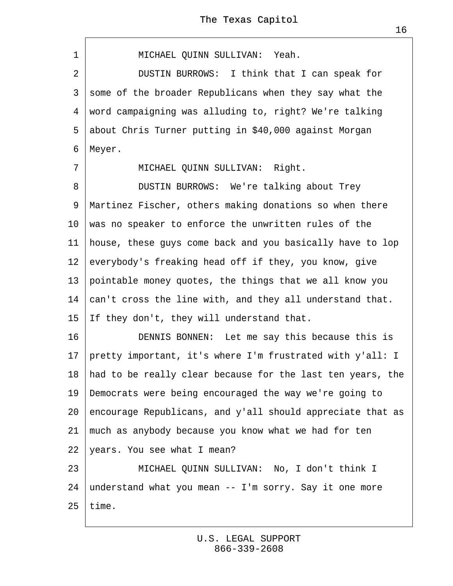1 | MICHAEL QUINN SULLIVAN: Yeah. 2 | DUSTIN BURROWS: I think that I can speak for 3 some of the broader Republicans when they say what the 4 word campaigning was alluding to, right? We're talking 5 about Chris Turner putting in \$40,000 against Morgan 6 Meyer. 7 | MICHAEL QUINN SULLIVAN: Right. 8 | DUSTIN BURROWS: We're talking about Trey 9 Martinez Fischer, others making donations so when there 10 was no speaker to enforce the unwritten rules of the 11 house, these guys come back and you basically have to lop 12 everybody's freaking head off if they, you know, give 13· pointable money quotes, the things that we all know you 14 ¢an't cross the line with, and they all understand that. 15 If they don't, they will understand that. 16 **DENNIS BONNEN:** Let me say this because this is 17· pretty important, it's where I'm frustrated with y'all: I 18 had to be really clear because for the last ten years, the 19· Democrats were being encouraged the way we're going to 20· encourage Republicans, and y'all should appreciate that as 21 much as anybody because you know what we had for ten 22 vears. You see what I mean? 23 | MICHAEL QUINN SULLIVAN: No, I don't think I 24 understand what you mean -- I'm sorry. Say it one more

 $25$  time.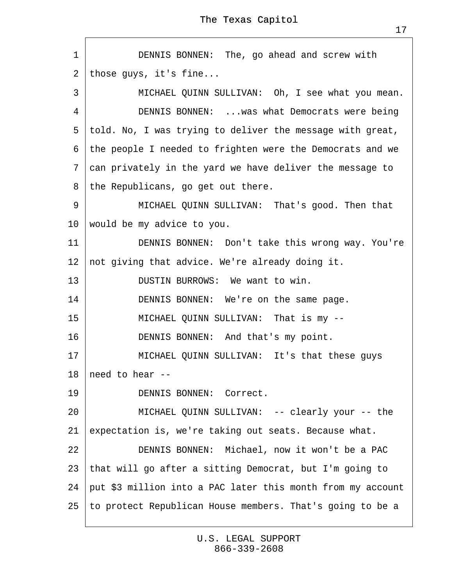| 1               | DENNIS BONNEN: The, go ahead and screw with                 |  |  |
|-----------------|-------------------------------------------------------------|--|--|
| 2               | those guys, it's fine                                       |  |  |
| 3               | MICHAEL QUINN SULLIVAN: Oh, I see what you mean.            |  |  |
| 4               | DENNIS BONNEN:  was what Democrats were being               |  |  |
| 5               | told. No, I was trying to deliver the message with great,   |  |  |
|                 | 6 the people I needed to frighten were the Democrats and we |  |  |
|                 | 7 can privately in the yard we have deliver the message to  |  |  |
| 8               | the Republicans, go get out there.                          |  |  |
| 9               | MICHAEL QUINN SULLIVAN: That's good. Then that              |  |  |
| 10              | would be my advice to you.                                  |  |  |
| 11              | DENNIS BONNEN: Don't take this wrong way. You're            |  |  |
| 12 <sub>2</sub> | not giving that advice. We're already doing it.             |  |  |
| 13              | DUSTIN BURROWS: We want to win.                             |  |  |
| 14              | DENNIS BONNEN: We're on the same page.                      |  |  |
| 15              | MICHAEL QUINN SULLIVAN: That is my --                       |  |  |
| 16              | DENNIS BONNEN: And that's my point.                         |  |  |
| 17              | MICHAEL QUINN SULLIVAN: It's that these guys                |  |  |
|                 | 18 heed to hear --                                          |  |  |
| 19              | <b>DENNIS BONNEN: Correct.</b>                              |  |  |
| 20              | MICHAEL QUINN SULLIVAN: -- clearly your -- the              |  |  |
| 21              | expectation is, we're taking out seats. Because what.       |  |  |
| 22              | DENNIS BONNEN: Michael, now it won't be a PAC               |  |  |
| 23              | that will go after a sitting Democrat, but I'm going to     |  |  |
| 24              | put \$3 million into a PAC later this month from my account |  |  |
| 25              | to protect Republican House members. That's going to be a   |  |  |

 $\sqrt{ }$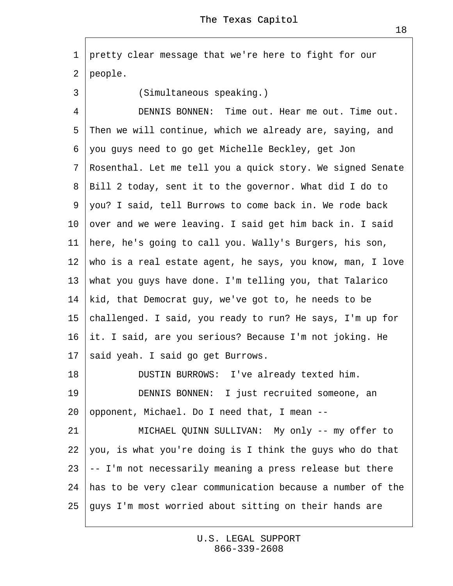·1· pretty clear message that we're here to fight for our 2 people.

3 | (Simultaneous speaking.)

4 **DENNIS BONNEN:** Time out. Hear me out. Time out. 5 Then we will continue, which we already are, saying, and ·6· you guys need to go get Michelle Beckley, get Jon ·7· Rosenthal. Let me tell you a quick story. We signed Senate ·8· Bill 2 today, sent it to the governor. What did I do to ·9· you? I said, tell Burrows to come back in. We rode back 10 over and we were leaving. I said get him back in. I said 11 here, he's going to call you. Wally's Burgers, his son, 12 who is a real estate agent, he says, you know, man, I love 13· what you guys have done. I'm telling you, that Talarico 14 kid, that Democrat guy, we've got to, he needs to be 15 challenged. I said, you ready to run? He says, I'm up for 16· it. I said, are you serious? Because I'm not joking. He 17 said yeah. I said go get Burrows. 18 **DUSTIN BURROWS:** I've already texted him. 19 | DENNIS BONNEN: I just recruited someone, an 20 opponent, Michael. Do I need that, I mean --21 | MICHAEL QUINN SULLIVAN: My only -- my offer to 22 you, is what you're doing is I think the guys who do that  $23 +$  I'm not necessarily meaning a press release but there 24· has to be very clear communication because a number of the 25· guys I'm most worried about sitting on their hands are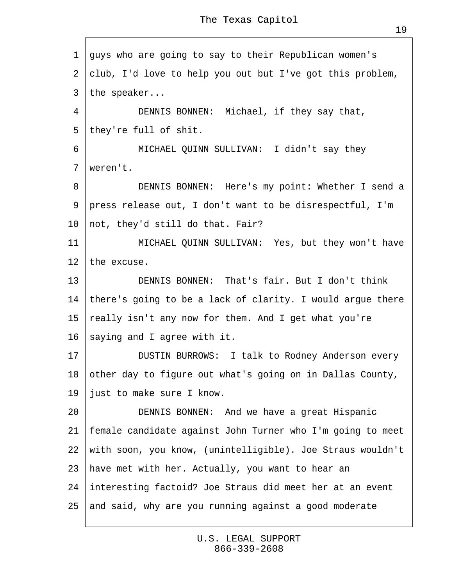·1· guys who are going to say to their Republican women's 2 club, I'd love to help you out but I've got this problem, 3 the speaker... 4 | DENNIS BONNEN: Michael, if they say that, 5 they're full of shit. 6 | MICHAEL QUINN SULLIVAN: I didn't say they 7 weren't. 8 | DENNIS BONNEN: Here's my point: Whether I send a ·9· press release out, I don't want to be disrespectful, I'm 10 not, they'd still do that. Fair? 11 | MICHAEL QUINN SULLIVAN: Yes, but they won't have 12 the excuse. 13 **DENNIS BONNEN: That's fair. But I don't think** 14 there's going to be a lack of clarity. I would argue there 15 really isn't any now for them. And I get what you're 16 saying and I agree with it. 17 | DUSTIN BURROWS: I talk to Rodney Anderson every 18 other day to figure out what's going on in Dallas County, 19 *just to make sure I know.* 20 **DENNIS BONNEN:** And we have a great Hispanic 21· female candidate against John Turner who I'm going to meet 22· with soon, you know, (unintelligible). Joe Straus wouldn't 23 have met with her. Actually, you want to hear an 24· interesting factoid? Joe Straus did meet her at an event 25· and said, why are you running against a good moderate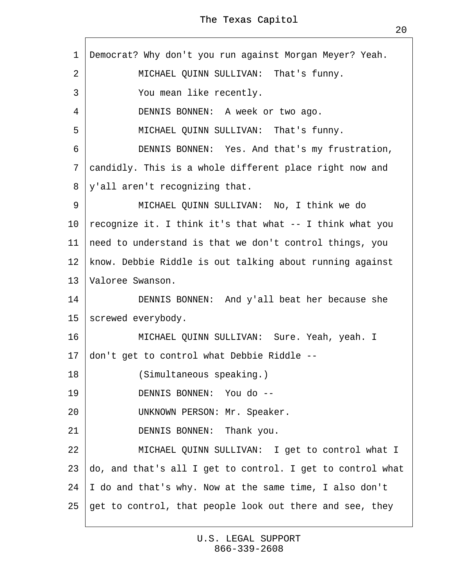1 Democrat? Why don't you run against Morgan Meyer? Yeah. 2 | MICHAEL QUINN SULLIVAN: That's funny. 3 | You mean like recently. 4 | DENNIS BONNEN: A week or two ago. 5 | MICHAEL QUINN SULLIVAN: That's funny. 6 **DENNIS BONNEN:** Yes. And that's my frustration, 7 candidly. This is a whole different place right now and 8 y'all aren't recognizing that. 9 | MICHAEL QUINN SULLIVAN: No, I think we do 10 recognize it. I think it's that what -- I think what you 11 need to understand is that we don't control things, you 12 know. Debbie Riddle is out talking about running against 13 Valoree Swanson. 14 **DENNIS BONNEN:** And y'all beat her because she 15 screwed everybody. 16 | MICHAEL QUINN SULLIVAN: Sure. Yeah, yeah. I 17 don't get to control what Debbie Riddle --18 | (Simultaneous speaking.) 19 | DENNIS BONNEN: You do --20 | UNKNOWN PERSON: Mr. Speaker. 21 | DENNIS BONNEN: Thank you. 22 | MICHAEL QUINN SULLIVAN: I get to control what I 23  $\phi$ o, and that's all I get to control. I get to control what 24  $\parallel$  do and that's why. Now at the same time, I also don't 25· get to control, that people look out there and see, they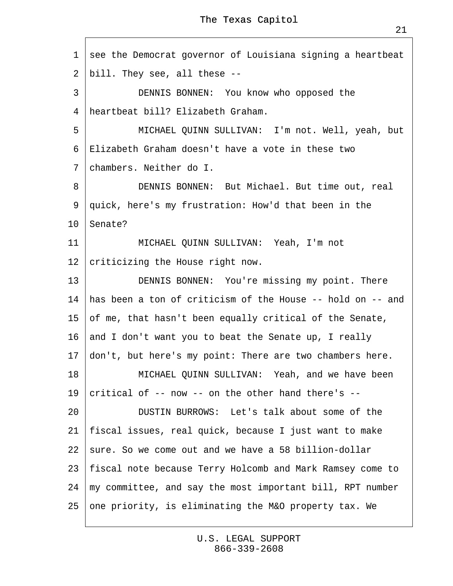|                 | 1 see the Democrat governor of Louisiana signing a heartbeat  |  |  |  |  |
|-----------------|---------------------------------------------------------------|--|--|--|--|
|                 | 2 bill. They see, all these --                                |  |  |  |  |
| 3               | DENNIS BONNEN: You know who opposed the                       |  |  |  |  |
| 4               | heartbeat bill? Elizabeth Graham.                             |  |  |  |  |
| 5               | MICHAEL QUINN SULLIVAN: I'm not. Well, yeah, but              |  |  |  |  |
|                 | 6 Elizabeth Graham doesn't have a vote in these two           |  |  |  |  |
|                 | 7 chambers. Neither do I.                                     |  |  |  |  |
| 8               | DENNIS BONNEN: But Michael. But time out, real                |  |  |  |  |
| 9               | quick, here's my frustration: How'd that been in the          |  |  |  |  |
|                 | 10 Senate?                                                    |  |  |  |  |
| 11              | MICHAEL QUINN SULLIVAN: Yeah, I'm not                         |  |  |  |  |
| 12 <sup>°</sup> | criticizing the House right now.                              |  |  |  |  |
| 13              | DENNIS BONNEN: You're missing my point. There                 |  |  |  |  |
|                 | 14 has been a ton of criticism of the House -- hold on -- and |  |  |  |  |
|                 | 15 of me, that hasn't been equally critical of the Senate,    |  |  |  |  |
|                 | 16 and I don't want you to beat the Senate up, I really       |  |  |  |  |
|                 | 17 don't, but here's my point: There are two chambers here.   |  |  |  |  |
| 18              | MICHAEL QUINN SULLIVAN: Yeah, and we have been                |  |  |  |  |
| 19              | critical of -- now -- on the other hand there's --            |  |  |  |  |
| 20              | DUSTIN BURROWS: Let's talk about some of the                  |  |  |  |  |
| 21              | fiscal issues, real quick, because I just want to make        |  |  |  |  |
|                 | 22 sure. So we come out and we have a 58 billion-dollar       |  |  |  |  |
|                 | 23 fiscal note because Terry Holcomb and Mark Ramsey come to  |  |  |  |  |
| 24              | my committee, and say the most important bill, RPT number     |  |  |  |  |
|                 | 25 one priority, is eliminating the M&O property tax. We      |  |  |  |  |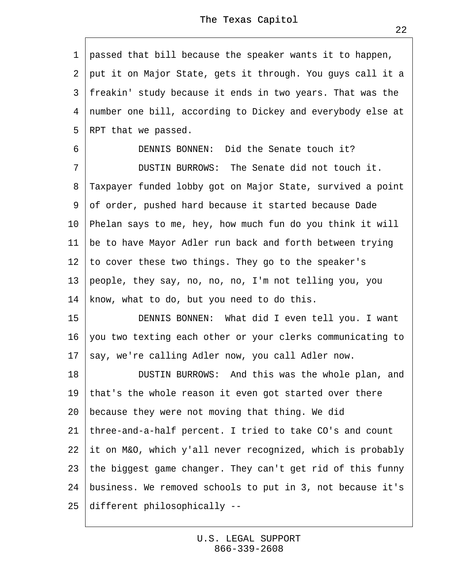·1· passed that bill because the speaker wants it to happen, 2 put it on Major State, gets it through. You guys call it a 3 freakin' study because it ends in two years. That was the 4 number one bill, according to Dickey and everybody else at 5 RPT that we passed. 6 **DENNIS BONNEN:** Did the Senate touch it? 7 **DUSTIN BURROWS:** The Senate did not touch it. 8 Taxpayer funded lobby got on Major State, survived a point ·9· of order, pushed hard because it started because Dade 10· Phelan says to me, hey, how much fun do you think it will 11 be to have Mayor Adler run back and forth between trying 12· to cover these two things. They go to the speaker's 13· people, they say, no, no, no, I'm not telling you, you 14 know, what to do, but you need to do this. 15 | DENNIS BONNEN: What did I even tell you. I want 16· you two texting each other or your clerks communicating to 17 say, we're calling Adler now, you call Adler now. 18 | DUSTIN BURROWS: And this was the whole plan, and 19 that's the whole reason it even got started over there 20 because they were not moving that thing. We did 21· three-and-a-half percent. I tried to take CO's and count 22 it on M&O, which y'all never recognized, which is probably 23· the biggest game changer. They can't get rid of this funny 24· business. We removed schools to put in 3, not because it's 25· different philosophically --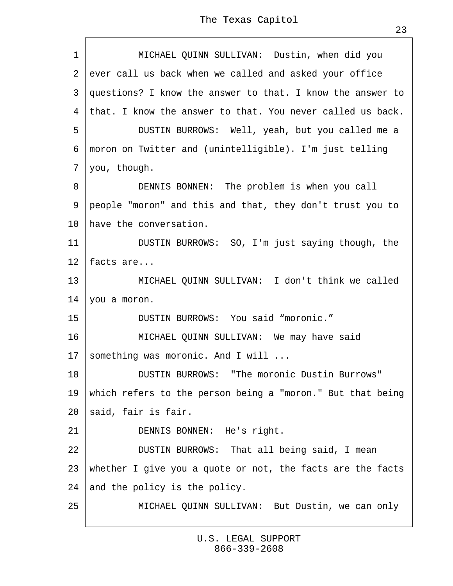| 1               | MICHAEL QUINN SULLIVAN: Dustin, when did you               |  |  |
|-----------------|------------------------------------------------------------|--|--|
| $\mathbf{2}$    | ever call us back when we called and asked your office     |  |  |
| 3               | guestions? I know the answer to that. I know the answer to |  |  |
| 4               | that. I know the answer to that. You never called us back. |  |  |
| 5               | DUSTIN BURROWS: Well, yeah, but you called me a            |  |  |
| 6               | moron on Twitter and (unintelligible). I'm just telling    |  |  |
|                 | 7 you, though.                                             |  |  |
| 8               | DENNIS BONNEN: The problem is when you call                |  |  |
| 9               | people "moron" and this and that, they don't trust you to  |  |  |
| 10              | have the conversation.                                     |  |  |
| 11              | DUSTIN BURROWS: SO, I'm just saying though, the            |  |  |
| 12 <sup>°</sup> | facts are                                                  |  |  |
| 13              | MICHAEL QUINN SULLIVAN: I don't think we called            |  |  |
| 14              | you a moron.                                               |  |  |
| 15              | DUSTIN BURROWS: You said "moronic."                        |  |  |
| 16              | MICHAEL QUINN SULLIVAN: We may have said                   |  |  |
| 17              | something was moronic. And I will                          |  |  |
| 18              | DUSTIN BURROWS: "The moronic Dustin Burrows"               |  |  |
| 19              | which refers to the person being a "moron." But that being |  |  |
| 20              | \$aid, fair is fair.                                       |  |  |
| 21              | DENNIS BONNEN: He's right.                                 |  |  |
| 22              | DUSTIN BURROWS: That all being said, I mean                |  |  |
| 23              | whether I give you a quote or not, the facts are the facts |  |  |
| 24              | and the policy is the policy.                              |  |  |
| 25              | MICHAEL QUINN SULLIVAN: But Dustin, we can only            |  |  |
|                 |                                                            |  |  |

 $\Gamma$ 

ı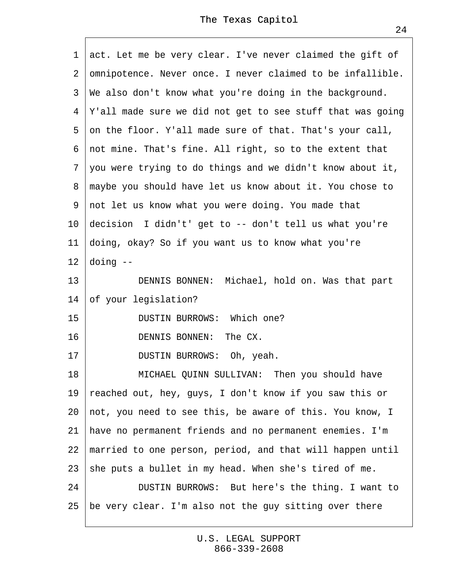|    | 1 act. Let me be very clear. I've never claimed the gift of  |
|----|--------------------------------------------------------------|
|    | 2 designed 2 desired to be infallible.                       |
|    | 3 We also don't know what you're doing in the background.    |
| 4  | Y'all made sure we did not get to see stuff that was going   |
| 5  | on the floor. Y'all made sure of that. That's your call,     |
|    | 6 not mine. That's fine. All right, so to the extent that    |
|    | 7 you were trying to do things and we didn't know about it,  |
|    | 8 maybe you should have let us know about it. You chose to   |
|    | 9 not let us know what you were doing. You made that         |
|    | 10 decision I didn't' get to -- don't tell us what you're    |
| 11 | doing, okay? So if you want us to know what you're           |
|    | 12 doing --                                                  |
| 13 | DENNIS BONNEN: Michael, hold on. Was that part               |
| 14 | of your legislation?                                         |
| 15 | DUSTIN BURROWS: Which one?                                   |
| 16 | DENNIS BONNEN: The CX.                                       |
| 17 | DUSTIN BURROWS: Oh, yeah.                                    |
| 18 | MICHAEL QUINN SULLIVAN: Then you should have                 |
| 19 | reached out, hey, guys, I don't know if you saw this or      |
|    | 20 not, you need to see this, be aware of this. You know, I  |
|    | 21 have no permanent friends and no permanent enemies. I'm   |
|    | 22 married to one person, period, and that will happen until |
| 23 | \$he puts a bullet in my head. When she's tired of me.       |
| 24 | DUSTIN BURROWS: But here's the thing. I want to              |
| 25 | the very clear. I'm also not the guy sitting over there      |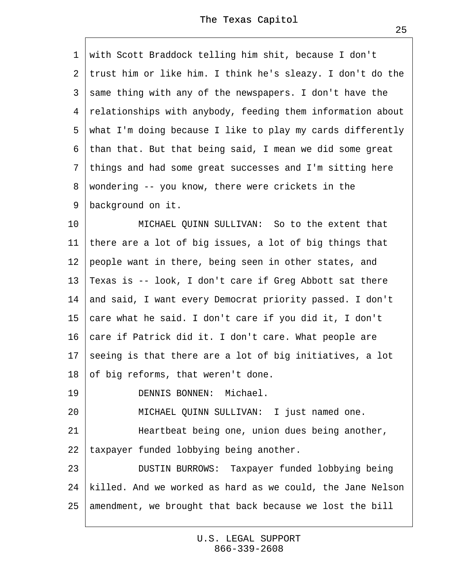1 with Scott Braddock telling him shit, because I don't 2 trust him or like him. I think he's sleazy. I don't do the 3 same thing with any of the newspapers. I don't have the 4 relationships with anybody, feeding them information about 5 what I'm doing because I like to play my cards differently ·6· than that. But that being said, I mean we did some great ·7· things and had some great successes and I'm sitting here 8 wondering -- you know, there were crickets in the 9 background on it. 10 | MICHAEL QUINN SULLIVAN: So to the extent that 11 there are a lot of big issues, a lot of big things that 12 people want in there, being seen in other states, and 13 Texas is -- look, I don't care if Greg Abbott sat there 14· and said, I want every Democrat priority passed. I don't 15 ¢are what he said. I don't care if you did it, I don't 16 ¢are if Patrick did it. I don't care. What people are 17 seeing is that there are a lot of big initiatives, a lot 18 of big reforms, that weren't done. 19 | DENNIS BONNEN: Michael. 20 | MICHAEL QUINN SULLIVAN: I just named one. 21 | Heartbeat being one, union dues being another, 22 taxpayer funded lobbying being another. 23 | DUSTIN BURROWS: Taxpayer funded lobbying being

24 killed. And we worked as hard as we could, the Jane Nelson

25· amendment, we brought that back because we lost the bill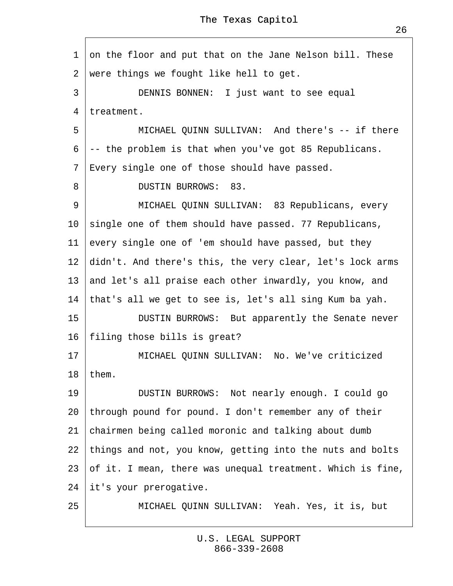1 on the floor and put that on the Jane Nelson bill. These 2 were things we fought like hell to get. 3 | DENNIS BONNEN: I just want to see equal 4 treatment. 5 **I** MICHAEL QUINN SULLIVAN: And there's -- if there  $6 \div$  the problem is that when you've got 85 Republicans. ·7· Every single one of those should have passed. 8 | DUSTIN BURROWS: 83. 9 | MICHAEL QUINN SULLIVAN: 83 Republicans, every 10 single one of them should have passed. 77 Republicans, 11 every single one of 'em should have passed, but they 12 didn't. And there's this, the very clear, let's lock arms 13 and let's all praise each other inwardly, you know, and 14 that's all we get to see is, let's all sing Kum ba yah. 15 | DUSTIN BURROWS: But apparently the Senate never 16 filing those bills is great? 17· · · · · ·MICHAEL QUINN SULLIVAN:· No. We've criticized 18 them. 19 | DUSTIN BURROWS: Not nearly enough. I could go 20 through pound for pound. I don't remember any of their 21 chairmen being called moronic and talking about dumb 22· things and not, you know, getting into the nuts and bolts 23· of it. I mean, there was unequal treatment. Which is fine, 24 it's your prerogative.

25 | MICHAEL QUINN SULLIVAN: Yeah. Yes, it is, but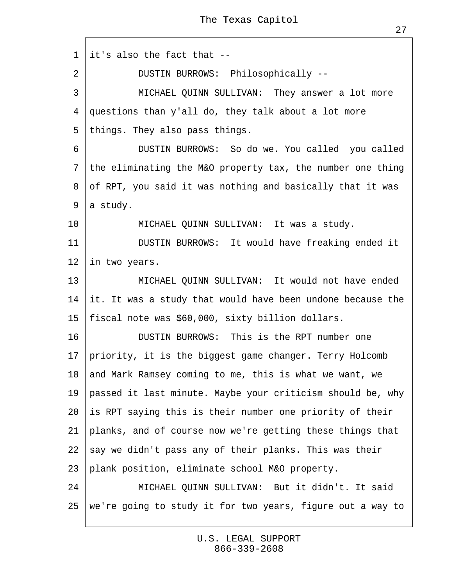·1· it's also the fact that --

2 | DUSTIN BURROWS: Philosophically --

3 | MICHAEL QUINN SULLIVAN: They answer a lot more ·4· questions than y'all do, they talk about a lot more

5 things. They also pass things.

6 | DUSTIN BURROWS: So do we. You called you called 7 the eliminating the M&O property tax, the number one thing 8 of RPT, you said it was nothing and basically that it was 9 a study.

10 | MICHAEL QUINN SULLIVAN: It was a study.

11 | DUSTIN BURROWS: It would have freaking ended it 12 in two years.

13 | MICHAEL QUINN SULLIVAN: It would not have ended 14 it. It was a study that would have been undone because the 15 fiscal note was \$60,000, sixty billion dollars.

16 **DUSTIN BURROWS:** This is the RPT number one 17· priority, it is the biggest game changer. Terry Holcomb 18· and Mark Ramsey coming to me, this is what we want, we 19 passed it last minute. Maybe your criticism should be, why 20· is RPT saying this is their number one priority of their 21 planks, and of course now we're getting these things that 22 say we didn't pass any of their planks. This was their 23 plank position, eliminate school M&O property. 24 | MICHAEL QUINN SULLIVAN: But it didn't. It said 25· we're going to study it for two years, figure out a way to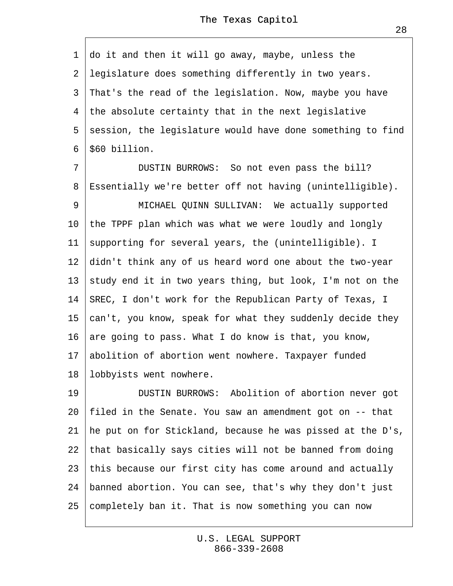·1· do it and then it will go away, maybe, unless the ·2· legislature does something differently in two years. 3 That's the read of the legislation. Now, maybe you have 4 the absolute certainty that in the next legislative 5 session, the legislature would have done something to find 6 **\$60 billion.** 7 | DUSTIN BURROWS: So not even pass the bill? 8 Essentially we're better off not having (unintelligible). 9 | MICHAEL QUINN SULLIVAN: We actually supported 10· the TPPF plan which was what we were loudly and longly 11 supporting for several years, the (unintelligible). I 12 didn't think any of us heard word one about the two-year 13 study end it in two years thing, but look, I'm not on the 14· SREC, I don't work for the Republican Party of Texas, I 15  $\,\mathrm{tan}^\prime$  t, you know, speak for what they suddenly decide they 16· are going to pass. What I do know is that, you know, 17· abolition of abortion went nowhere. Taxpayer funded 18 lobbyists went nowhere. 19 | DUSTIN BURROWS: Abolition of abortion never got 20· filed in the Senate. You saw an amendment got on -- that 21 he put on for Stickland, because he was pissed at the D's, 22· that basically says cities will not be banned from doing 23 this because our first city has come around and actually 24· banned abortion. You can see, that's why they don't just 25 completely ban it. That is now something you can now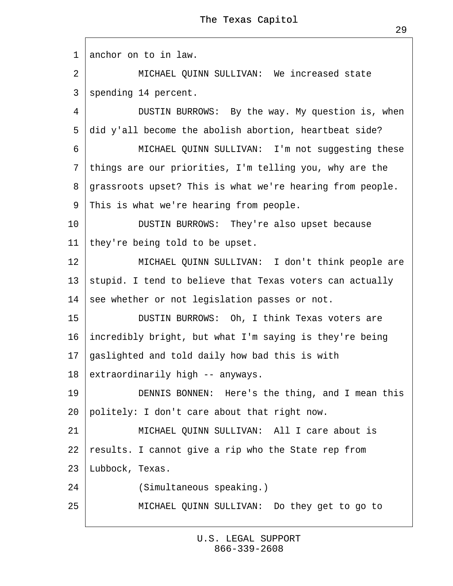1 anchor on to in law.

2 | MICHAEL QUINN SULLIVAN: We increased state 3 spending 14 percent.

4 | DUSTIN BURROWS: By the way. My question is, when 5 did y'all become the abolish abortion, heartbeat side?

6 | MICHAEL QUINN SULLIVAN: I'm not suggesting these

7 things are our priorities, I'm telling you, why are the

8 grassroots upset? This is what we're hearing from people.

9 This is what we're hearing from people.

10 | DUSTIN BURROWS: They're also upset because

11 they're being told to be upset.

12 | MICHAEL QUINN SULLIVAN: I don't think people are

13 stupid. I tend to believe that Texas voters can actually

14 see whether or not legislation passes or not.

15 | DUSTIN BURROWS: Oh, I think Texas voters are

16· incredibly bright, but what I'm saying is they're being

17· gaslighted and told daily how bad this is with

18 extraordinarily high -- anyways.

19 **DENNIS BONNEN:** Here's the thing, and I mean this

20 politely: I don't care about that right now.

21 | MICHAEL QUINN SULLIVAN: All I care about is

22 results. I cannot give a rip who the State rep from

23 Lubbock, Texas.

24 **Comultaneous speaking.)** 

25 | MICHAEL QUINN SULLIVAN: Do they get to go to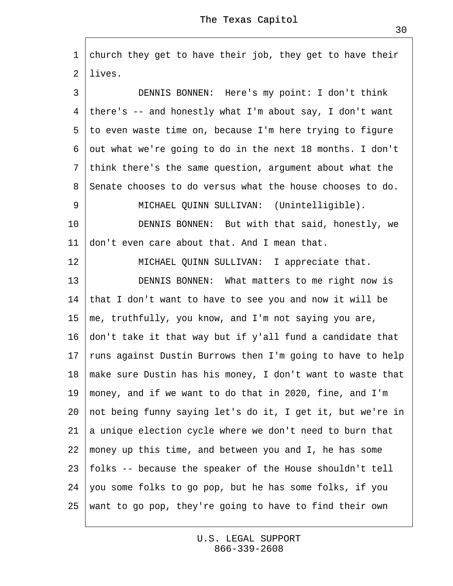1 church they get to have their job, they get to have their 2 lives.

3 | DENNIS BONNEN: Here's my point: I don't think 4 there's -- and honestly what I'm about say, I don't want 5 to even waste time on, because I'm here trying to figure ·6· out what we're going to do in the next 18 months. I don't ·7· think there's the same question, argument about what the 8 Senate chooses to do versus what the house chooses to do. 9 | MICHAEL QUINN SULLIVAN: (Unintelligible). 10 **DENNIS BONNEN:** But with that said, honestly, we 11 don't even care about that. And I mean that. 12 | MICHAEL QUINN SULLIVAN: I appreciate that. 13 | DENNIS BONNEN: What matters to me right now is 14· that I don't want to have to see you and now it will be 15· me, truthfully, you know, and I'm not saying you are, 16· don't take it that way but if y'all fund a candidate that 17 funs against Dustin Burrows then I'm going to have to help 18· make sure Dustin has his money, I don't want to waste that 19· money, and if we want to do that in 2020, fine, and I'm 20· not being funny saying let's do it, I get it, but we're in 21 a unique election cycle where we don't need to burn that 22· money up this time, and between you and I, he has some 23· folks -- because the speaker of the House shouldn't tell 24· you some folks to go pop, but he has some folks, if you 25· want to go pop, they're going to have to find their own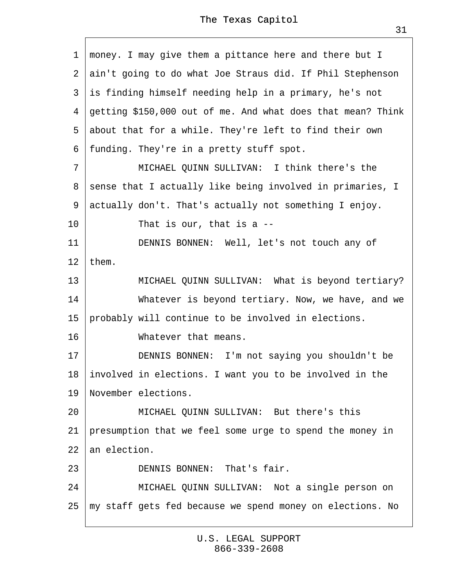·1· money. I may give them a pittance here and there but I 2 ain't going to do what Joe Straus did. If Phil Stephenson 3 is finding himself needing help in a primary, he's not ·4· getting \$150,000 out of me. And what does that mean? Think 5 about that for a while. They're left to find their own ·6· funding. They're in a pretty stuff spot. 7 | MICHAEL QUINN SULLIVAN: I think there's the 8 sense that I actually like being involved in primaries, I ·9· actually don't. That's actually not something I enjoy. 10  $\parallel$  That is our, that is a --11 | DENNIS BONNEN: Well, let's not touch any of 12  $then.$ 13 | MICHAEL QUINN SULLIVAN: What is beyond tertiary? 14 • Whatever is beyond tertiary. Now, we have, and we 15 probably will continue to be involved in elections. 16 **Whatever that means.** 17 | DENNIS BONNEN: I'm not saying you shouldn't be 18· involved in elections. I want you to be involved in the 19· November elections. 20 **MICHAEL QUINN SULLIVAN: But there's this** 21 presumption that we feel some urge to spend the money in 22 an election. 23 **DENNIS BONNEN:** That's fair. 24 | MICHAEL QUINN SULLIVAN: Not a single person on 25· my staff gets fed because we spend money on elections. No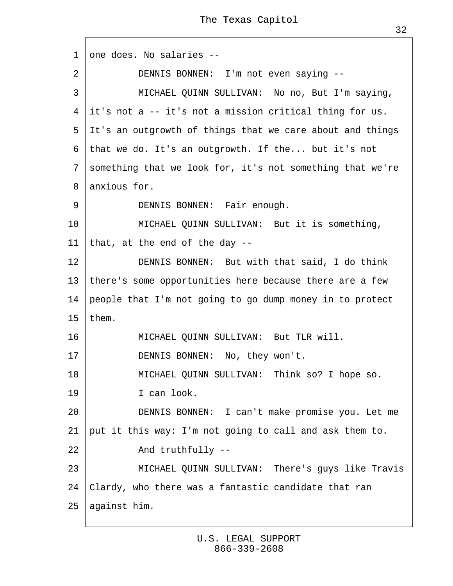| 1               | one does. No salaries --                                    |  |  |
|-----------------|-------------------------------------------------------------|--|--|
| $\overline{2}$  | DENNIS BONNEN: I'm not even saying --                       |  |  |
| 3               | MICHAEL QUINN SULLIVAN: No no, But I'm saying,              |  |  |
|                 | 4 it's not a -- it's not a mission critical thing for us.   |  |  |
|                 | 5 It's an outgrowth of things that we care about and things |  |  |
|                 | 6 that we do. It's an outgrowth. If the but it's not        |  |  |
|                 | 7 something that we look for, it's not something that we're |  |  |
| 8               | anxious for.                                                |  |  |
| 9               | DENNIS BONNEN: Fair enough.                                 |  |  |
| 10              | MICHAEL QUINN SULLIVAN: But it is something,                |  |  |
| 11              | that, at the end of the day --                              |  |  |
| 12              | DENNIS BONNEN: But with that said, I do think               |  |  |
| 13 <sup>°</sup> | there's some opportunities here because there are a few     |  |  |
| 14              | people that I'm not going to go dump money in to protect    |  |  |
| 15 <sub>1</sub> | them.                                                       |  |  |
| 16              | MICHAEL QUINN SULLIVAN: But TLR will.                       |  |  |
| 17              | DENNIS BONNEN: No, they won't.                              |  |  |
| 18              | MICHAEL QUINN SULLIVAN: Think so? I hope so.                |  |  |
| 19              | I can look.                                                 |  |  |
| 20              | DENNIS BONNEN: I can't make promise you. Let me             |  |  |
| 21              | put it this way: I'm not going to call and ask them to.     |  |  |
| 22              | And truthfully --                                           |  |  |
| 23              | MICHAEL QUINN SULLIVAN: There's guys like Travis            |  |  |
| 24              | Clardy, who there was a fantastic candidate that ran        |  |  |
|                 | 25 against him.                                             |  |  |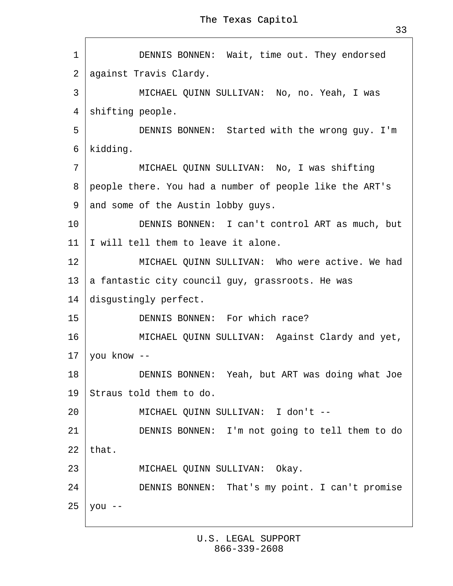$\Gamma$ 

| 1            | DENNIS BONNEN: Wait, time out. They endorsed              |  |  |  |  |  |
|--------------|-----------------------------------------------------------|--|--|--|--|--|
| $\mathbf{2}$ | against Travis Clardy.                                    |  |  |  |  |  |
| 3            | MICHAEL QUINN SULLIVAN: No, no. Yeah, I was               |  |  |  |  |  |
| 4            | shifting people.                                          |  |  |  |  |  |
| 5            | DENNIS BONNEN: Started with the wrong guy. I'm            |  |  |  |  |  |
|              | 6 kidding.                                                |  |  |  |  |  |
| 7            | MICHAEL QUINN SULLIVAN: No, I was shifting                |  |  |  |  |  |
|              | 8 people there. You had a number of people like the ART's |  |  |  |  |  |
|              | 9 and some of the Austin lobby guys.                      |  |  |  |  |  |
| 10           | DENNIS BONNEN: I can't control ART as much, but           |  |  |  |  |  |
| 11           | will tell them to leave it alone.                         |  |  |  |  |  |
| 12           | MICHAEL QUINN SULLIVAN: Who were active. We had           |  |  |  |  |  |
|              | 13 a fantastic city council guy, grassroots. He was       |  |  |  |  |  |
| 14           | disgustingly perfect.                                     |  |  |  |  |  |
| 15           | DENNIS BONNEN: For which race?                            |  |  |  |  |  |
| 16           | MICHAEL QUINN SULLIVAN: Against Clardy and yet,           |  |  |  |  |  |
|              | 17 you know --                                            |  |  |  |  |  |
| 18           | DENNIS BONNEN: Yeah, but ART was doing what Joe           |  |  |  |  |  |
| 19           | Straus told them to do.                                   |  |  |  |  |  |
| 20           | MICHAEL QUINN SULLIVAN: I don't --                        |  |  |  |  |  |
| 21           | DENNIS BONNEN: I'm not going to tell them to do           |  |  |  |  |  |
| 22           | that.                                                     |  |  |  |  |  |
| 23           | MICHAEL QUINN SULLIVAN: Okay.                             |  |  |  |  |  |
| 24           | DENNIS BONNEN: That's my point. I can't promise           |  |  |  |  |  |
| 25           | Vou --                                                    |  |  |  |  |  |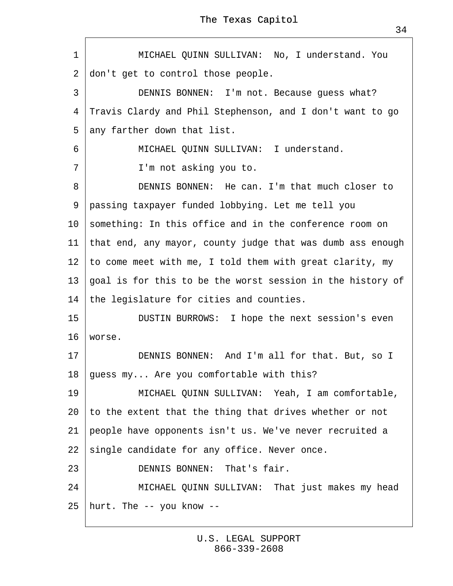| 1  | MICHAEL QUINN SULLIVAN: No, I understand. You                 |  |  |
|----|---------------------------------------------------------------|--|--|
| 2  | don't get to control those people.                            |  |  |
| 3  | DENNIS BONNEN: I'm not. Because guess what?                   |  |  |
| 4  | Travis Clardy and Phil Stephenson, and I don't want to go     |  |  |
| 5  | any farther down that list.                                   |  |  |
| 6  | MICHAEL QUINN SULLIVAN: I understand.                         |  |  |
| 7  | I'm not asking you to.                                        |  |  |
| 8  | DENNIS BONNEN: He can. I'm that much closer to                |  |  |
| 9  | passing taxpayer funded lobbying. Let me tell you             |  |  |
|    | 10 something: In this office and in the conference room on    |  |  |
|    | 11 that end, any mayor, county judge that was dumb ass enough |  |  |
|    | 12 to come meet with me, I told them with great clarity, my   |  |  |
| 13 | goal is for this to be the worst session in the history of    |  |  |
| 14 | the legislature for cities and counties.                      |  |  |
| 15 | DUSTIN BURROWS: I hope the next session's even                |  |  |
| 16 | worse.                                                        |  |  |
| 17 | DENNIS BONNEN: And I'm all for that. But, so I                |  |  |
| 18 | guess my Are you comfortable with this?                       |  |  |
| 19 | MICHAEL QUINN SULLIVAN: Yeah, I am comfortable,               |  |  |
| 20 | to the extent that the thing that drives whether or not       |  |  |
| 21 | people have opponents isn't us. We've never recruited a       |  |  |
| 22 | single candidate for any office. Never once.                  |  |  |
| 23 | DENNIS BONNEN: That's fair.                                   |  |  |
| 24 | MICHAEL QUINN SULLIVAN: That just makes my head               |  |  |
|    | 25 hurt. The -- you know --                                   |  |  |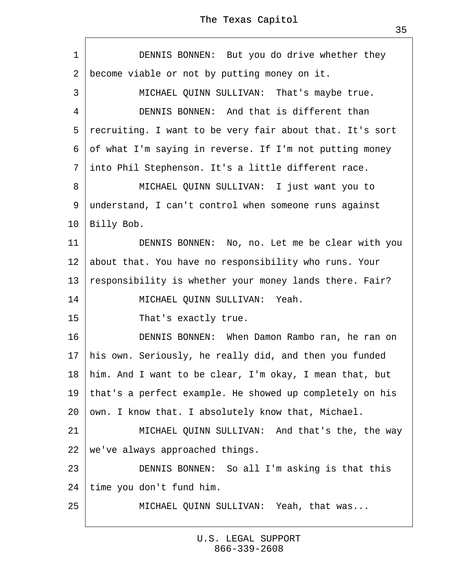|  |  | The Texas Capitol |
|--|--|-------------------|
|--|--|-------------------|

| 1               | DENNIS BONNEN: But you do drive whether they              |  |
|-----------------|-----------------------------------------------------------|--|
| 2               | become viable or not by putting money on it.              |  |
| 3               | MICHAEL QUINN SULLIVAN: That's maybe true.                |  |
| 4               | DENNIS BONNEN: And that is different than                 |  |
| 5               | recruiting. I want to be very fair about that. It's sort  |  |
|                 | 6 of what I'm saying in reverse. If I'm not putting money |  |
| $\overline{7}$  | into Phil Stephenson. It's a little different race.       |  |
| 8               | MICHAEL QUINN SULLIVAN: I just want you to                |  |
|                 | 9 understand, I can't control when someone runs against   |  |
| 10 <sup>1</sup> | <b>Billy Bob.</b>                                         |  |
| 11              | DENNIS BONNEN: No, no. Let me be clear with you           |  |
| 12 <sup>2</sup> | about that. You have no responsibility who runs. Your     |  |
| 13              | responsibility is whether your money lands there. Fair?   |  |
| 14              | MICHAEL QUINN SULLIVAN: Yeah.                             |  |
| 15              | That's exactly true.                                      |  |
| 16              | DENNIS BONNEN: When Damon Rambo ran, he ran on            |  |
| 17              | his own. Seriously, he really did, and then you funded    |  |
| 18              | him. And I want to be clear, I'm okay, I mean that, but   |  |
| 19              | that's a perfect example. He showed up completely on his  |  |
| 20              | own. I know that. I absolutely know that, Michael.        |  |
| 21              | MICHAEL QUINN SULLIVAN: And that's the, the way           |  |
| 22              | we've always approached things.                           |  |
| 23              | DENNIS BONNEN: So all I'm asking is that this             |  |
| 24              | time you don't fund him.                                  |  |
| 25              | MICHAEL QUINN SULLIVAN: Yeah, that was                    |  |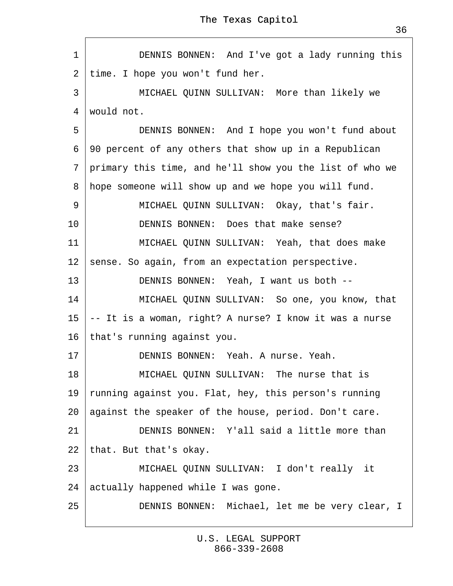1 | DENNIS BONNEN: And I've got a lady running this 2 time. I hope you won't fund her. 3 | MICHAEL QUINN SULLIVAN: More than likely we 4 would not. 5 | DENNIS BONNEN: And I hope you won't fund about ·6· 90 percent of any others that show up in a Republican ·7· primary this time, and he'll show you the list of who we 8 hope someone will show up and we hope you will fund. 9 | MICHAEL QUINN SULLIVAN: Okay, that's fair. 10 **DENNIS BONNEN:** Does that make sense? 11 | MICHAEL QUINN SULLIVAN: Yeah, that does make 12 sense. So again, from an expectation perspective. 13 | DENNIS BONNEN: Yeah, I want us both --14 | MICHAEL QUINN SULLIVAN: So one, you know, that 15  $+$  It is a woman, right? A nurse? I know it was a nurse 16· that's running against you. 17 | DENNIS BONNEN: Yeah. A nurse. Yeah. 18 **MICHAEL QUINN SULLIVAN: The nurse that is** 19 funning against you. Flat, hey, this person's running 20· against the speaker of the house, period. Don't care. 21 **DENNIS BONNEN:** Y'all said a little more than 22 that. But that's okay. 23 | MICHAEL QUINN SULLIVAN: I don't really it 24 actually happened while I was gone. 25 | DENNIS BONNEN: Michael, let me be very clear, I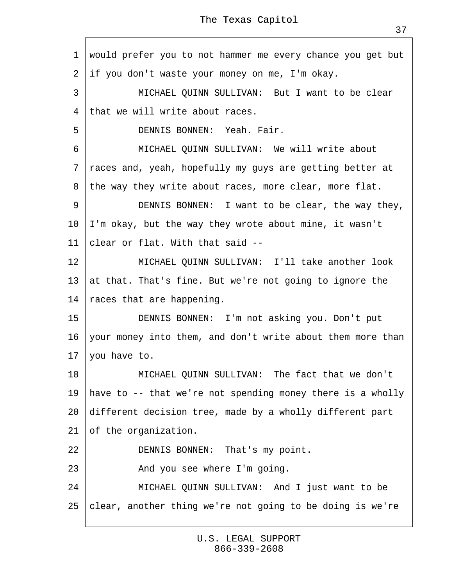<span id="page-36-0"></span>·1· would prefer you to not hammer me every chance you get but 2 if you don't waste your money on me, I'm okay. 3 | MICHAEL QUINN SULLIVAN: But I want to be clear 4 that we will write about races. 5 **DENNIS BONNEN: Yeah. Fair.** 6 | MICHAEL QUINN SULLIVAN: We will write about ·7· races and, yeah, hopefully my guys are getting better at 8 the way they write about races, more clear, more flat. 9 | DENNIS BONNEN: I want to be clear, the way they, 10 I'm okay, but the way they wrote about mine, it wasn't 11 clear or flat. With that said --12 | MICHAEL QUINN SULLIVAN: I'll take another look 13 at that. That's fine. But we're not going to ignore the 14 races that are happening. 15 | DENNIS BONNEN: I'm not asking you. Don't put 16· your money into them, and don't write about them more than 17 you have to. 18 | MICHAEL QUINN SULLIVAN: The fact that we don't 19 have to -- that we're not spending money there is a wholly 20 different decision tree, made by a wholly different part 21 of the organization.  $22$  | DENNIS BONNEN: That's my point.  $23$   $\sim$  And you see where I'm going. 24 | MICHAEL QUINN SULLIVAN: And I just want to be 25 ¢lear, another thing we're not going to be doing is we're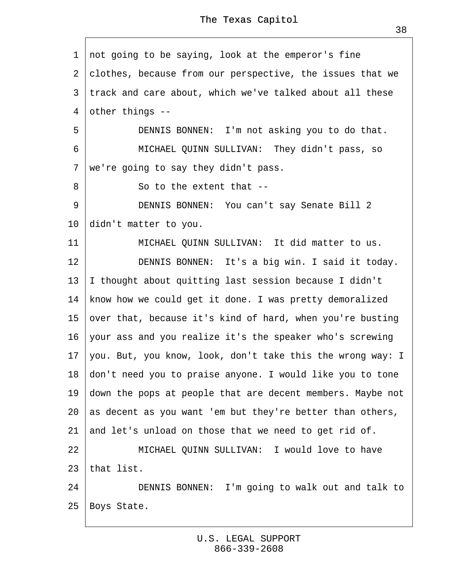<span id="page-37-0"></span>1 not going to be saying, look at the emperor's fine 2 clothes, because from our perspective, the issues that we 3 track and care about, which we've talked about all these 4 other things --5 **DENNIS BONNEN:** I'm not asking you to do that. 6 | MICHAEL QUINN SULLIVAN: They didn't pass, so 7 we're going to say they didn't pass. 8 **So to the extent that --**9 | DENNIS BONNEN: You can't say Senate Bill 2 10 didn't matter to you. 11 | MICHAEL QUINN SULLIVAN: It did matter to us. 12 **DENNIS BONNEN:** It's a big win. I said it today. 13 | thought about quitting last session because I didn't 14 know how we could get it done. I was pretty demoralized 15 over that, because it's kind of hard, when you're busting 16· your ass and you realize it's the speaker who's screwing 17· you. But, you know, look, don't take this the wrong way: I 18· don't need you to praise anyone. I would like you to tone 19· down the pops at people that are decent members. Maybe not 20· as decent as you want 'em but they're better than others, 21 and let's unload on those that we need to get rid of. 22 **MICHAEL QUINN SULLIVAN: I would love to have** 23 that list. 24 **DENNIS BONNEN:** I'm going to walk out and talk to 25 Boys State.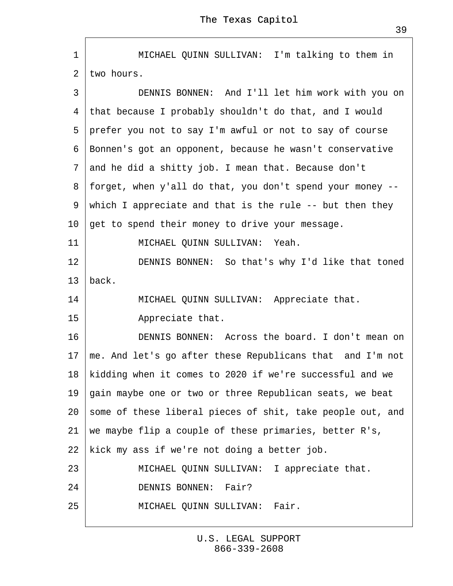<span id="page-38-0"></span>1 | MICHAEL QUINN SULLIVAN: I'm talking to them in 2 two hours. 3 | DENNIS BONNEN: And I'll let him work with you on ·4· that because I probably shouldn't do that, and I would 5 prefer you not to say I'm awful or not to say of course ·6· Bonnen's got an opponent, because he wasn't conservative ·7· and he did a shitty job. I mean that. Because don't ·8· forget, when y'all do that, you don't spend your money -- 9 which I appreciate and that is the rule -- but then they 10 get to spend their money to drive your message. 11 | MICHAEL QUINN SULLIVAN: Yeah. 12 **DENNIS BONNEN:** So that's why I'd like that toned 13 back. 14 | MICHAEL QUINN SULLIVAN: Appreciate that.  $15$  Appreciate that. 16 **DENNIS BONNEN:** Across the board. I don't mean on 17· me. And let's go after these Republicans that· and I'm not 18 kidding when it comes to 2020 if we're successful and we 19 gain maybe one or two or three Republican seats, we beat 20 some of these liberal pieces of shit, take people out, and 21· we maybe flip a couple of these primaries, better R's, 22 kick my ass if we're not doing a better job. 23 | MICHAEL QUINN SULLIVAN: I appreciate that. 24 **DENNIS BONNEN: Fair?** 25 · MICHAEL QUINN SULLIVAN: Fair.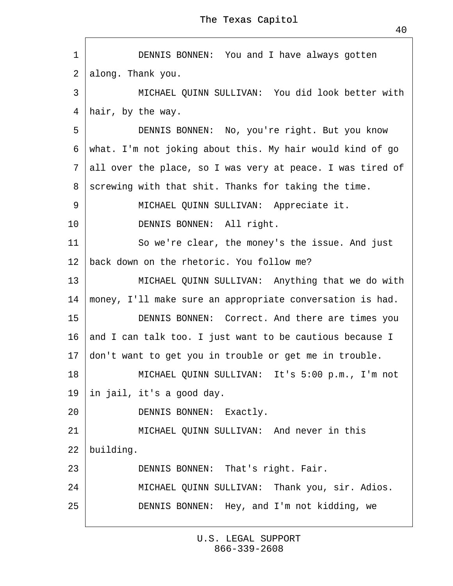<span id="page-39-0"></span>

| 1               | DENNIS BONNEN: You and I have always gotten                  |
|-----------------|--------------------------------------------------------------|
|                 | 2 along. Thank you.                                          |
| 3               | MICHAEL QUINN SULLIVAN: You did look better with             |
| 4               | hair, by the way.                                            |
| 5               | DENNIS BONNEN: No, you're right. But you know                |
|                 | 6 what. I'm not joking about this. My hair would kind of go  |
|                 | 7 all over the place, so I was very at peace. I was tired of |
| 8               | screwing with that shit. Thanks for taking the time.         |
| 9               | MICHAEL QUINN SULLIVAN: Appreciate it.                       |
| 10              | DENNIS BONNEN: All right.                                    |
| 11              | So we're clear, the money's the issue. And just              |
| 12 <sup>2</sup> | back down on the rhetoric. You follow me?                    |
| 13              | MICHAEL QUINN SULLIVAN: Anything that we do with             |
| 14              | money, I'll make sure an appropriate conversation is had.    |
| 15              | DENNIS BONNEN: Correct. And there are times you              |
| 16 <sup>1</sup> | and I can talk too. I just want to be cautious because I     |
| 17 <sup>1</sup> | don't want to get you in trouble or get me in trouble.       |
| 18              | MICHAEL QUINN SULLIVAN: It's 5:00 p.m., I'm not              |
| 19              | in jail, it's a good day.                                    |
| 20              | DENNIS BONNEN: Exactly.                                      |
| 21              | MICHAEL QUINN SULLIVAN: And never in this                    |
| 22              | building.                                                    |
| 23              | DENNIS BONNEN: That's right. Fair.                           |
| 24              | MICHAEL QUINN SULLIVAN: Thank you, sir. Adios.               |
| 25              | DENNIS BONNEN: Hey, and I'm not kidding, we                  |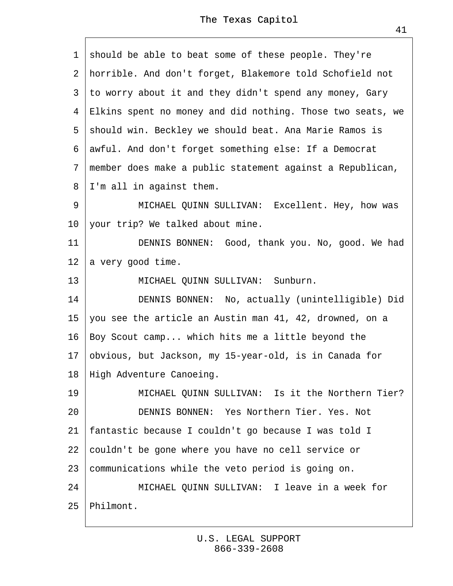<span id="page-40-0"></span>

| 1               | should be able to beat some of these people. They're         |
|-----------------|--------------------------------------------------------------|
|                 | 2 horrible. And don't forget, Blakemore told Schofield not   |
| 3               | to worry about it and they didn't spend any money, Gary      |
|                 | 4 Elkins spent no money and did nothing. Those two seats, we |
|                 | 5 should win. Beckley we should beat. Ana Marie Ramos is     |
|                 | 6 awful. And don't forget something else: If a Democrat      |
|                 | 7 member does make a public statement against a Republican,  |
|                 | 8 I'm all in against them.                                   |
| 9               | MICHAEL QUINN SULLIVAN: Excellent. Hey, how was              |
| 10              | your trip? We talked about mine.                             |
| 11              | DENNIS BONNEN: Good, thank you. No, good. We had             |
| 12 <sub>2</sub> | a very good time.                                            |
| 13              | MICHAEL QUINN SULLIVAN: Sunburn.                             |
| 14              | DENNIS BONNEN: No, actually (unintelligible) Did             |
|                 | 15 you see the article an Austin man 41, 42, drowned, on a   |
| 16              | Boy Scout camp which hits me a little beyond the             |
|                 | 17 obvious, but Jackson, my 15-year-old, is in Canada for    |
|                 | 18 High Adventure Canoeing.                                  |
| 19              | MICHAEL QUINN SULLIVAN: Is it the Northern Tier?             |
| 20              | DENNIS BONNEN: Yes Northern Tier, Yes, Not                   |
| 21              | fantastic because I couldn't go because I was told I         |
| 22              | couldn't be gone where you have no cell service or           |
| 23              | communications while the veto period is going on.            |
| 24              | MICHAEL QUINN SULLIVAN: I leave in a week for                |
| 25              | Philmont.                                                    |

 $\Gamma$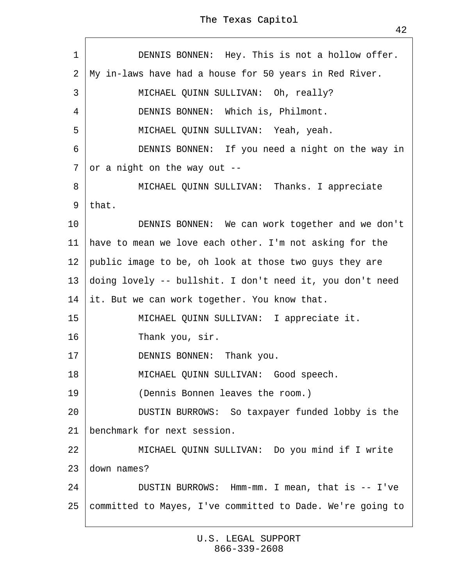<span id="page-41-0"></span>

| 1              | DENNIS BONNEN: Hey. This is not a hollow offer.              |
|----------------|--------------------------------------------------------------|
| 2              | My in-laws have had a house for 50 years in Red River.       |
| 3              | MICHAEL QUINN SULLIVAN: Oh, really?                          |
| $\overline{4}$ | DENNIS BONNEN: Which is, Philmont.                           |
| 5              | MICHAEL QUINN SULLIVAN: Yeah, yeah.                          |
| 6              | DENNIS BONNEN: If you need a night on the way in             |
| 7              | or a night on the way out --                                 |
| 8              | MICHAEL QUINN SULLIVAN: Thanks. I appreciate                 |
|                | 9 that.                                                      |
| 10             | DENNIS BONNEN: We can work together and we don't             |
| 11             | have to mean we love each other. I'm not asking for the      |
|                | 12 public image to be, oh look at those two guys they are    |
|                | 13 doing lovely -- bullshit. I don't need it, you don't need |
|                | 14 it. But we can work together. You know that.              |
| 15             | MICHAEL QUINN SULLIVAN: I appreciate it.                     |
| 16             | Thank you, sir.                                              |
| 17             | DENNIS BONNEN: Thank you.                                    |
| 18             | MICHAEL QUINN SULLIVAN: Good speech.                         |
| 19             | (Dennis Bonnen leaves the room.)                             |
| 20             | DUSTIN BURROWS: So taxpayer funded lobby is the              |
| 21             | benchmark for next session.                                  |
| 22             | MICHAEL QUINN SULLIVAN: Do you mind if I write               |
| 23             | down names?                                                  |
| 24             | DUSTIN BURROWS: Hmm-mm. I mean, that is -- I've              |
| 25             | committed to Mayes, I've committed to Dade. We're going to   |
|                |                                                              |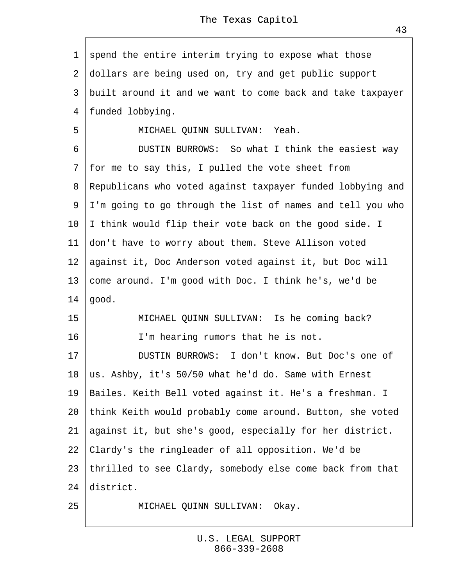<span id="page-42-0"></span>1 spend the entire interim trying to expose what those ·2· dollars are being used on, try and get public support 3 built around it and we want to come back and take taxpayer 4 funded lobbying. 5 | MICHAEL QUINN SULLIVAN: Yeah. 6 | DUSTIN BURROWS: So what I think the easiest way ·7· for me to say this, I pulled the vote sheet from ·8· Republicans who voted against taxpayer funded lobbying and ·9· I'm going to go through the list of names and tell you who 10 I think would flip their vote back on the good side. I 11 don't have to worry about them. Steve Allison voted 12 against it, Doc Anderson voted against it, but Doc will 13 come around. I'm good with Doc. I think he's, we'd be 14  $\phi$ ood. 15 | MICHAEL QUINN SULLIVAN: Is he coming back?  $16$  | I'm hearing rumors that he is not. 17 **DUSTIN BURROWS: I don't know. But Doc's one of** 18  $\,\,\rm \psi s.$  Ashby, it's 50/50 what he'd do. Same with Ernest 19 Bailes. Keith Bell voted against it. He's a freshman. I 20· think Keith would probably come around. Button, she voted 21 against it, but she's good, especially for her district. 22· Clardy's the ringleader of all opposition. We'd be 23· thrilled to see Clardy, somebody else come back from that 24 district. 25 | MICHAEL QUINN SULLIVAN: Okay.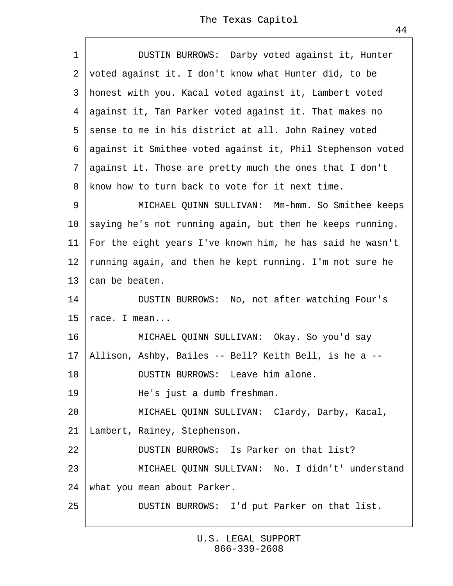<span id="page-43-0"></span>

| 1                | DUSTIN BURROWS: Darby voted against it, Hunter               |  |  |  |  |
|------------------|--------------------------------------------------------------|--|--|--|--|
|                  | 2 voted against it. I don't know what Hunter did, to be      |  |  |  |  |
|                  | 3 honest with you. Kacal voted against it, Lambert voted     |  |  |  |  |
|                  | 4 against it, Tan Parker voted against it. That makes no     |  |  |  |  |
|                  | 5 sense to me in his district at all. John Rainey voted      |  |  |  |  |
|                  | 6 against it Smithee voted against it, Phil Stephenson voted |  |  |  |  |
|                  | 7 against it. Those are pretty much the ones that I don't    |  |  |  |  |
| 8                | know how to turn back to vote for it next time.              |  |  |  |  |
| 9                | MICHAEL QUINN SULLIVAN: Mm-hmm. So Smithee keeps             |  |  |  |  |
|                  | 10 saying he's not running again, but then he keeps running. |  |  |  |  |
|                  | 11 For the eight years I've known him, he has said he wasn't |  |  |  |  |
|                  | 12 funning again, and then he kept running. I'm not sure he  |  |  |  |  |
|                  | 13 ¢an be beaten.                                            |  |  |  |  |
| 14               | DUSTIN BURROWS: No, not after watching Four's                |  |  |  |  |
| 15 <sub>15</sub> | race. I mean                                                 |  |  |  |  |
| 16               | MICHAEL QUINN SULLIVAN: Okay. So you'd say                   |  |  |  |  |
|                  | 17 Allison, Ashby, Bailes -- Bell? Keith Bell, is he a --    |  |  |  |  |
| 18               | DUSTIN BURROWS: Leave him alone.                             |  |  |  |  |
| 19               | He's just a dumb freshman.                                   |  |  |  |  |
| 20               | MICHAEL QUINN SULLIVAN: Clardy, Darby, Kacal,                |  |  |  |  |
| 21               | Lambert, Rainey, Stephenson.                                 |  |  |  |  |
| 22               | DUSTIN BURROWS: Is Parker on that list?                      |  |  |  |  |
| 23               | MICHAEL QUINN SULLIVAN: No. I didn't' understand             |  |  |  |  |
| 24               | what you mean about Parker.                                  |  |  |  |  |
| 25               | DUSTIN BURROWS: I'd put Parker on that list.                 |  |  |  |  |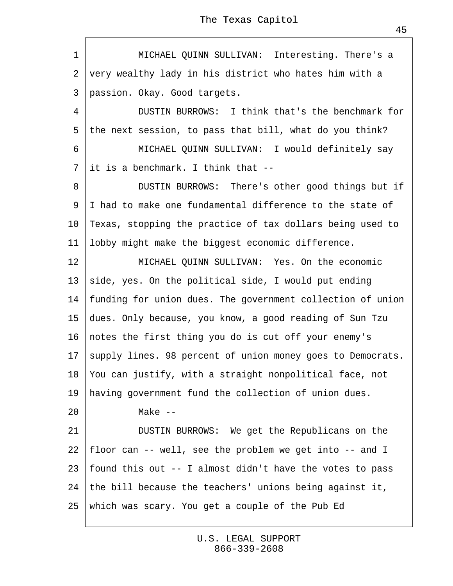| The Texas Capitol |  |
|-------------------|--|
|-------------------|--|

<span id="page-44-0"></span>1 | MICHAEL QUINN SULLIVAN: Interesting. There's a 2 very wealthy lady in his district who hates him with a 3 passion. Okay. Good targets.

4 **DUSTIN BURROWS:** I think that's the benchmark for 5 the next session, to pass that bill, what do you think?

6 | MICHAEL QUINN SULLIVAN: I would definitely say 7 it is a benchmark. I think that --

8 | DUSTIN BURROWS: There's other good things but if ·9· I had to make one fundamental difference to the state of 10 Texas, stopping the practice of tax dollars being used to 11 lobby might make the biggest economic difference.

12 **MICHAEL QUINN SULLIVAN: Yes. On the economic** 13 side, yes. On the political side, I would put ending 14 funding for union dues. The government collection of union 15· dues. Only because, you know, a good reading of Sun Tzu 16 motes the first thing you do is cut off your enemy's 17 supply lines. 98 percent of union money goes to Democrats. 18· You can justify, with a straight nonpolitical face, not 19 having government fund the collection of union dues. 20 | Make --21 | DUSTIN BURROWS: We get the Republicans on the 22· floor can -- well, see the problem we get into -- and I 23· found this out -- I almost didn't have the votes to pass 24· the bill because the teachers' unions being against it, 25· which was scary. You get a couple of the Pub Ed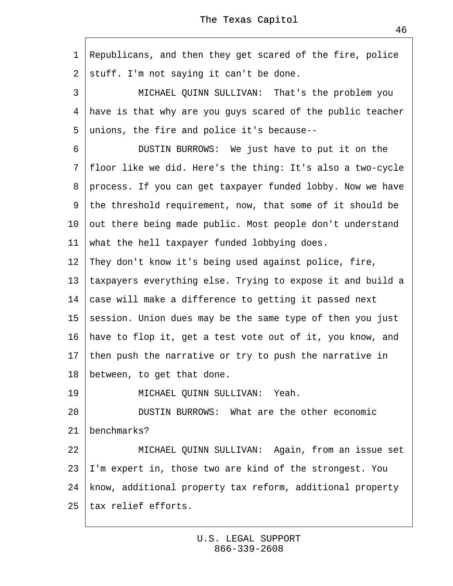<span id="page-45-0"></span>1 Republicans, and then they get scared of the fire, police 2 stuff. I'm not saying it can't be done. 3 | MICHAEL QUINN SULLIVAN: That's the problem you 4 have is that why are you guys scared of the public teacher ·5· unions, the fire and police it's because-- 6 **DUSTIN BURROWS:** We just have to put it on the ·7· floor like we did. Here's the thing: It's also a two-cycle 8 process. If you can get taxpayer funded lobby. Now we have 9 the threshold requirement, now, that some of it should be 10 but there being made public. Most people don't understand 11 what the hell taxpayer funded lobbying does. 12 They don't know it's being used against police, fire, 13 taxpayers everything else. Trying to expose it and build a 14 ¢ase will make a difference to getting it passed next 15 session. Union dues may be the same type of then you just 16 have to flop it, get a test vote out of it, you know, and 17· then push the narrative or try to push the narrative in 18 between, to get that done. 19 | MICHAEL QUINN SULLIVAN: Yeah. 20 **DUSTIN BURROWS:** What are the other economic 21 benchmarks? 22 | MICHAEL QUINN SULLIVAN: Again, from an issue set 23 I'm expert in, those two are kind of the strongest. You 24· know, additional property tax reform, additional property 25· tax relief efforts.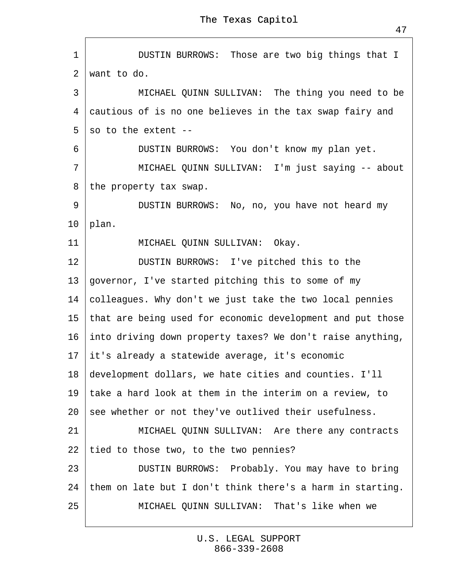<span id="page-46-0"></span>1 | DUSTIN BURROWS: Those are two big things that I 2 want to do. 3 | MICHAEL QUINN SULLIVAN: The thing you need to be 4 cautious of is no one believes in the tax swap fairy and 5 so to the extent --6 **DUSTIN BURROWS:** You don't know my plan yet. 7 | MICHAEL QUINN SULLIVAN: I'm just saying -- about 8 the property tax swap. 9 | DUSTIN BURROWS: No, no, you have not heard my 10  $\phi$ lan. 11 | MICHAEL QUINN SULLIVAN: Okay. 12 **DUSTIN BURROWS:** I've pitched this to the 13 governor, I've started pitching this to some of my 14 colleagues. Why don't we just take the two local pennies 15 that are being used for economic development and put those 16· into driving down property taxes? We don't raise anything, 17 it's already a statewide average, it's economic 18· development dollars, we hate cities and counties. I'll 19· take a hard look at them in the interim on a review, to 20 see whether or not they've outlived their usefulness. 21 | MICHAEL QUINN SULLIVAN: Are there any contracts 22 tied to those two, to the two pennies? 23 | DUSTIN BURROWS: Probably. You may have to bring 24 them on late but I don't think there's a harm in starting. 25 **I** MICHAEL QUINN SULLIVAN: That's like when we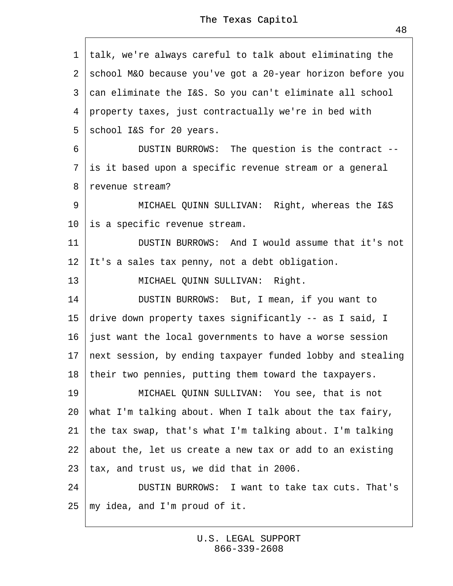<span id="page-47-0"></span>·1· talk, we're always careful to talk about eliminating the 2 school M&O because you've got a 20-year horizon before you 3 can eliminate the I&S. So you can't eliminate all school ·4· property taxes, just contractually we're in bed with 5 school I&S for 20 years. 6 | DUSTIN BURROWS: The question is the contract --7 is it based upon a specific revenue stream or a general 8 revenue stream? 9 | MICHAEL QUINN SULLIVAN: Right, whereas the I&S 10 is a specific revenue stream. 11 **DUSTIN BURROWS:** And I would assume that it's not 12  $\|$ t's a sales tax penny, not a debt obligation. 13 | MICHAEL QUINN SULLIVAN: Right. 14 | DUSTIN BURROWS: But, I mean, if you want to 15 drive down property taxes significantly -- as I said, I 16· just want the local governments to have a worse session 17 next session, by ending taxpayer funded lobby and stealing 18· their two pennies, putting them toward the taxpayers. 19 | MICHAEL QUINN SULLIVAN: You see, that is not 20· what I'm talking about. When I talk about the tax fairy, 21· the tax swap, that's what I'm talking about. I'm talking 22· about the, let us create a new tax or add to an existing 23· tax, and trust us, we did that in 2006. 24 **DUSTIN BURROWS:** I want to take tax cuts. That's

25· my idea, and I'm proud of it.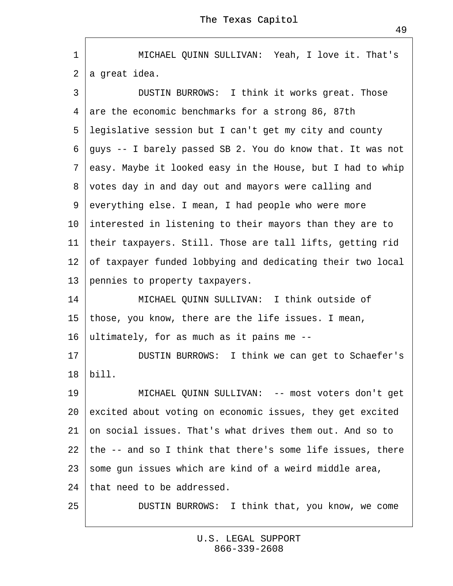<span id="page-48-0"></span>1 | MICHAEL QUINN SULLIVAN: Yeah, I love it. That's 2 a great idea.

3 | DUSTIN BURROWS: I think it works great. Those 4 are the economic benchmarks for a strong 86, 87th ·5· legislative session but I can't get my city and county ·6· guys -- I barely passed SB 2. You do know that. It was not ·7· easy. Maybe it looked easy in the House, but I had to whip 8 votes day in and day out and mayors were calling and 9 everything else. I mean, I had people who were more 10 interested in listening to their mayors than they are to 11· their taxpayers. Still. Those are tall lifts, getting rid 12 of taxpayer funded lobbying and dedicating their two local 13 pennies to property taxpayers. 14 **MICHAEL QUINN SULLIVAN: I think outside of** 15 those, you know, there are the life issues. I mean, 16 ultimately, for as much as it pains me --17 | DUSTIN BURROWS: I think we can get to Schaefer's 18· bill. 19 | MICHAEL QUINN SULLIVAN: -- most voters don't get 20 excited about voting on economic issues, they get excited 21 on social issues. That's what drives them out. And so to 22· the -- and so I think that there's some life issues, there 23 some gun issues which are kind of a weird middle area, 24 that need to be addressed.

25 | DUSTIN BURROWS: I think that, you know, we come

[U.S. LEGAL SUPPORT](http://www.uslegalsupport.com)  $866 - 339 - 2608$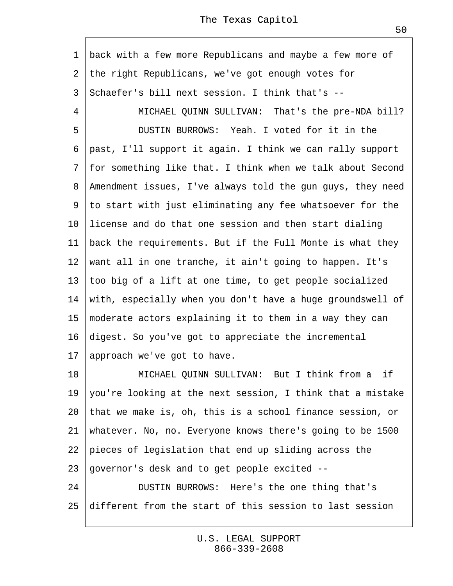<span id="page-49-0"></span>1 back with a few more Republicans and maybe a few more of 2 the right Republicans, we've got enough votes for ·3· Schaefer's bill next session. I think that's -- 4 | MICHAEL QUINN SULLIVAN: That's the pre-NDA bill? 5 **DUSTIN BURROWS: Yeah. I voted for it in the** ·6· past, I'll support it again. I think we can rally support ·7· for something like that. I think when we talk about Second 8 Amendment issues, I've always told the gun guys, they need 9 to start with just eliminating any fee whatsoever for the 10 license and do that one session and then start dialing 11 back the requirements. But if the Full Monte is what they 12 want all in one tranche, it ain't going to happen. It's 13· too big of a lift at one time, to get people socialized 14 with, especially when you don't have a huge groundswell of 15 moderate actors explaining it to them in a way they can 16 digest. So you've got to appreciate the incremental 17· approach we've got to have. 18 | MICHAEL QUINN SULLIVAN: But I think from a if 19 you're looking at the next session, I think that a mistake 20· that we make is, oh, this is a school finance session, or 21 whatever. No, no. Everyone knows there's going to be 1500 22 pieces of legislation that end up sliding across the 23· governor's desk and to get people excited -- 24 | DUSTIN BURROWS: Here's the one thing that's 25· different from the start of this session to last session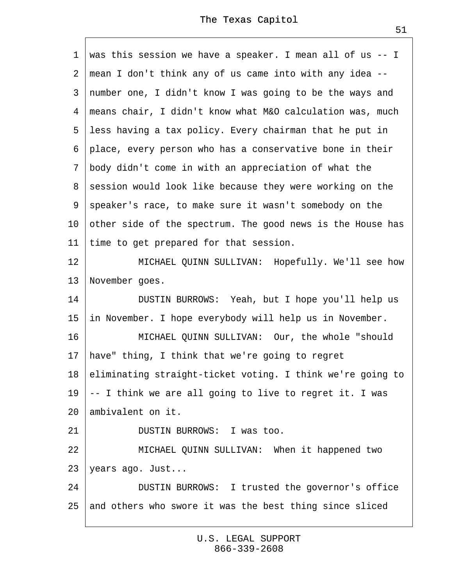<span id="page-50-0"></span>·1· was this session we have a speaker. I mean all of us -- I ·2· mean I don't think any of us came into with any idea -- 3 number one, I didn't know I was going to be the ways and 4 means chair, I didn't know what M&O calculation was, much 5 less having a tax policy. Every chairman that he put in ·6· place, every person who has a conservative bone in their ·7· body didn't come in with an appreciation of what the 8 session would look like because they were working on the ·9· speaker's race, to make sure it wasn't somebody on the 10 other side of the spectrum. The good news is the House has 11 time to get prepared for that session. 12 | MICHAEL QUINN SULLIVAN: Hopefully. We'll see how 13 November goes. 14 | DUSTIN BURROWS: Yeah, but I hope you'll help us 15 in November. I hope everybody will help us in November. 16 | MICHAEL QUINN SULLIVAN: Our, the whole "should" 17 have" thing, I think that we're going to regret 18 eliminating straight-ticket voting. I think we're going to 19  $+$  I think we are all going to live to regret it. I was 20 ambivalent on it. 21 **DUSTIN BURROWS: I was too.** 22 | MICHAEL QUINN SULLIVAN: When it happened two 23 years ago. Just... 24 | DUSTIN BURROWS: I trusted the governor's office 25 and others who swore it was the best thing since sliced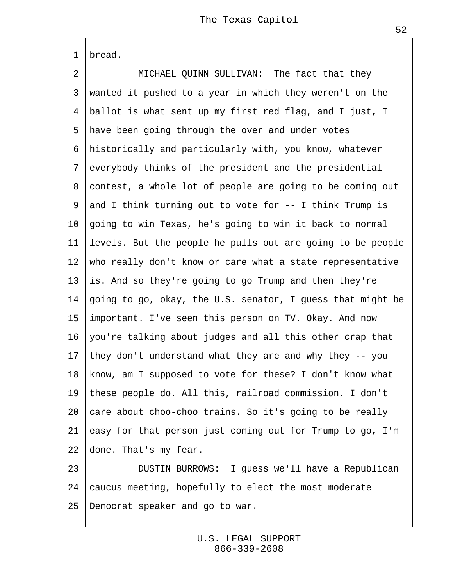<span id="page-51-0"></span>

2 | MICHAEL QUINN SULLIVAN: The fact that they 3 wanted it pushed to a year in which they weren't on the 4 ballot is what sent up my first red flag, and I just, I 5 have been going through the over and under votes ·6· historically and particularly with, you know, whatever ·7· everybody thinks of the president and the presidential 8 contest, a whole lot of people are going to be coming out 9 and I think turning out to vote for -- I think Trump is 10· going to win Texas, he's going to win it back to normal 11· levels. But the people he pulls out are going to be people 12 who really don't know or care what a state representative 13· is. And so they're going to go Trump and then they're 14· going to go, okay, the U.S. senator, I guess that might be 15 important. I've seen this person on TV. Okay. And now 16· you're talking about judges and all this other crap that 17· they don't understand what they are and why they -- you 18· know, am I supposed to vote for these? I don't know what 19· these people do. All this, railroad commission. I don't 20 ¢are about choo-choo trains. So it's going to be really 21  $\epsilon$ asy for that person just coming out for Trump to go, I'm 22 done. That's my fear.

23 | DUSTIN BURROWS: I guess we'll have a Republican 24 ¢aucus meeting, hopefully to elect the most moderate 25 Democrat speaker and go to war.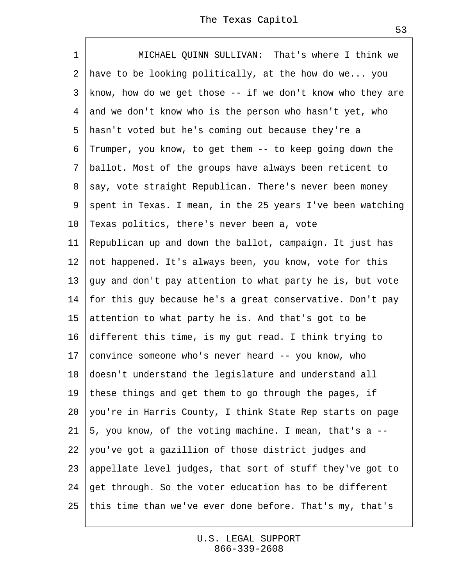<span id="page-52-0"></span>1 | MICHAEL QUINN SULLIVAN: That's where I think we 2 have to be looking politically, at the how do we... you 3 know, how do we get those -- if we don't know who they are 4 and we don't know who is the person who hasn't yet, who 5 hasn't voted but he's coming out because they're a ·6· Trumper, you know, to get them -- to keep going down the ·7· ballot. Most of the groups have always been reticent to 8 say, vote straight Republican. There's never been money 9 spent in Texas. I mean, in the 25 years I've been watching 10 Texas politics, there's never been a, vote 11 Republican up and down the ballot, campaign. It just has 12 not happened. It's always been, you know, vote for this 13· guy and don't pay attention to what party he is, but vote 14· for this guy because he's a great conservative. Don't pay 15 attention to what party he is. And that's got to be 16· different this time, is my gut read. I think trying to 17 convince someone who's never heard -- you know, who 18· doesn't understand the legislature and understand all 19 these things and get them to go through the pages, if 20· you're in Harris County, I think State Rep starts on page 21· 5, you know, of the voting machine. I mean, that's a -- 22 you've got a gazillion of those district judges and 23· appellate level judges, that sort of stuff they've got to 24· get through. So the voter education has to be different 25· this time than we've ever done before. That's my, that's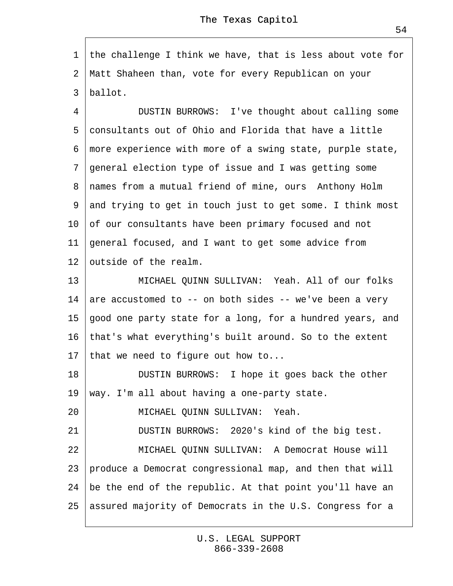<span id="page-53-0"></span>1 the challenge I think we have, that is less about vote for ·2· Matt Shaheen than, vote for every Republican on your 3 ballot.

4 | DUSTIN BURROWS: I've thought about calling some 5 consultants out of Ohio and Florida that have a little ·6· more experience with more of a swing state, purple state, ·7· general election type of issue and I was getting some 8 names from a mutual friend of mine, ours Anthony Holm 9 and trying to get in touch just to get some. I think most 10 of our consultants have been primary focused and not 11 general focused, and I want to get some advice from 12 butside of the realm. 13 **MICHAEL QUINN SULLIVAN: Yeah. All of our folks** 

14 are accustomed to -- on both sides -- we've been a very 15 good one party state for a long, for a hundred years, and 16· that's what everything's built around. So to the extent 17 that we need to figure out how to...

18 **DUSTIN BURROWS:** I hope it goes back the other 19 way. I'm all about having a one-party state.

20 | MICHAEL QUINN SULLIVAN: Yeah.

21 | DUSTIN BURROWS: 2020's kind of the big test.

22 **MICHAEL QUINN SULLIVAN: A Democrat House will** 

23 produce a Democrat congressional map, and then that will

24· be the end of the republic. At that point you'll have an

25· assured majority of Democrats in the U.S. Congress for a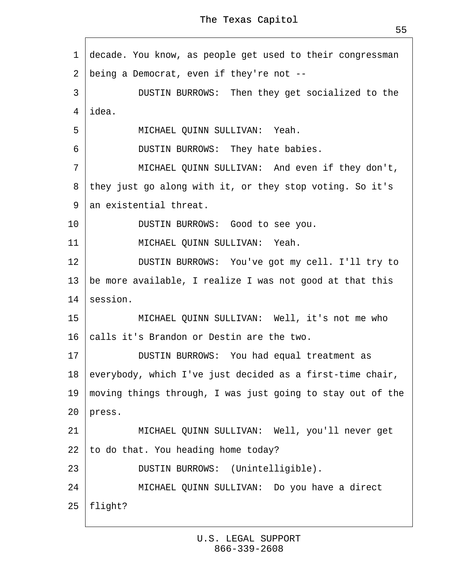<span id="page-54-0"></span>1 decade. You know, as people get used to their congressman

·2· being a Democrat, even if they're not --

3 | DUSTIN BURROWS: Then they get socialized to the 4 idea.

5 | MICHAEL QUINN SULLIVAN: Yeah.

6 **DUSTIN BURROWS:** They hate babies.

7 | MICHAEL QUINN SULLIVAN: And even if they don't,

8 they just go along with it, or they stop voting. So it's

9 an existential threat.

10 | DUSTIN BURROWS: Good to see you.

11 | MICHAEL QUINN SULLIVAN: Yeah.

12 | DUSTIN BURROWS: You've got my cell. I'll try to

13 be more available, I realize I was not good at that this

14 session.

15 | MICHAEL QUINN SULLIVAN: Well, it's not me who

16 talls it's Brandon or Destin are the two.

17 | DUSTIN BURROWS: You had equal treatment as

18 everybody, which I've just decided as a first-time chair,

19· moving things through, I was just going to stay out of the 20 press.

21 | MICHAEL QUINN SULLIVAN: Well, you'll never get

22 to do that. You heading home today?

23 | DUSTIN BURROWS: (Unintelligible).

24 | MICHAEL QUINN SULLIVAN: Do you have a direct

25· flight?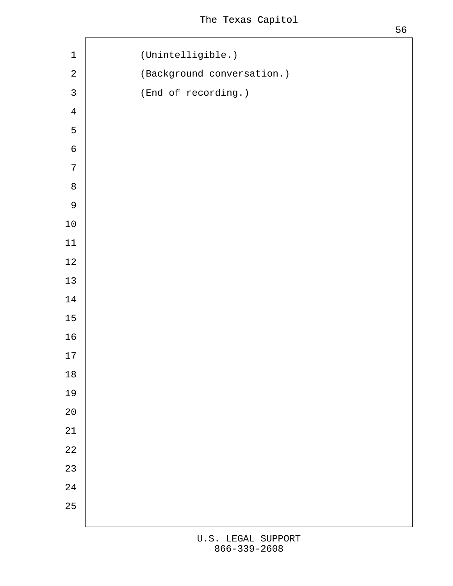<span id="page-55-0"></span>

| $\mathbf 1$              | (Unintelligible.)          |
|--------------------------|----------------------------|
| $\overline{2}$           | (Background conversation.) |
| $\mathbf{3}$             | (End of recording.)        |
| $\overline{\mathcal{A}}$ |                            |
| $\sqrt{5}$               |                            |
| $\,$ 6 $\,$              |                            |
| $\boldsymbol{7}$         |                            |
| $\bf 8$                  |                            |
| $\boldsymbol{9}$         |                            |
| $10$                     |                            |
| $11$                     |                            |
| 12                       |                            |
| 13                       |                            |
| 14                       |                            |
| 15                       |                            |
| $16\,$                   |                            |
| $17$                     |                            |
| $18$                     |                            |
| 19                       |                            |
| $20\,$                   |                            |
| 21                       |                            |
| 22                       |                            |
| 23                       |                            |
| 24                       |                            |
| 25                       |                            |
|                          |                            |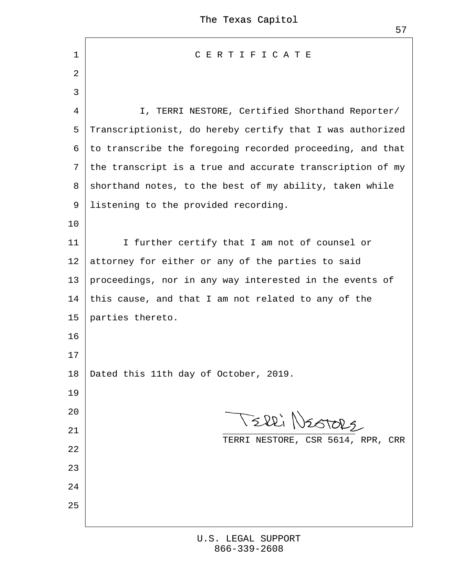| 1               | CERTIFICATE                                                 |
|-----------------|-------------------------------------------------------------|
| 2               |                                                             |
| 3               |                                                             |
| 4               | I, TERRI NESTORE, Certified Shorthand Reporter/             |
| 5               | Transcriptionist, do hereby certify that I was authorized   |
|                 | 6 to transcribe the foregoing recorded proceeding, and that |
|                 | 7 the transcript is a true and accurate transcription of my |
|                 | 8 shorthand notes, to the best of my ability, taken while   |
| 9               | listening to the provided recording.                        |
| 10              |                                                             |
| 11              | I further certify that I am not of counsel or               |
| 12 <sub>2</sub> | attorney for either or any of the parties to said           |
| 13              | proceedings, nor in any way interested in the events of     |
| 14              | this cause, and that I am not related to any of the         |
| 15              | parties thereto.                                            |
| 16              |                                                             |
| 17              |                                                             |
| 18              | Dated this 11th day of October, 2019.                       |
| 19              |                                                             |
| 20              |                                                             |
| 21              | TERRI NESTORE, CSR 5614, RPR, CRR                           |
| 22              |                                                             |
| 23              |                                                             |
| 24              |                                                             |
| 25              |                                                             |
|                 |                                                             |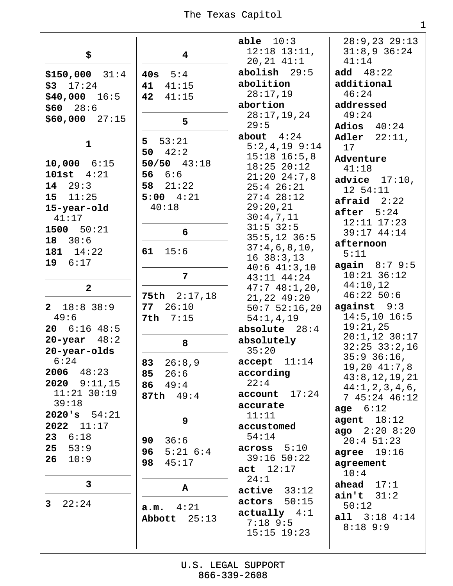|                                 |                                   | able $10:3$                         | $28:9,23$ $29:13$                 |
|---------------------------------|-----------------------------------|-------------------------------------|-----------------------------------|
| \$                              | $\overline{\mathbf{4}}$           | $12:18$ $13:11$ ,                   | $31:8,9$ 36:24                    |
|                                 |                                   | $20, 21$ $41:1$                     | 41:14                             |
| $$150,000$ $31:4$               | 40 $s$ 5:4                        | $abolish$ 29:5                      | add $48:22$                       |
| $$3$ $17:24$                    | 41:15<br>41                       | abolition                           | additional                        |
| $$40,000$ 16:5                  | 42<br>41:15                       | 28:17,19                            | 46:24                             |
| $$60$ $28:6$                    |                                   | abortion                            | addressed                         |
| $$60,000$ 27:15                 | 5                                 | 28:17,19,24                         | 49:24                             |
|                                 |                                   | 29:5                                | Adios $40:24$                     |
| $\mathbf{1}$                    | 5 53:21                           | about $4:24$                        | Adler $22:11$ ,                   |
|                                 | 50 $42:2$                         | $5:2,4,19$ 9:14<br>$15:18$ $16:5,8$ | 17                                |
| $10,000$ $6:15$                 | $50/50$ 43:18                     | $18:25$ $20:12$                     | Adventure                         |
| $101st$ $4:21$                  | 56 $6:6$                          | $21:20$ $24:7,8$                    | 41:18                             |
| 14 29:3                         | 58 $21:22$                        | $25:4$ $26:21$                      | advice $17:10$ ,                  |
| $15 \quad 11:25$                | $5:00$ $4:21$                     | $27:4$ 28:12                        | 12 54:11<br>$\alpha$ fraid $2:22$ |
| 15-year-old                     | 40:18                             | 29:20,21                            |                                   |
| 41:17                           |                                   | 30:4,7,11                           | after $5:24$<br>$12:11$ $17:23$   |
| 1500 50:21                      | 6                                 | $31:5$ 32:5                         | 39:17 44:14                       |
| 18 30:6                         |                                   | $35:5, 12$ 36:5                     | afternoon                         |
| 181 $14:22$                     | 61<br>15:6                        | 37:4,6,8,10,                        | 5:11                              |
| 19 6:17                         |                                   | $16\ \ 38:3,13$<br>$40:6$ $41:3,10$ | again 8:79:5                      |
|                                 | 7                                 | $43:11$ $44:24$                     | $10:21$ 36:12                     |
| $\mathbf{2}$                    |                                   | 47:748:1,20,                        | 44:10,12                          |
|                                 | 75th $2:17,18$                    | $21,22$ 49:20                       | $46:22$ 50:6                      |
| $2 \quad 18:8 \quad 38:9$       | 26:10<br>77                       | $50:7$ 52:16,20                     | against $9:3$                     |
| 49:6                            | 7:15<br>7th                       | 54:1,4,19                           | $14:5,10$ 16:5                    |
| $20$ 6:16 48:5                  |                                   | absolute $28:4$                     | 19:21,25<br>$20:1,12$ 30:17       |
| $20$ -year $48:2$               | 8                                 | absolutely                          | $32:25$ $33:2,16$                 |
| 20-year-olds                    |                                   | 35:20                               | $35:9$ $36:16$ ,                  |
| 6:24                            | 83 26:8,9                         | accept 11:14                        | $19, 20$ $41:7, 8$                |
| $2006$ $48:23$                  | 26:6<br>85                        | according                           | 43:8, 12, 19, 21                  |
| 2020 9:11,15<br>$11:21$ $30:19$ | 49:4<br>86                        | 22:4                                | 44:1, 2, 3, 4, 6,                 |
| 39:18                           | 87th 49:4                         | account 17:24<br>accurate           | 745:2446:12                       |
| 2020's 54:21                    |                                   | 11:11                               | age $6:12$                        |
| $2022$ $11:17$                  | 9                                 | accustomed                          | agent $18:12$                     |
| 23 <sub>o</sub><br>6:18         |                                   | 54:14                               | $ago$ $2:20$ $8:20$               |
| 25<br>53:9                      | 36:6<br>90                        | across 5:10                         | $20:4$ 51:23                      |
| 26<br>10:9                      | $5:21$ $6:4$<br>96<br>45:17<br>98 | $39:16$ 50:22                       | agree $19:16$                     |
|                                 |                                   | act 12:17                           | agreement<br>10:4                 |
| 3                               |                                   | 24:1                                | ahead $17:1$                      |
|                                 | Α                                 | $active$ 33:12                      | aint 31:2                         |
| 22:24<br>$\mathbf{3}$           | 4:21<br>a.m.                      | actors 50:15                        | 50:12                             |
|                                 | Abbott 25:13                      | $actually$ 4:1                      | all $3:18$ 4:14                   |
|                                 |                                   | $7:18$ 9:5                          | $8:18$ 9:9                        |
|                                 |                                   | $15:15$ $19:23$                     |                                   |
|                                 |                                   |                                     |                                   |

 $\mathbf 1$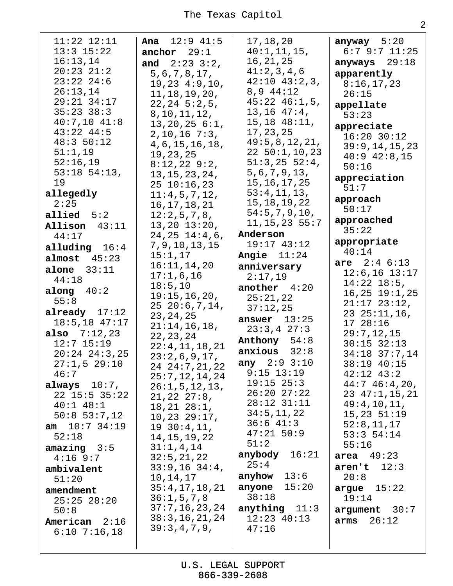| $11:22$ $12:11$   | <b>Ana</b> $12:9$ $41:5$   | 17,18,20           | anyway $5:20$       |
|-------------------|----------------------------|--------------------|---------------------|
| $13:3$ $15:22$    | anchor $29:1$              | 40:1, 11, 15,      | 6:79:711:25         |
| 16:13,14          | and $2:23:3:2$ ,           | 16, 21, 25         | anyways $29:18$     |
| $20:23$ $21:2$    | 5, 6, 7, 8, 17,            | 41:2,3,4,6         | apparently          |
| $23:22$ $24:6$    | 19, 23, 4:9, 10,           | $42:10$ $43:2,3$ , | 8:16,17,23          |
| 26:13,14          | 11, 18, 19, 20,            | $8,9$ 44:12        | 26:15               |
| 29:21 34:17       | $22, 24$ 5:2,5,            | $45:22$ $46:1,5$ , | appellate           |
| $35:23$ $38:3$    | 8, 10, 11, 12,             | $13, 16$ $47:4$ ,  | 53:23               |
| $40:7,10$ $41:8$  | $13, 20, 25$ 6:1,          | $15, 18$ $48:11,$  | appreciate          |
| $43:22$ $44:5$    | $2, 10, 16$ 7:3,           | 17, 23, 25         | $16:20$ 30:12       |
| 48:350:12         | 4, 6, 15, 16, 18,          | 49:5, 8, 12, 21,   | 39:9, 14, 15, 23    |
| 51:1,19           | 19, 23, 25                 | 22, 50:1, 10, 23   | $40:9$ $42:8,15$    |
| 52:16,19          | $8:12,22$ 9:2,             | $51:3,25$ 52:4,    | 50:16               |
| $53:18$ $54:13$ , | 13, 15, 23, 24,            | 5, 6, 7, 9, 13,    | appreciation        |
| 19                | $25 \t10:16,23$            | 15, 16, 17, 25     | 51:7                |
| allegedly         | 11:4,5,7,12,               | 53:4,11,13,        | approach            |
| 2:25              | 16, 17, 18, 21             | 15, 18, 19, 22     | 50:17               |
| allied $5:2$      | 12:2,5,7,8,                | 54:5, 7, 9, 10,    | approached          |
| Allison 43:11     | $13, 20$ $13:20$ ,         | $11, 15, 23$ 55:7  | 35:22               |
| 44:17             | $24, 25$ $14:4, 6$ ,       | Anderson           | appropriate         |
| alluding $16:4$   | 7, 9, 10, 13, 15           | 19:17 43:12        | 40:14               |
| almost<br>45:23   | 15:1,17                    | Angie $11:24$      | are $2:46:13$       |
| alone $33:11$     | 16:11,14,20                | anniversary        | $12:6, 16$ $13:17$  |
| 44:18             | 17:1,6,16                  | 2:17,19            | $14:22$ $18:5$ ,    |
| along $40:2$      | 18:5, 10                   | another $4:20$     | $16, 25$ $19:1, 25$ |
| 55:8              | 19:15, 16, 20,             | 25:21,22           | $21:17$ $23:12$ ,   |
| already $17:12$   | $25\ 20:6,7,14,$           | 37:12,25           | $2325:11,16$ ,      |
| $18:5, 18$ 47:17  | 23, 24, 25                 | answer $13:25$     | 17 28:16            |
| also $7:12,23$    | 21:14,16,18,<br>22, 23, 24 | 23:3,427:3         | 29:7,12,15          |
| $12:7$ $15:19$    | 22:4,11,18,21              | Anthony 54:8       | $30:15$ $32:13$     |
| $20:24$ $24:3,25$ | 23:2,6,9,17,               | $anxious$ $32:8$   | 34:18 37:7,14       |
| 27:1,529:10       | 24 24:7, 21, 22            | any 2:9 3:10       | 38:19 40:15         |
| 46:7              | 25:7, 12, 14, 24           | $9:15$ 13:19       | $42:12$ $43:2$      |
| always $10:7$ ,   | 26:1, 5, 12, 13,           | $19:15$ $25:3$     | 44:746:4,20,        |
| $22$ 15:5 35:22   | $21,22$ $27:8$ ,           | $26:20$ $27:22$    | $23$ $47:1, 15, 21$ |
| $40:1$ $48:1$     | 18, 21, 28:1,              | $28:12$ $31:11$    | 49:4,10,11,         |
| $50:8$ 53:7,12    | 10, 23, 29:17,             | 34:5, 11, 22       | 15, 23, 51:19       |
| $am$ 10:7 34:19   | 1930:4,11,                 | 36:641:3           | 52:8, 11, 17        |
| 52:18             | 14, 15, 19, 22             | $47:21$ 50:9       | $53:3$ $54:14$      |
| $amazing$ $3:5$   | 31:1,4,14                  | 51:2               | 55:16               |
| $4:16$ 9:7        | 32:5, 21, 22               | anybody $16:21$    | area $49:23$        |
| ambivalent        | $33:9,16$ $34:4$ ,         | 25:4               | aren't<br>12:3      |
| 51:20             | 10, 14, 17                 | anyhow $13:6$      | 20:8                |
| amendment         | 35:4, 17, 18, 21           | anyone $15:20$     | argue $15:22$       |
| $25:25$ $28:20$   | 36:1, 5, 7, 8              | 38:18              | 19:14               |
| 50:8              | 37:7, 16, 23, 24           | anything $11:3$    | $argument$ 30:7     |
| American 2:16     | 38:3, 16, 21, 24           | $12:23$ 40:13      | 26:12<br>arms       |
| $6:10$ 7:16,18    | 39:3,4,7,9,                | 47:16              |                     |
|                   |                            |                    |                     |
|                   |                            |                    |                     |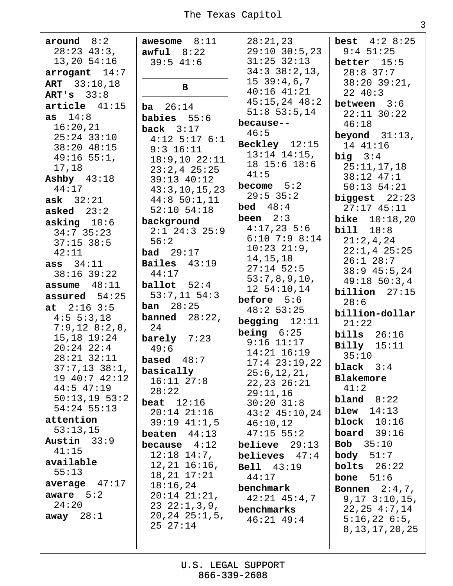3

around  $8:2$ awesome  $8:11$  $28:23$  43:3,  $13,20$  54:16  $\arccosant$  14:7 **ART** 33:10,18 ART's  $33:8$  $article$  41:15  $as 14:8$  $16:20,21$  $25:24$  33:10  $38:20$  48:15  $49:16$  55:1, 17,18 Ashby  $43:18$  $44:17$  $ask$  32:21 asked  $23:2$ asking  $10:6$  $34:7$  35:23  $37:15$  38:5  $42:11$  $ass 34:11$  $38:16$  39:22 assume  $48:11$ assured  $54:25$ at  $2:16$  3:5  $4:5 \t5:3,18$  $7:9,12$   $8:2,8$ ,  $15, 18$   $19:24$  $20:24$   $22:4$  $28:21$   $32:11$  $37:7,13$   $38:1$ , 19 40:7 42:12  $44:5$  47:19  $50:13,19$   $53:2$  $54:24$  55:13 attention  $53:13,15$ Austin  $33:9$  $41:15$ available  $55:13$ average  $47:17$ aware  $5:2$  $24:20$ away  $28:1$ 

 $awful 8:22$  $39:5$  41:6  $\mathbf{B}$  $ba = 26:14$ babies  $55:6$ back  $3:17$  $4:12$  5:17 6:1  $9:3$  16:11  $18:9.10$   $22:11$  $23:2,4$   $25:25$  $39:13$  40:12  $43:3,10,15,23$  $44:8$  50:1,11  $52:10$   $54:18$ background  $2:1$  24:3 25:9  $56:2$ **bad**  $29:17$ **Bailes**  $43:19$  $44:17$ ballot  $52:4$  $53:7,11$   $54:3$ **ban**  $28:25$ banned  $28:22$ , 24  $barelv$  7:23  $49:6$ **based**  $48:7$ basically  $16:11$   $27:8$  $28:22$ beat  $12:16$  $20:14$   $21:16$  $39:19$   $41:1,5$ beaten  $44:13$ because  $4:12$  $12:18$   $14:7$ ,  $12, 21$   $16:16$ ,  $18, 21$   $17:21$  $18:16,24$  $20:14$   $21:21$ ,  $23$   $22:1,3,9$ ,  $20, 24$   $25:1, 5,$  $2527:14$ 

 $28:21,23$  $29:10$   $30:5,23$  $31:25$   $32:13$  $34:338:2,13,$  $15, 39:4, 6, 7$  $40:16$   $41:21$  $45:15,24$   $48:2$  $51:8$  53:5,14 because-- $46:5$ Beckley  $12:15$  $13:14$   $14:15$ , 18 15:6 18:6  $41:5$ become  $5:2$  $29:5$  35:2 **bed**  $48:4$ been  $2:3$  $4:17,23$  5:6  $6:10$  7:9 8:14  $10:23$   $21:9$ , 14, 15, 18  $27:14$  52:5  $53:7,8,9,10,$ 12 54:10,14 before  $5:6$  $48:253:25$ begging  $12:11$ **being**  $6:25$  $9:16$   $11:17$  $14:21$   $16:19$  $17:4$   $23:19.22$  $25:6, 12, 21,$  $22, 23, 26:21$  $29:11,16$  $30:20$   $31:8$  $43:2$   $45:10,24$  $46:10,12$  $47:15$  55:2 believe  $29:13$ believes  $47:4$ **Bell** 43:19  $44:17$ benchmark  $42:21$   $45:4,7$ benchmarks  $46:21$   $49:4$ 

**best**  $4:2 \ 8:25$  $9:4$  51:25 better  $15:5$  $28:8$  37:7  $38:20$   $39:21$ ,  $22 \t 40:3$ between  $3:6$  $22:11$   $30:22$  $46:18$ beyond  $31:13$ , 14 41:16 big  $3:4$  $25:11,17,18$  $38:12$  47:1  $50:13$   $54:21$ biqqest  $22:23$  $27:17$  45:11 **bike**  $10:18,20$  $bili1 18:8$  $21:2,4,24$  $22:1,4$   $25:25$  $26:1$  28:7  $38:9$  45:5,24  $49:18$  50:3,4  $$  $28:6$ billion-dollar  $21:22$  $bills$   $26:16$  $Billy$  15:11  $35:10$ black  $3:4$ Blakemore  $41:2$ bland  $8:22$ blew  $14:13$ block  $10:16$ board  $39:16$ Bob  $35:10$ body  $51:7$  $bolts$   $26:22$ bone  $51:6$ **Bonnen**  $2:4,7$ ,  $9, 17, 3:10, 15,$  $22, 25, 4:7, 14$  $5:16,226:5,$ 8, 13, 17, 20, 25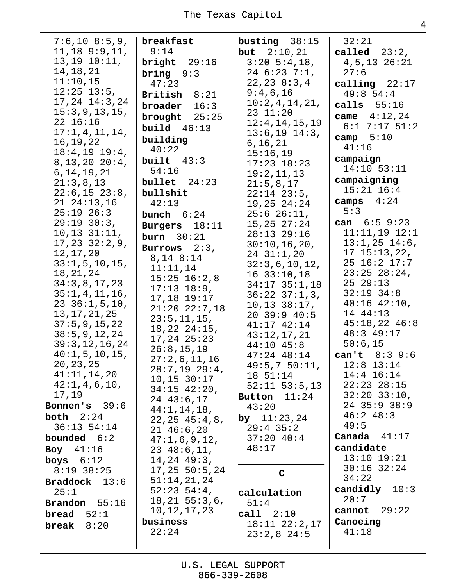| $7:6,10$ 8:5,9,             | breakfast                       | busting $38:15$      | 32:21                               |
|-----------------------------|---------------------------------|----------------------|-------------------------------------|
| $11, 18$ 9:9, 11,           | 9:14                            | <b>but</b> $2:10,21$ | called $23:2$ ,                     |
| $13, 19$ $10:11,$           | bright $29:16$                  | $3:20 \ 5:4,18,$     | $4, 5, 13$ $26:21$                  |
| 14, 18, 21                  | bring $9:3$                     | $246:237:1$ ,        | 27:6                                |
| 11:10,15                    | 47:23                           | 22, 23, 8:3, 4       | calling $22:17$                     |
| $12:25$ $13:5$ ,            | British $8:21$                  | 9:4,6,16             | 49:854:4                            |
| $17, 24$ $14:3, 24$         | broader<br>16:3                 | 10:2,4,14,21,        | calls $55:16$                       |
| 15:3,9,13,15,               |                                 | 23 11:20             |                                     |
| 22 16:16                    | brought $25:25$                 | 12:4, 14, 15, 19     | came $4:12,24$<br>$6:1$ 7:17 $51:2$ |
| 17:1,4,11,14,               | <b>build</b> $46:13$            | $13:6, 19$ $14:3,$   |                                     |
| 16, 19, 22                  | building                        | 6, 16, 21            | camp $5:10$                         |
| 18:4, 19 19:4,              | 40:22                           | 15:16,19             | 41:16                               |
| 8, 13, 20, 20:4,            | built $43:3$                    | $17:23$ $18:23$      | campaign                            |
| 6, 14, 19, 21               | 54:16                           | 19:2,11,13           | $14:10$ 53:11                       |
| 21:3,8,13                   | bullet $24:23$                  | 21:5,8,17            | campaigning                         |
| $22:6, 15$ $23:8,$          | bullshit                        | $22:14$ $23:5$ ,     | $15:21$ $16:4$                      |
| $21 \t24:13,16$             | 42:13                           | $19,25$ $24:24$      | 4:24<br>camps                       |
| $25:19$ $26:3$              | bunch $6:24$                    | $25:6$ $26:11$ ,     | 5:3                                 |
| 29:19:30:3,                 | Burgers 18:11                   | 15, 25, 27:24        | can $6:59:23$                       |
| $10, 13$ $31:11,$           | burn $30:21$                    | 28:13 29:16          | $11:11,19$ $12:1$                   |
| $17, 23$ $32:2, 9$ ,        |                                 | 30:10, 16, 20,       | $13:1,25$ $14:6$ ,                  |
| 12, 17, 20                  | Burrows $2:3$ ,                 | $24$ $31:1,20$       | $17$ $15:13,22,$                    |
| 33:1, 5, 10, 15,            | 8,14 8:14                       | 32:3,6,10,12,        | 25 16:2 17:7                        |
| 18, 21, 24                  | 11:11,14                        | $16$ 33:10,18        | $23:25$ $28:24$ ,                   |
| 34:3,8,17,23                | $15:25$ $16:2,8$                | $34:17$ $35:1,18$    | 2529:13                             |
| 35:1,4,11,16,               | $17:13$ $18:9$ ,                | $36:22$ $37:1,3$ ,   | $32:19$ $34:8$                      |
| $23 \t36:1,5,10,$           | 17,18 19:17                     | $10, 13$ $38:17$ ,   | $40:16$ $42:10$ ,                   |
| 13, 17, 21, 25              | $21:20$ $22:7,18$               | 20 39:9 40:5         | 14 44:13                            |
| 37:5,9,15,22                | 23:5, 11, 15,                   | $41:17$ $42:14$      | $45:18,22$ $46:8$                   |
| 38:5, 9, 12, 24             | $18, 22$ $24:15$ ,              | 43:12,17,21          | 48:3 49:17                          |
| 39:3, 12, 16, 24            | $17, 24$ $25:23$                | $44:10$ $45:8$       | 50:6,15                             |
| 40:1, 5, 10, 15,            | 26:8,15,19                      | $47:24$ $48:14$      | can't 8:3 9:6                       |
| 20, 23, 25                  | 27:2,6,11,16                    | 49:5,750:11,         | $12:8$ 13:14                        |
| 41:11,14,20                 | $28:7,19$ 29:4,                 | 18 51:14             | $14:4$ $16:14$                      |
| 42:1, 4, 6, 10,             | 10, 15, 30:17                   | $52:11$ $53:5,13$    | $22:23$ $28:15$                     |
| 17,19                       | $34:15$ $42:20$ ,               | Button $11:24$       | $32:20$ $33:10$ ,                   |
| <b>Bonnen's</b> $39:6$      | $24$ 43:6,17                    | 43:20                | 24 35:9 38:9                        |
| both $2:24$                 | 44:1, 14, 18,                   | by $11:23,24$        | 46:248:3                            |
| $36:13$ $54:14$             | 22, 25, 45:4, 8,                | $29:4$ 35:2          | 49:5                                |
| <b>bounded</b> $6:2$        | $21\;46:6,20$                   | 37:2040:4            | Canada $41:17$                      |
| Boy $41:16$                 | 47:1,6,9,12,                    | 48:17                | candidate                           |
|                             | $23\;48:6,11,$                  |                      | $13:10$ $19:21$                     |
| boys $6:12$<br>$8:19$ 38:25 | $14, 24$ $49:3,$                |                      | $30:16$ $32:24$                     |
|                             | 17, 25, 50:5, 24<br>51:14,21,24 | $\mathbf C$          | 34:22                               |
| <b>Braddock</b> $13:6$      | $52:23 \ 54:4,$                 |                      | candidly $10:3$                     |
| 25:1                        | $18, 21$ 55:3,6,                | calculation          | 20:7                                |
| <b>Brandon</b> $55:16$      | 10, 12, 17, 23                  | 51:4                 | cannot $29:22$                      |
| bread $52:1$                | business                        | call 2:10            | Canoeing                            |
| break<br>8:20               | 22:24                           | $18:11$ $22:2,17$    | 41:18                               |
|                             |                                 | $23:2,8$ 24:5        |                                     |
|                             |                                 |                      |                                     |

 $\overline{4}$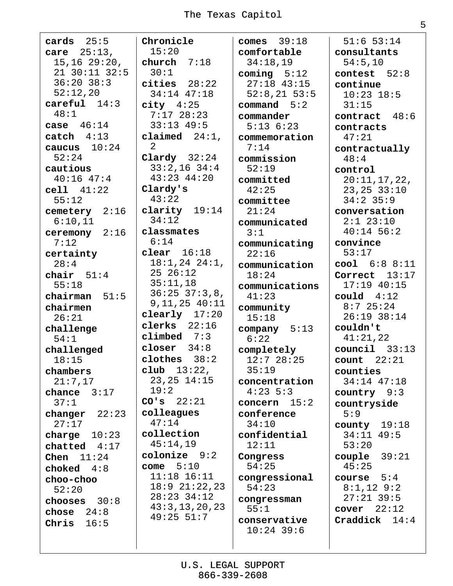| $cards$ 25:5          | Chronicle          | comes $39:18$           |
|-----------------------|--------------------|-------------------------|
| <b>care</b> $25:13$ , | 15:20              | comfortable             |
| $15, 16$ $29:20$ ,    | church $7:18$      | 34:18,19                |
| 21 30:11 32:5         | 30:1               | coming $5:12$           |
| $36:20$ $38:3$        | cities $28:22$     | $27:18$ 43:15           |
| 52:12,20              | $34:14$ $47:18$    | $52:8, 21$ 53:5         |
| $careful$ $14:3$      | $city$ 4:25        | command 5:2             |
| 48:1                  | $7:17$ 28:23       | commander               |
| case $46:14$          | $33:13$ 49:5       | $5:13 \ 6:23$           |
| $\texttt{catch}$ 4:13 | claimed $24:1$ ,   | commemoration           |
| caucus $10:24$        | 2                  | 7:14                    |
| 52:24                 | Clardy $32:24$     | commission              |
| cautious              | $33:2,16$ $34:4$   | 52:19                   |
| $40:16$ $47:4$        | 43:23 44:20        | committed               |
| cell 41:22            | Clardy's           | 42:25                   |
| 55:12                 | 43:22              | committee               |
| cemetery 2:16         | clarity $19:14$    | 21:24                   |
| 6:10,11               | 34:12              | communicated            |
| ceremony $2:16$       | classmates<br>6:14 | 3:1                     |
| 7:12                  | clear $16:18$      | communicating           |
| certainty<br>28:4     | $18:1,24$ $24:1,$  | 22:16                   |
|                       | $25\ 26:12$        | communication           |
| chair $51:4$<br>55:18 | 35:11,18           | 18:24                   |
| chairman $51:5$       | $36:25$ $37:3,8$ , | communications<br>41:23 |
| chairmen              | 9, 11, 25, 40:11   | community               |
| 26:21                 | clearly $17:20$    | 15:18                   |
| challenge             | clerks $22:16$     | company 5:13            |
| 54:1                  | climbed $7:3$      | 6:22                    |
| challenged            | closer $34:8$      | completely              |
| 18:15                 | clothes $38:2$     | 12:728:25               |
| chambers              | $club$ $13:22$ ,   | 35:19                   |
| 21:7,17               | $23, 25$ $14:15$   | concentration           |
| chance $3:17$         | 19:2               | $4:23 \; 5:3$           |
| 37:1                  | $CO's$ 22:21       | concern $15:2$          |
| changer $22:23$       | colleagues         | conference              |
| 27:17                 | 47:14              | 34:10                   |
| charge $10:23$        | collection         | confidential            |
| chatted $4:17$        | 45:14,19           | 12:11                   |
| Chen $11:24$          | $colonize$ $9:2$   | Congress                |
| choked $4:8$          | come $5:10$        | 54:25                   |
| choo-choo             | $11:18$ $16:11$    | congressional           |
| 52:20                 | $18:9$ $21:22,23$  | 54:23                   |
| chooses $30:8$        | $28:23$ 34:12      | congressman             |
| chose $24:8$          | 43:3, 13, 20, 23   | 55:1                    |
| Chris $16:5$          | $49:25$ 51:7       | conservative            |
|                       |                    | $10:24$ 39:6            |

 $51:6$  53:14 consultants  $54:5,10$ contest  $52:8$ continue  $10:23$   $18:5$  $31:15$ contract  $48:6$ contracts  $47:21$ contractually  $48:4$ control  $20:11,17,22,$  $23, 25$   $33:10$  $34:2$  35:9 conversation  $2:1$  23:10  $40:14$  56:2 convince  $53:17$  $cool 6:8 8:11$ Correct  $13:17$  $17:19$   $40:15$ could  $4:12$  $8:7$  25:24  $26:19$   $38:14$ couldn't  $41:21,22$  $count1$  33:13 count  $22:21$ counties 34:14 47:18 country  $9:3$ countryside  $5:9$ county  $19:18$  $34:11$   $49:5$  $53:20$ couple  $39:21$  $45:25$ course  $5:4$  $8:1,12$  9:2  $27:21$  39:5 cover  $22:12$ Craddick  $14:4$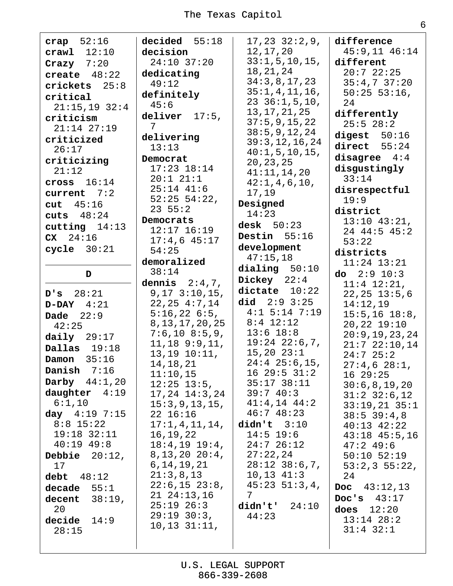crap  $52:16$  $crawl$   $12:10$ Crazy  $7:20$ create  $48:22$  $crickets$  25:8 critical  $21:15,19$  32:4 criticism  $21:14$   $27:19$ criticized  $26:17$ criticizing  $21:12$ cross  $16:14$ current  $7:2$ cut  $45:16$ cuts  $48:24$ cutting  $14:13$  $CX 24:16$  $cycle$   $30:21$ D  $D'S$  28:21  $D-DAY$  4:21 Dade  $22:9$  $42:25$ daily  $29:17$ Dallas  $19:18$ Damon  $35:16$ Danish  $7:16$ Darby  $44:1,20$ daughter 4:19  $6:1,10$ day  $4:19$  7:15  $8:8$  15:22  $19:18$   $32:11$  $40:19$   $49:8$ Debbie  $20:12$ ,  $17$ debt  $48:12$  $decade$  55:1 decent  $38:19$ , 20 decide  $14:9$  $28:15$ 

decided  $55:18$ decision  $24:10$  37:20 dedicating  $49:12$ definitely  $45:6$ deliver  $17:5$ , 7 delivering  $13:13$ Democrat  $17:23$   $18:14$  $20:1$   $21:1$  $25:14$  41:6  $52:25$   $54:22$ ,  $23 \, 55:2$ Democrats  $12:17$   $16:19$  $17:4,6$  45:17  $54:25$ demoralized  $38:14$ dennis  $2:4,7$ ,  $9, 17, 3:10, 15,$  $22, 25, 4:7, 14$  $5:16,226:5.$ 8, 13, 17, 20, 25  $7:6,10$  8:5,9,  $11, 18$  9:9, 11,  $13, 19$   $10:11,$ 14, 18, 21  $11:10,15$  $12:25$   $13:5$ ,  $17, 24$   $14:3, 24$  $15:3,9,13,15,$ 22 16:16  $17:1,4,11,14,$ 16, 19, 22  $18:4, 19$   $19:4,$  $8, 13, 20, 20:4,$  $6, 14, 19, 21$  $21:3,8,13$  $22:6, 15$   $23:8,$  $21 \t24:13,16$  $25:19$   $26:3$  $29:19:30:3$ ,  $10, 13$   $31:11$ ,

 $17, 23$   $32:2, 9,$ 12, 17, 20  $33:1, 5, 10, 15,$ 18, 21, 24  $34:3,8,17,23$  $35:1,4,11,16,$  $23, 36:1, 5, 10,$ 13, 17, 21, 25  $37:5, 9, 15, 22$  $38:5, 9, 12, 24$  $39:3, 12, 16, 24$  $40:1, 5, 10, 15,$ 20, 23, 25  $41:11,14,20$  $42:1, 4, 6, 10,$ 17,19 Designed  $14:23$ desk  $50:23$ Destin  $55:16$ development  $47:15,18$ dialing  $50:10$ Dickey  $22:4$ dictate  $10:22$ did  $2:9$   $3:25$  $4:1$  5:14 7:19  $8:4$  12:12  $13:6$   $18:8$  $19:24$   $22:6,7$ ,  $15,20$   $23:1$  $24:4$   $25:6,15$ ,  $16\;\;29:5\;\;31:2$  $35:17$   $38:11$  $39:740:3$  $41:4,14$   $44:2$  $46:748:23$  $\text{didn't}$  3:10  $14:5$  19:6  $24:726:12$  $27:22,24$  $28:12$   $38:6,7$ ,  $10, 13$   $41:3$  $45:23 \t51:3,4,$  $7\phantom{.}$ didn't'  $24:10$  $44:23$ 

difference  $45:9,11$   $46:14$ different  $20:722:25$  $35:4,737:20$  $50:25$  53:16,  $2.4$ differently  $25:5$   $28:2$ digest  $50:16$  $direct$   $55:24$ disagree  $4:4$ disgustingly  $33:14$ disrespectful  $19:9$ district  $13:10$   $43:21$ , 24 44:5 45:2  $53:22$ districts  $11:24$   $13:21$ do  $2:910:3$  $11:4$   $12:21$ ,  $22, 25$   $13:5, 6$  $14:12,19$  $15:5, 16$   $18:8$ ,  $20, 22$   $19:10$  $20:9,19,23,24$  $21:7$   $22:10,14$  $24:725:2$  $27:4,6$   $28:1$ , 16 29:25  $30:6,8,19,20$  $31:2$   $32:6,12$  $33:19,21$   $35:1$  $38:5 39:4,8$  $40:13$   $42:22$  $43:18$   $45:5,16$  $47:2$  49:6  $50:10$   $52:19$  $53:2,3$  55:22, 24 Doc  $43:12,13$ Doc's  $43:17$ does  $12:20$  $13:14$   $28:2$  $31:4$   $32:1$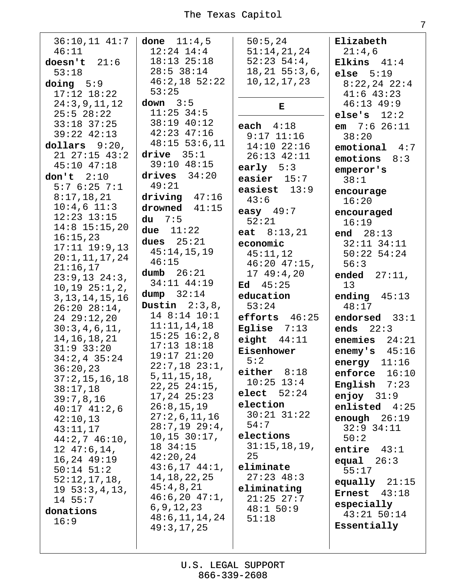| $36:10,11$ 41:7 done 11:4,5<br>46:11<br>doesn't $21:6$<br>53:18 | $12:24$ $14:4$<br>$18:13$ $25:18$<br>$28:5$ 38:14       | 50:5,24<br>51:14,21,24<br>$52:23 \ 54:4,$<br>$18, 21$ 55:3,6, | Elizabeth<br>21:4,6<br>Elkins $41:4$<br>else $5:19$ |
|-----------------------------------------------------------------|---------------------------------------------------------|---------------------------------------------------------------|-----------------------------------------------------|
| $\text{doing}$ 5:9<br>$17:12$ $18:22$<br>24:3,9,11,12           | $46:2,18$ 52:22<br>53:25<br>down $3:5$                  | 10, 12, 17, 23                                                | $8:22,24$ 22:4<br>$41:6$ $43:23$<br>$46:13$ $49:9$  |
| $25:5$ 28:22<br>$33:18$ $37:25$                                 | $11:25$ 34:5<br>38:19 40:12                             | $\bf E$<br>each $4:18$                                        | else's $12:2$<br><b>em</b> $7:6$ 26:11              |
| 39:22 42:13<br>dollars $9:20$ ,                                 | $42:23$ $47:16$<br>$48:15$ 53:6, 11                     | $9:17$ $11:16$<br>$14:10$ 22:16                               | 38:20<br>$emotional$ 4:7                            |
| $21$ $27:15$ $43:2$<br>45:10 47:18                              | drive $35:1$<br>39:10 48:15                             | $26:13$ $42:11$<br>early $5:3$                                | emotions<br>8:3<br>emperor's                        |
| don't $2:10$<br>5:76:257:1                                      | drives $34:20$<br>49:21                                 | easier $15:7$<br>easiest $13:9$                               | 38:1<br>encourage                                   |
| 8:17,18,21<br>$10:4,6$ $11:3$<br>$12:23$ $13:15$                | driving $47:16$<br>drowned $41:15$<br>$du$ 7:5          | 43:6<br>easy $49:7$<br>52:21                                  | 16:20<br>encouraged                                 |
| $14:8$ 15:15,20<br>16:15,23                                     | due $11:22$<br>dues $25:21$                             | eat $8:13,21$<br>economic                                     | 16:19<br>end $28:13$<br>$32:11$ $34:11$             |
| $17:11$ $19:9,13$<br>20:1, 11, 17, 24<br>21:16,17               | 45:14,15,19<br>46:15                                    | 45:11,12<br>$46:20$ $47:15$ ,                                 | $50:22$ 54:24<br>56:3                               |
| $23:9,13$ $24:3,$<br>$10, 19$ $25:1, 2,$                        | dumb $26:21$<br>34:11 44:19<br>dump $32:14$             | 1749:420<br>45:25<br>Ed                                       | ended $27:11$ ,<br>13                               |
| 3, 13, 14, 15, 16<br>$26:20$ $28:14$ ,<br>2429:12,20            | Dustin $2:3,8$ ,<br>14 8:14 10:1                        | education<br>53:24<br>efforts $46:25$                         | ending $45:13$<br>48:17<br>endorsed $33:1$          |
| 30:3,4,6,11,<br>14, 16, 18, 21                                  | 11:11,14,18<br>$15:25$ $16:2,8$                         | Eglise $7:13$<br>eight $44:11$                                | ends $22:3$<br>enemies $24:21$                      |
| $31:9$ $33:20$<br>$34:2,4$ 35:24                                | $17:13$ $18:18$<br>$19:17$ $21:20$<br>$22:7,18$ $23:1,$ | Eisenhower<br>5:2                                             | enemy's $45:16$<br>energy $11:16$                   |
| 36:20,23<br>37:2, 15, 16, 18<br>38:17,18                        | 5, 11, 15, 18,<br>22, 25, 24:15,                        | either $8:18$<br>$10:25$ $13:4$                               | enforce $16:10$<br>English $7:23$                   |
| 39:7,8,16<br>$40:17$ $41:2,6$                                   | $17, 24$ $25:23$<br>26:8,15,19                          | elect $52:24$<br>election                                     | enjoy $31:9$<br>enlisted $4:25$                     |
| 42:10,13<br>43:11,17                                            | 27:2,6,11,16<br>$28:7,19$ $29:4,$<br>10, 15, 30:17,     | $30:21$ $31:22$<br>54:7<br>elections                          | enough $26:19$<br>$32:9$ $34:11$<br>50:2            |
| $44:2,7$ $46:10$ ,<br>$12 \t47:6, 14,$<br>$16, 24$ $49:19$      | 18 34:15<br>42:20,24                                    | 31:15,18,19,<br>25                                            | entire $43:1$<br>equal $26:3$                       |
| $50:14$ $51:2$<br>52:12,17,18,                                  | $43:6,17$ $44:1$ ,<br>14, 18, 22, 25<br>45:4,8,21       | eliminate<br>$27:23$ 48:3                                     | 55:17<br>equally $21:15$                            |
| $19\;53:3,4,13,$<br>14 55:7<br>donations                        | $46:6,20$ $47:1,$<br>6, 9, 12, 23                       | eliminating<br>$21:25$ $27:7$<br>48:1 50:9                    | Ernest $43:18$<br>especially                        |
| 16:9                                                            | 48:6, 11, 14, 24<br>49:3,17,25                          | 51:18                                                         | 43:21 50:14<br>Essentially                          |
|                                                                 |                                                         |                                                               |                                                     |

U.S. LEGAL SUPPORT<br>866-339-2608

 $\overline{7}$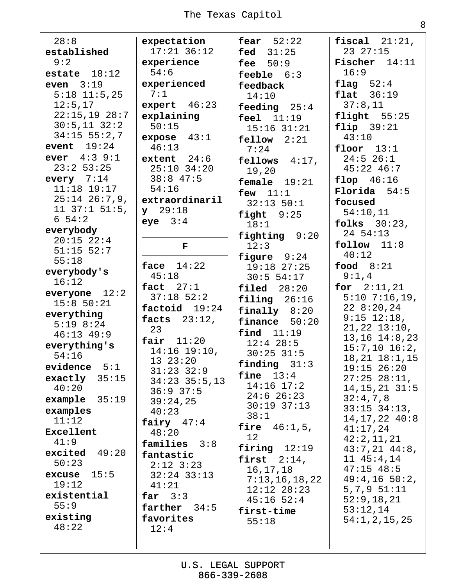| 28:8                                |
|-------------------------------------|
| established                         |
| 9:2                                 |
| estate $18:12$                      |
| even $3:19$                         |
| $5:18$ 11:5,25                      |
| 12:5,17                             |
| $22:15,19$ 28:7                     |
|                                     |
| $30:5, 11$ $32:2$<br>$34:15$ 55:2,7 |
|                                     |
| event $19:24$                       |
| <b>ever</b> $4:3$ $9:1$             |
| $23:2$ 53:25                        |
| every $7:14$                        |
| $11:18$ 19:17                       |
| $25:14$ $26:7,9$ ,                  |
| $11$ $37:1$ $51:5$ ,                |
| $6\;54:2$                           |
| everybody                           |
| $20:15$ $22:4$                      |
| 51:15 52:7                          |
| 55:18                               |
| everybody's                         |
| 16:12                               |
| everyone $12:2$                     |
| 15:850:21                           |
| everything                          |
| $5:19$ $8:24$                       |
| 46:13 49:9                          |
|                                     |
| everything's                        |
| 54:16                               |
| evidence<br>5:1                     |
| 35:15<br>exactly                    |
| 40:20                               |
| 35:19<br>example                    |
| examples                            |
| 11:12                               |
| Excellent                           |
| 41:9                                |
| excited<br>49:20                    |
| 50:23                               |
| 15:5<br>excuse                      |
| 19:12                               |
|                                     |
| existential                         |
| 55:9                                |
| existing                            |
| 48:22                               |
|                                     |

expectation  $17:21$  36:12 experience  $54:6$ experienced  $7:1$ expert  $46:23$ explaining  $50:15$ expose  $43:1$  $46:13$  $extent 24:6$  $25:10$  34:20  $38:8$  47:5  $54:16$ extraordinaril  $y = 29:18$ eye  $3:4$ F face  $14:22$  $45:18$ fact  $27:1$  $37:18$  52:2 factoid  $19:24$ facts  $23:12.$ 23 fair  $11:20$  $14:16$  19:10,  $1323:20$  $31:23$   $32:9$  $34:23$   $35:5$ , 13  $36:9$  37:5  $39:24,25$  $40:23$ fairy  $47:4$  $48:20$ families  $3:8$ fantastic  $2:12$   $3:23$  $32:24$   $33:13$  $41:21$ far  $3:3$ farther  $34:5$ favorites  $12:4$ 

fear  $52:22$ fed  $31:25$ fee  $50:9$ feeble  $6:3$ feedback  $14:10$ feeding  $25:4$ feel  $11:19$  $15:16$   $31:21$  $f$ ellow  $2:21$  $7:24$ fellows  $4:17$ , 19,20 female 19:21 few  $11:1$  $32:13$   $50:1$  $$  $18:1$ fighting  $9:20$  $12:3$ figure 9:24  $19:18$  27:25  $30:5$  54:17  $\texttt{filed}$  28:20  $filing 26:16$  $\text{finallv}$  8:20 finance  $50:20$  $final$   $11:19$  $12:4$  28:5  $30:25$  31:5 finding  $31:3$ fine  $13:4$  $14:16$   $17:2$  $24:6$  26:23  $30:19$   $37:13$  $38:1$ fire  $46:1,5$ ,  $12$ firing  $12:19$ first  $2:14$ , 16, 17, 18  $7:13,16,18,22$  $12:12$   $28:23$  $45:16$  52:4 first-time  $55:18$ 

fiscal  $21:21$ , 23 27:15 Fischer  $14:11$  $16:9$ flag  $52:4$  $flat$  36:19  $37:8,11$  $\texttt{flight}$  55:25  $flip$  39:21  $43:10$ floor  $13:1$  $24:5$  26:1  $45:22$   $46:7$ flop  $46:16$  $$ focused  $54:10.11$ folks  $30:23$ , 24 54:13  $follow 11:8$  $40:12$ food  $8:21$  $9:1,4$ for  $2:11,21$  $5:10$  7:16,19,  $228:20,24$  $9:15$   $12:18$ ,  $21, 22$   $13:10$ ,  $13, 16$   $14:8, 23$  $15:7,10$   $16:2,$  $18, 21$   $18:1, 15$  $19:15$   $26:20$  $27:25$   $28:11$ ,  $14, 15, 21$   $31:5$  $32:4,7,8$  $33:15$   $34:13$ ,  $14, 17, 22$   $40:8$  $41:17,24$  $42:2,11,21$  $43:7,21$   $44:8$ ,  $11 45:4,14$  $47:15$   $48:5$  $49:4,16$  50:2,  $5, 7, 9$   $51:11$  $52:9, 18, 21$  $53:12,14$  $54:1, 2, 15, 25$ 

U.S. LEGAL SUPPORT 866-339-2608

8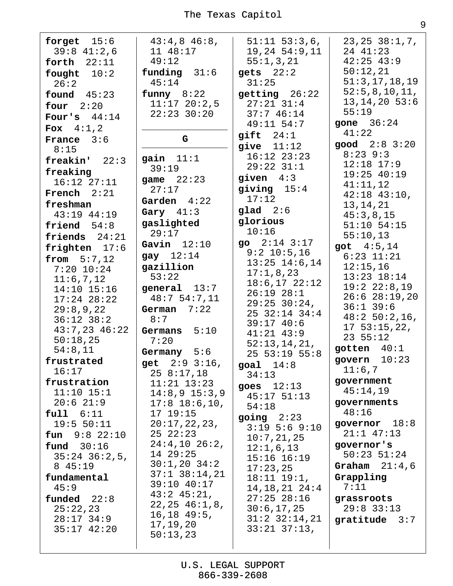| forget $15:6$       | $43:4,8$ $46:8$ ,                | $51:11$ $53:3,6$ ,  | 23, 25, 38:1, 7,                  |
|---------------------|----------------------------------|---------------------|-----------------------------------|
| $39:8$ 41:2,6       | 11 48:17                         | 19, 24, 54:9, 11    | 24 41:23                          |
| forth $22:11$       | 49:12                            | 55:1,3,21           | $42:25$ $43:9$                    |
| fought $10:2$       | funding $31:6$                   | $gets$ $22:2$       | 50:12,21                          |
| 26:2                | 45:14                            | 31:25               | 51:3, 17, 18, 19                  |
| found $45:23$       | funny 8:22                       | getting 26:22       | 52:5, 8, 10, 11,                  |
| four $2:20$         | $11:17$ 20:2,5                   | $27:21$ $31:4$      | $13, 14, 20$ 53:6                 |
|                     | $22:23$ 30:20                    | 37:746:14           | 55:19                             |
| Four's $44:14$      |                                  | 49:11 54:7          | gone $36:24$                      |
| <b>Fox</b> $4:1,2$  |                                  | $g$ ift $24:1$      | 41:22                             |
| <b>France</b> $3:6$ | G                                | give $11:12$        | $good$ $2:8$ $3:20$               |
| 8:15                | gain $11:1$                      | $16:12$ $23:23$     | $8:23$ 9:3                        |
| freakin' 22:3       | 39:19                            | $29:22$ $31:1$      | $12:18$ $17:9$                    |
| freaking            |                                  | given $4:3$         | $19:25$ $40:19$                   |
| $16:12$ $27:11$     | game $22:23$<br>27:17            | giving $15:4$       | 41:11,12                          |
| French $2:21$       | Garden $4:22$                    | 17:12               | $42:18$ $43:10$ ,                 |
| freshman            |                                  | glad 2:6            | 13, 14, 21                        |
| 43:19 44:19         | Gary $41:3$                      | glorious            | 45:3,8,15                         |
| friend $54:8$       | gaslighted                       | 10:16               | $51:10$ $54:15$                   |
| friends $24:21$     | 29:17                            | go $2:14$ $3:17$    | 55:10,13                          |
| frighten 17:6       | Gavin $12:10$                    | $9:2$ 10:5,16       | got $4:5,14$                      |
| from 5:7,12         | gay $12:14$                      | $13:25$ $14:6,14$   | $6:23$ $11:21$                    |
| $7:20$ 10:24        | gazillion                        | 17:1,8,23           | 12:15,16                          |
| 11:6,7,12           | 53:22                            | $18:6, 17$ 22:12    | $13:23$ $18:14$                   |
| 14:10 15:16         | general $13:7$                   | $26:19$ $28:1$      | 19:2 22:8,19                      |
| $17:24$ $28:22$     | 48:754:7,11                      | $29:25$ $30:24$ ,   | $26:6$ $28:19,20$                 |
| 29:8,9,22           | German $7:22$                    | 25 32:14 34:4       | $36:1$ 39:6                       |
| $36:12$ $38:2$      | 8:7                              | 39:1740:6           | $48:250:2,16$ ,<br>17, 53:15, 22, |
| $43:7,23$ $46:22$   | Germans $5:10$                   | $41:21$ $43:9$      | 23 55:12                          |
| 50:18,25            | 7:20                             | 52:13,14,21,        |                                   |
| 54:8,11             | Germany $5:6$                    | $25$ 53:19 55:8     | gotten $40:1$                     |
| frustrated          | get 2:9 3:16,                    | goal $14:8$         | govern $10:23$                    |
| 16:17               | 258:17,18                        | 34:13               | 11:6,7                            |
| frustration         | $11:21$ $13:23$                  | goes $12:13$        | government                        |
| $11:10$ $15:1$      | $14:8,9$ $15:3,9$                | $45:17$ $51:13$     | 45:14,19                          |
| $20:6$ 21:9         | $17:8$ 18:6,10,                  | 54:18               | governments                       |
| $full$ $6:11$       | 17 19:15                         | $going$ $2:23$      | 48:16                             |
| 19:5 50:11          | 20:17,22,23,                     | $3:19$ 5:6 9:10     | governor $18:8$                   |
| $fun$ 9:8 22:10     | 252:23                           | 10:7,21,25          | $21:1$ $47:13$                    |
| fund $30:16$        | $24:4,10$ $26:2,$                | 12:1,6,13           | governor's                        |
| $35:24$ $36:2,5$    | 14 29:25                         | $15:16$ $16:19$     | $50:23$ $51:24$                   |
| 8 45:19             | $30:1,20$ $34:2$                 | 17:23,25            | Graham $21:4,6$                   |
| fundamental         | $37:1$ $38:14,21$<br>39:10 40:17 | $18:11$ $19:1$ ,    | Grappling                         |
| 45:9                | $43:2$ $45:21$ ,                 | $14, 18, 21$ $24:4$ | 7:11                              |
| $f$ unded $22:8$    | 22, 25, 46:1, 8,                 | $27:25$ $28:16$     | grassroots                        |
| 25:22,23            | $16, 18$ $49:5$ ,                | 30:6, 17, 25        | $29:8$ 33:13                      |
| $28:17$ 34:9        | 17, 19, 20                       | $31:2$ $32:14,21$   | gratitude $3:7$                   |
| $35:17$ 42:20       | 50:13,23                         | $33:21$ $37:13$ ,   |                                   |
|                     |                                  |                     |                                   |

 $\overline{9}$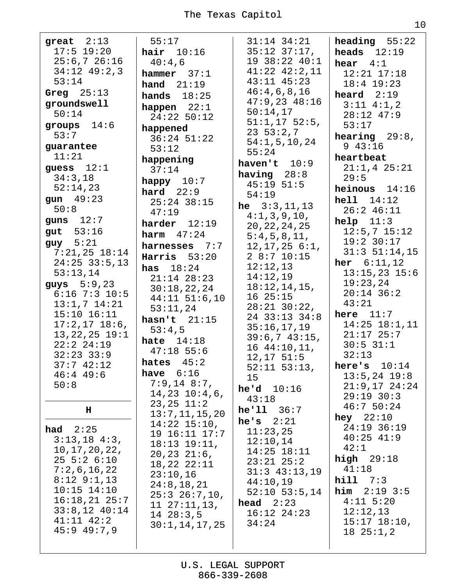| great $2:13$                      | 55:17                               | $31:14$ $34:21$         | heading $55:22$         |
|-----------------------------------|-------------------------------------|-------------------------|-------------------------|
| $17:5$ 19:20                      | hair $10:16$                        | $35:12$ $37:17$ ,       | heads $12:19$           |
| 25:6,726:16                       | 40:4,6                              | 19 38:22 40:1           | hear $4:1$              |
| $34:12$ $49:2,3$                  | hammer 37:1                         | $41:22$ $42:2,11$       | $12:21$ $17:18$         |
| 53:14                             | hand $21:19$                        | $43:11$ $45:23$         | $18:4$ 19:23            |
| Greg $25:13$                      | hands $18:25$                       | 46:4,6,8,16             | heard $2:19$            |
| groundswell                       | happen $22:1$                       | $47:9,23$ $48:16$       | $3:11$ $4:1,2$          |
| 50:14                             | 24:22 50:12                         | 50:14,17                | $28:12$ 47:9            |
| groups $14:6$                     |                                     | $51:1,17$ 52:5,         | 53:17                   |
| 53:7                              | happened<br>$36:24$ $51:22$         | 23, 53:2, 7             | <b>hearing</b> $29:8$ , |
| guarantee                         | 53:12                               | 54:1, 5, 10, 24         | 943:16                  |
| 11:21                             | happening                           | 55:24                   | heartbeat               |
| guess $12:1$                      | 37:14                               | haven't $10:9$          | $21:1,4$ $25:21$        |
| 34:3,18                           | happy $10:7$                        | having $28:8$           | 29:5                    |
| 52:14,23                          |                                     | $45:19$ $51:5$          | heinous $14:16$         |
| gun 49:23                         | hard $22:9$<br>$25:24$ 38:15        | 54:19                   | $hell 14:12$            |
| 50:8                              | 47:19                               | <b>he</b> $3:3,11,13$   | $26:2$ 46:11            |
| guns $12:7$                       |                                     | 4:1,3,9,10,             | $help$ $11:3$           |
| gut $53:16$                       | harder $12:19$                      | 20, 22, 24, 25          | $12:5,7$ 15:12          |
| $guy$ 5:21                        | $harm$ 47:24                        | 5:4,5,8,11,             | 19:2 30:17              |
| $7:21,25$ $18:14$                 | harnesses 7:7                       | $12, 17, 25$ 6:1,       | $31:3$ $51:14,15$       |
| $24:25$ 33:5,13                   | Harris $53:20$                      | 28:710:15               | <b>her</b> $6:11,12$    |
| 53:13,14                          | <b>has</b> $18:24$                  | 12:12,13                | $13:15,23$ $15:6$       |
| guys $5:9,23$                     | $21:14$ $28:23$                     | 14:12,19                | 19:23,24                |
| $6:16$ 7:3 10:5                   | 30:18,22,24                         | 18:12,14,15,<br>1625:15 | $20:14$ 36:2            |
| $13:1,7$ $14:21$                  | $44:11$ 51:6,10                     | $28:21$ $30:22$ ,       | 43:21                   |
| $15:10$ $16:11$                   | 53:11,24                            | 24 33:13 34:8           | here $11:7$             |
| $17:2, 17$ $18:6$ ,               | hasn't $21:15$                      | 35:16,17,19             | $14:25$ $18:1,11$       |
| $13, 22, 25$ $19:1$               | 53:4,5                              | 39:6,743:15,            | $21:17$ 25:7            |
| 22:22:4:19                        | hate $14:18$                        | 1644:10,11,             | $30:5$ $31:1$           |
| $32:23$ $33:9$                    | $47:18$ 55:6                        | $12, 17$ 51:5           | 32:13                   |
| 37:742:12                         | hates $45:2$                        | $52:11$ $53:13$ ,       | here's $10:14$          |
| $46:4$ 49:6                       | have $6:16$                         | 15                      | $13:5, 24$ 19:8         |
| 50:8                              | $7:9,14$ 8:7,                       | he'd 10:16              | $21:9,17$ $24:24$       |
|                                   | $14, 23$ $10:4, 6,$                 | 43:18                   | $29:19$ 30:3            |
| н                                 | $23, 25$ $11:2$<br>13:7, 11, 15, 20 | he'11 36:7              | 46:750:24               |
|                                   | $14:22$ $15:10$ ,                   | he's $2:21$             | hey $22:10$             |
| had $2:25$                        | 19 16:11 17:7                       | 11:23,25                | $24:19$ 36:19           |
| $3:13,18$ 4:3,                    | $18:13$ $19:11$ ,                   | 12:10,14                | $40:25$ $41:9$          |
| 10, 17, 20, 22,                   | 20, 23, 21:6,                       | $14:25$ $18:11$         | 42:1                    |
| 25 5:2 6:10                       | $18,22$ $22:11$                     | $23:21$ $25:2$          | high $29:18$            |
| 7:2,6,16,22                       | 23:10,16                            | $31:3$ 43:13,19         | 41:18                   |
| $8:12$ $9:1,13$                   | 24:8, 18, 21                        | 44:10,19                | $\textbf{hill}$ 7:3     |
| $10:15$ $14:10$                   | $25:3$ $26:7,10,$                   | $52:10$ $53:5,14$       | $him$ 2:19 3:5          |
| $16:18,21$ $25:7$                 | $11 \t27:11,13,$                    | head $2:23$             | $4:11$ 5:20             |
| $33:8,12$ 40:14<br>$41:11$ $42:2$ | 1428:3,5                            | $16:12$ $24:23$         | 12:12,13                |
| $45:9$ $49:7,9$                   | 30:1, 14, 17, 25                    | 34:24                   | $15:17$ $18:10$ ,       |
|                                   |                                     |                         | 1825:1,2                |
|                                   |                                     |                         |                         |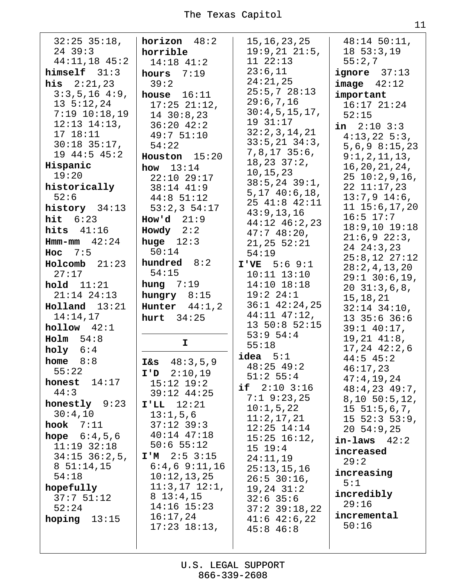| $32:25$ $35:18$ ,<br>$24$ 39:3<br>$44:11,18$ $45:2$<br>$himself$ $31:3$<br><b>his</b> $2:21,23$<br>$3:3,5,16$ 4:9,<br>$13\;\;5:12,24$<br>$7:19$ $10:18,19$<br>$12:13$ $14:13$ ,<br>17 18:11<br>$30:18$ 35:17,<br>$19$ $44:5$ $45:2$<br>Hispanic<br>19:20<br>historically<br>52:6<br>history 34:13<br>hit $6:23$<br>hits $41:16$<br><b>Hmm-mm</b> $42:24$<br>Hoc $7:5$<br>$Holcomb$ 21:23<br>27:17<br>hold 11:21<br>$21:14$ $24:13$ | $horizon$ 48:2<br>horrible<br>$14:18$ $41:2$<br>hours $7:19$<br>39:2<br>house $16:11$<br>$17:25$ $21:12$ ,<br>$14$ 30:8,23<br>$36:20$ 42:2<br>49:751:10<br>54:22<br>Houston 15:20<br>how $13:14$<br>22:10 29:17<br>$38:14$ 41:9<br>$44:8$ 51:12<br>53:2,354:17<br>How'd $21:9$<br>Howdy $2:2$<br>huge $12:3$<br>50:14<br>hundred 8:2<br>54:15<br>hung $7:19$<br>hungry $8:15$ | 15, 16, 23, 25<br>19:9,2121:5,<br>11 22:13<br>23:6,11<br>24:21,25<br>25:5,728:13<br>29:6,7,16<br>30:4,5,15,17,<br>19 31:17<br>32:2,3,14,21<br>$33:5, 21$ $34:3,$<br>$7,8,17$ 35:6,<br>18, 23, 37:2,<br>10,15,23<br>$38:5, 24$ 39:1,<br>5, 17, 40:6, 18,<br>25 41:8 42:11<br>43:9,13,16<br>44:12 46:2,23<br>$47:748:20$ ,<br>21, 25, 52:21<br>54:19<br>$I'VE$ 5:6 9:1<br>$10:11$ $13:10$<br>14:10 18:18<br>19:2 24:1 | $48:14$ 50:11,<br>18, 53:3, 19<br>55:2,7<br><b>ignore</b> $37:13$<br>image 42:12<br>important<br>$16:17$ $21:24$<br>52:15<br>in $2:10$ $3:3$<br>$4:13,22$ 5:3,<br>$5,6,9$ $8:15,23$<br>9:1,2,11,13,<br>16, 20, 21, 24,<br>2510:2,9,16,<br>$22$ $11:17,23$<br>$13:7,9$ 14:6,<br>11 15:6, 17, 20<br>$16:5$ $17:7$<br>$18:9,10$ $19:18$<br>21:6,922:3,<br>24 24:3,23<br>$25:8,12$ $27:12$<br>28:2,4,13,20<br>$29:1$ 30:6,19,<br>$20\ \ 31:3,6,8,$<br>15, 18, 21 |
|------------------------------------------------------------------------------------------------------------------------------------------------------------------------------------------------------------------------------------------------------------------------------------------------------------------------------------------------------------------------------------------------------------------------------------|-------------------------------------------------------------------------------------------------------------------------------------------------------------------------------------------------------------------------------------------------------------------------------------------------------------------------------------------------------------------------------|---------------------------------------------------------------------------------------------------------------------------------------------------------------------------------------------------------------------------------------------------------------------------------------------------------------------------------------------------------------------------------------------------------------------|--------------------------------------------------------------------------------------------------------------------------------------------------------------------------------------------------------------------------------------------------------------------------------------------------------------------------------------------------------------------------------------------------------------------------------------------------------------|
| $H$ olland $13:21$<br>14:14,17<br>$h$ ollow $42:1$                                                                                                                                                                                                                                                                                                                                                                                 | Hunter $44:1,2$<br>hurt $34:25$                                                                                                                                                                                                                                                                                                                                               | $36:1$ $42:24,25$<br>$44:11$ $47:12$ ,<br>13 50:8 52:15<br>53:954:4                                                                                                                                                                                                                                                                                                                                                 | $32:14$ $34:10$ ,<br>$13$ $35:6$ $36:6$<br>$39:1$ 40:17,                                                                                                                                                                                                                                                                                                                                                                                                     |
| Holm 54:8<br>holy $6:4$<br>home<br>8:8<br>55:22                                                                                                                                                                                                                                                                                                                                                                                    | I.<br>48:3,5,9<br><b>I&amp;s</b><br>$I'$ 2:10,19                                                                                                                                                                                                                                                                                                                              | 55:18<br>$i$ dea $5:1$<br>$48:25$ $49:2$                                                                                                                                                                                                                                                                                                                                                                            | $19, 21$ $41:8$ ,<br>$17, 24$ $42:2, 6$<br>$44:5$ 45:2<br>46:17,23                                                                                                                                                                                                                                                                                                                                                                                           |
| honest $14:17$<br>44:3<br>honestly 9:23<br>30:4,10<br>hook $7:11$<br><b>hope</b> $6:4,5,6$<br>$11:19$ $32:18$<br>$34:15$ $36:2,5$ ,                                                                                                                                                                                                                                                                                                | $15:12$ $19:2$<br>$39:12$ 44:25<br>$I'LL$ $12:21$<br>13:1,5,6<br>$37:12$ 39:3<br>$40:14$ $47:18$<br>$50:6$ 55:12<br>$I'M$ 2:5 3:15                                                                                                                                                                                                                                            | $51:2$ 55:4<br>if $2:10$ $3:16$<br>$7:1$ 9:23,25<br>10:1,5,22<br>11:2,17,21<br>$12:25$ $14:14$<br>$15:25$ $16:12$ ,<br>15 19:4<br>24:11,19                                                                                                                                                                                                                                                                          | 47:4,19,24<br>$48:4,23$ $49:7$ ,<br>8, 10, 50:5, 12,<br>$15\;\;51:5\;6\;7$ ,<br>15 52:3 53:9,<br>$20\;\;54:9,25$<br>$in$ -laws $42:2$<br>increased<br>29:2                                                                                                                                                                                                                                                                                                   |
| $8\ 51:14,15$<br>54:18<br>hopefully<br>37:751:12<br>52:24<br>hoping $13:15$                                                                                                                                                                                                                                                                                                                                                        | $6:4,6$ $9:11,16$<br>10:12,13,25<br>$11:3,17$ $12:1,$<br>$8\;13:4,15$<br>$14:16$ $15:23$<br>16:17,24<br>$17:23$ $18:13$ ,                                                                                                                                                                                                                                                     | 25:13,15,16<br>$26:5$ 30:16,<br>$19, 24$ $31:2$<br>$32:6$ 35:6<br>$37:2$ $39:18,22$<br>$41:6$ $42:6$ , 22<br>$45:8$ 46:8                                                                                                                                                                                                                                                                                            | increasing<br>5:1<br>incredibly<br>29:16<br>incremental<br>50:16                                                                                                                                                                                                                                                                                                                                                                                             |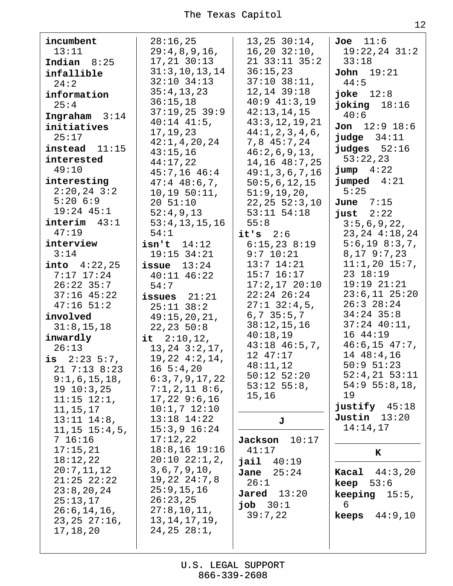| incumbent<br>13:11<br>Indian $8:25$<br>infallible<br>24:2<br>information<br>25:4<br>Ingraham $3:14$<br>initiatives<br>25:17<br>$instead$ $11:15$<br>interested<br>49:10<br>interesting<br>$2:20,24$ 3:2<br>5:206:9<br>$19:24$ $45:1$<br>$\texttt{interim}$ 43:1<br>47:19<br>interview<br>3:14<br><b>into</b> $4:22,25$<br>$7:17$ 17:24<br>$26:22$ 35:7<br>$37:16$ 45:22<br>$47:16$ 51:2<br>involved<br>31:8, 15, 18<br>inwardly<br>26:13<br>is $2:23:5:7$ ,<br>$21$ 7:13 8:23<br>9:1,6,15,18,<br>$19\ 10:3,25$<br>$11:15$ $12:1$ ,<br>11, 15, 17<br>$13:11$ $14:8$ ,<br>$11, 15$ $15:4, 5$ ,<br>7 16:16<br>17:15,21<br>18:12,22<br>20:7,11,12 | 28:16,25<br>29:4,8,9,16,<br>$17, 21$ $30:13$<br>31:3, 10, 13, 14<br>$32:10$ $34:13$<br>35:4,13,23<br>36:15,18<br>$37:19,25$ 39:9<br>$40:14$ $41:5$ ,<br>17, 19, 23<br>42:1, 4, 20, 24<br>43:15,16<br>44:17,22<br>$45:7,16$ $46:4$<br>$47:4$ $48:6,7$ ,<br>10, 19, 50:11,<br>20 51:10<br>52:4,9,13<br>53:4, 13, 15, 16<br>54:1<br>$isn't$ $14:12$<br>$19:15$ 34:21<br>issue $13:24$<br>$40:11$ $46:22$<br>54:7<br>issues $21:21$<br>$25:11$ $38:2$<br>49:15,20,21,<br>22, 23, 50:8<br>it $2:10,12$ ,<br>$13, 24$ $3:2, 17$ ,<br>$19,22$ $4:2,14$ ,<br>$16\;5:4,20$<br>6:3,7,9,17,22<br>$7:1,2,11$ 8:6,<br>$17,22$ 9:6,16<br>$10:1,7$ $12:10$<br>$13:18$ $14:22$<br>$15:3,9$ $16:24$<br>17:12,22<br>$18:8, 16$ 19:16<br>$20:10$ $22:1,2,$<br>3, 6, 7, 9, 10, | 13, 25, 30:14,<br>$16, 20$ $32:10,$<br>21 33:11 35:2<br>36:15,23<br>$37:10$ $38:11$ ,<br>$12, 14$ $39:18$<br>$40:9$ $41:3,19$<br>42:13,14,15<br>43:3,12,19,21<br>44:1, 2, 3, 4, 6,<br>7,8 45:7,24<br>46:2,6,9,13,<br>14,16 48:7,25<br>49:1, 3, 6, 7, 16<br>50:5,6,12,15<br>51:9, 19, 20,<br>22, 25, 52:3, 10<br>$53:11$ $54:18$<br>55:8<br>$it's$ 2:6<br>6:15,238:19<br>$9:7$ 10:21<br>$13:7$ $14:21$<br>$15:7$ $16:17$<br>$17:2,17$ 20:10<br>$22:24$ $26:24$<br>$27:1$ 32:4,5,<br>$6, 7$ 35:5,7<br>38:12,15,16<br>40:18,19<br>$43:18$ $46:5,7$ ,<br>12 47:17<br>48:11,12<br>$50:12$ $52:20$<br>$53:12$ $55:8$ ,<br>15,16<br>J<br>Jackson<br>10:17<br>41:17<br>jail 40:19<br>Jane<br>25:24 | Joe 11:6<br>$19:22,24$ $31:2$<br>33:18<br>$\text{John}$ 19:21<br>44:5<br>joke $12:8$<br>joking $18:16$<br>40:6<br><b>Jon</b> $12:9$ $18:6$<br>judge 34:11<br>$j$ udges $52:16$<br>53:22,23<br>$jump \quad 4:22$<br>jumped $4:21$<br>5:25<br>June $7:15$<br>just $2:22$<br>3:5,6,9,22,<br>23, 24 4: 18, 24<br>5:6, 19 8:3, 7,<br>8, 17, 9:7, 23<br>$11:1,20$ 15:7,<br>23 18:19<br>$19:19$ $21:21$<br>$23:6,11$ $25:20$<br>$26:3$ $28:24$<br>$34:24$ 35:8<br>$37:24$ 40:11,<br>16 44:19<br>$46:6, 15$ $47:7$ ,<br>14 48:4,16<br>$50:9$ $51:23$<br>$52:4,21$ $53:11$<br>$54:9$ 55:8,18,<br>19<br>justify $45:18$<br>Justin $13:20$<br>14:14,17<br>K<br><b>Kacal</b> $44:3,20$ |
|-----------------------------------------------------------------------------------------------------------------------------------------------------------------------------------------------------------------------------------------------------------------------------------------------------------------------------------------------------------------------------------------------------------------------------------------------------------------------------------------------------------------------------------------------------------------------------------------------------------------------------------------------|------------------------------------------------------------------------------------------------------------------------------------------------------------------------------------------------------------------------------------------------------------------------------------------------------------------------------------------------------------------------------------------------------------------------------------------------------------------------------------------------------------------------------------------------------------------------------------------------------------------------------------------------------------------------------------------------------------------------------------------------------------|--------------------------------------------------------------------------------------------------------------------------------------------------------------------------------------------------------------------------------------------------------------------------------------------------------------------------------------------------------------------------------------------------------------------------------------------------------------------------------------------------------------------------------------------------------------------------------------------------------------------------------------------------------------------------------------------|----------------------------------------------------------------------------------------------------------------------------------------------------------------------------------------------------------------------------------------------------------------------------------------------------------------------------------------------------------------------------------------------------------------------------------------------------------------------------------------------------------------------------------------------------------------------------------------------------------------------------------------------------------------------------|
| $21:25$ $22:22$<br>23:8,20,24<br>25:13,17<br>26:6, 14, 16,<br>23, 25, 27:16,<br>17, 18, 20                                                                                                                                                                                                                                                                                                                                                                                                                                                                                                                                                    | $19,22$ $24:7,8$<br>25:9, 15, 16<br>26:23,25<br>27:8, 10, 11,<br>13, 14, 17, 19,<br>24, 25, 28:1,                                                                                                                                                                                                                                                                                                                                                                                                                                                                                                                                                                                                                                                          | 26:1<br><b>Jared</b> $13:20$<br>job $30:1$<br>39:7,22                                                                                                                                                                                                                                                                                                                                                                                                                                                                                                                                                                                                                                      | <b>keep</b> $53:6$<br><b>keeping</b> $15:5$ ,<br>6<br><b>keeps</b> $44:9,10$                                                                                                                                                                                                                                                                                                                                                                                                                                                                                                                                                                                               |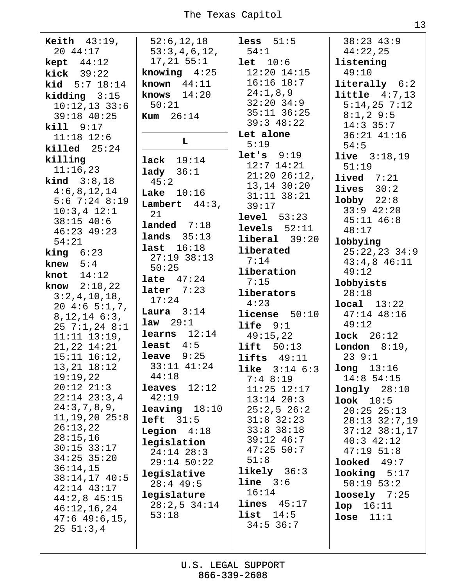**Keith**  $43:19$ ,  $52:6, 12, 18$ less  $51:5$  $38:23$  43:9 20 44:17  $53:3,4,6,12,$  $54:1$  $44:22,25$  $17, 21$  55:1 **kept**  $44:12$  $let 10:6$ listening knowing  $4:25$  $12:20$   $14:15$  $49:10$  $kick$  39:22 known  $44:11$  $16:16$   $18:7$  $literally$   $6:2$ **kid**  $5:7$   $18:14$  $24:1,8,9$ knows  $14:20$  $\text{little} \quad 4:7,13$  $kidding 3:15$  $32:20$   $34:9$  $10:12,13$  33:6  $50:21$  $5:14,25$  7:12  $35:11$   $36:25$  $8:1,2$  9:5  $39:18$  40:25 **Kum**  $26:14$  $39:3$  48:22  $14:3$  35:7  $kil1$  9:17 Let alone  $36:21$   $41:16$  $11:18$   $12:6$ L  $5:19$  $54:5$  $killed$   $25:24$  $let's$  9:19 **live**  $3:18,19$ killing  $lack 19:14$  $12:7$   $14:21$  $51:19$  $11:16,23$  $1$ ady  $36:1$  $21:20$   $26:12$ , lived  $7:21$ **kind**  $3:8,18$  $45:2$  $13, 14$   $30:20$ lives  $30:2$  $4:6,8,12,14$ Lake  $10:16$  $31:11$   $38:21$  $1$ obby  $22:8$  $5:6$  7:24 8:19 Lambert  $44:3$ ,  $39:17$  $33:9$  42:20  $10:3,4$   $12:1$ 21  $level 53:23$  $45:11$   $46:8$  $38:15$  40:6  $landed$   $7:18$  $levels$   $52:11$  $48:17$  $46:23$   $49:23$ lands  $35:13$  $liberal$   $39:20$  $54:21$ lobbying last  $16:18$ liberated  $25:22,23$  34:9 **king**  $6:23$  $27:19$  38:13  $7:14$  $43:4,8$   $46:11$ knew  $5:4$  $50:25$ liberation  $49:12$ knot  $14:12$ **late**  $47:24$  $7:15$ lobbyists **know**  $2:10.22$ later  $7:23$ liberators  $28:18$  $3:2,4,10,18,$  $17:24$  $4:23$  $local$   $13:22$  $20 \; 4:6 \; 5:1,7,$ Laura  $3:14$  $$  $47:14$   $48:16$  $8, 12, 14, 6:3,$  $law$  29:1 life  $9:1$  $49:12$  $257:1,248:1$ learns  $12:14$  $49:15,22$  $lock$   $26:12$  $11:11$   $13:19$ , least  $4:5$  $21, 22$   $14:21$  $lift 50:13$ **London**  $8:19$ , leave  $9:25$  $15:11$   $16:12$ , lifts  $49:11$  $239:1$  $13, 21$   $18:12$ 33:11 41:24  $l$ ong  $13:16$ **like**  $3:14 \t6:3$  $19:19,22$  $44:18$  $14:8$  54:15  $7:48:19$  $20:12$   $21:3$ leaves  $12:12$  $11:25$   $12:17$  $longly$   $28:10$  $22:14$   $23:3,4$  $42:19$  $13:14$   $20:3$  $100k$   $10:5$  $24:3,7,8,9,$  $leaving 18:10$  $25:2,526:2$  $20:25$   $25:13$  $11, 19, 20$   $25:8$  $left 31:5$  $31:8$   $32:23$  $28:13$   $32:7,19$  $26:13,22$  $33:8$   $38:18$  $37:12$   $38:1,17$ **Legion**  $4:18$  $28:15,16$ 39:12 46:7  $40:3$   $42:12$ legislation  $30:15$  33:17  $47:25$  50:7  $47:1951:8$  $24:14$   $28:3$  $34:25$  35:20  $51:8$  $looked$  49:7  $29:14$  50:22  $36:14,15$  $likely$   $36:3$ legislative  $\textbf{looking}$  5:17  $38:14,17$  40:5  $line 3:6$  $28:4$  49:5  $50:19$   $53:2$ 42:14 43:17  $16:14$ legislature  $loosely$  7:25  $44:2,8$  45:15  $lines$  45:17  $28:2,5$  34:14  $1$ op  $16:11$  $46:12,16,24$ list  $14:5$  $53:18$ lose  $11:1$  $47:6$  49:6,15,  $34:5$  36:7  $25 51:3,4$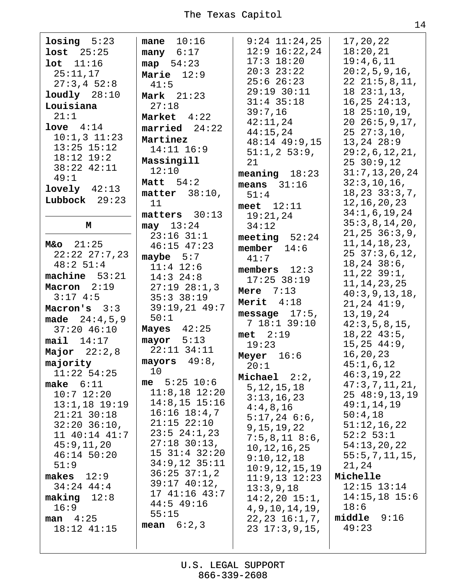| $\text{losing } 5:23$ | mane $10:16$        | $9:24$ $11:24$ , 25 | 17,20,22           |
|-----------------------|---------------------|---------------------|--------------------|
| $lost$ $25:25$        | many $6:17$         | $12:9$ $16:22,24$   | 18:20,21           |
|                       |                     | $17:3$ $18:20$      | 19:4,6,11          |
| lot 11:16             | map $54:23$         | $20:3$ $23:22$      | 20:2,5,9,16,       |
| 25:11,17              | Marie $12:9$        |                     |                    |
| 27:3,452:8            | 41:5                | $25:6$ $26:23$      | $22 \t21:5,8,11,$  |
| $1$ oudly $28:10$     | Mark $21:23$        | 29:19 30:11         | $18\;23:1,13,$     |
| Louisiana             | 27:18               | $31:4$ 35:18        | $16, 25$ $24:13$ , |
| 21:1                  |                     | 39:7,16             | 1825:10,19,        |
|                       | Market 4:22         | 42:11,24            | $20\ 26:5,9,17,$   |
| love $4:14$           | $married 24:22$     | 44:15,24            | $25\;\;27:3,10,$   |
| $10:1,3$ $11:23$      | Martinez            | 48:14 49:9,15       | $13, 24$ $28:9$    |
| $13:25$ $15:12$       | $14:11$ $16:9$      | 51:1,253:9,         | 29:2,6,12,21,      |
| $18:12$ $19:2$        | Massingill          |                     |                    |
| 38:22 42:11           | 12:10               | 21                  | 2530:9,12          |
| 49:1                  |                     | meaning $18:23$     | 31:7, 13, 20, 24   |
| $1$ ovely $42:13$     | Matt $54:2$         | means $31:16$       | 32:3, 10, 16,      |
|                       | matter $38:10$ ,    | 51:4                | 18, 23, 33:3, 7,   |
| Lubbock $29:23$       | 11                  | meet $12:11$        | 12, 16, 20, 23     |
|                       | matters 30:13       | 19:21,24            | 34:1,6,19,24       |
| М                     | $may$ 13:24         | 34:12               | 35:3,8,14,20,      |
|                       | $23:16$ $31:1$      |                     | 21, 25, 36:3, 9,   |
| $M&o$ 21:25           |                     | meeting $52:24$     | 11, 14, 18, 23,    |
| $22:22$ $27:7,23$     | $46:15$ $47:23$     | member $14:6$       | $25\ \ 37:3,6,12,$ |
|                       | maybe $5:7$         | 41:7                | $18, 24$ $38:6$ ,  |
| 48:2 51:4             | $11:4$ $12:6$       | members $12:3$      |                    |
| machine $53:21$       | $14:3$ 24:8         | $17:25$ 38:19       | $11, 22$ $39:1$ ,  |
| Macron 2:19           | $27:19$ $28:1,3$    | Mere $7:13$         | 11, 14, 23, 25     |
| 3:174:5               | 35:33:38:19         | Merit $4:18$        | 40:3,9,13,18,      |
| Macron's $3:3$        | $39:19,21$ 49:7     |                     | $21, 24$ $41:9$ ,  |
| made $24:4,5,9$       | 50:1                | message $17:5$ ,    | 13,19,24           |
| $37:20$ 46:10         | Mayes $42:25$       | 7 18:1 39:10        | 42:3,5,8,15,       |
| $\texttt{mail}$ 14:17 | mayor $5:13$        | $met \quad 2:19$    | 18, 22, 43:5,      |
|                       | $22:11$ $34:11$     | 19:23               | 15, 25, 44:9,      |
| Major $22:2,8$        |                     | Meyer $16:6$        | 16, 20, 23         |
| majority              | mayors $49:8$ ,     | 20:1                | 45:1,6,12          |
| $11:22$ 54:25         | 10                  | Michael $2:2$ ,     | 46:3, 19, 22       |
| make $6:11$           | me $5:25$ 10:6      | 5, 12, 15, 18       | 47:3, 7, 11, 21,   |
| $10:7$ $12:20$        | $11:8,18$ $12:20$   | 3:13,16,23          | 25, 48:9, 13, 19   |
| $13:1,18$ 19:19       | $14:8,15$ 15:16     |                     | 49:1,14,19         |
| $21:21$ $30:18$       | $16:16$ $18:4,7$    | 4:4,8,16            | 50:4,18            |
| $32:20$ $36:10$ ,     | $21:15$ $22:10$     | $5:17,24$ 6:6,      | 51:12,16,22        |
| 11 40:14 41:7         | $23:5$ $24:1,23$    | 9, 15, 19, 22       | $52:2$ 53:1        |
| 45:9,11,20            | $27:18$ 30:13,      | 7:5,8,118:6,        |                    |
|                       | $15$ $31:4$ $32:20$ | 10, 12, 16, 25      | 54:13,20,22        |
| $46:14$ 50:20         | $34:9,12$ $35:11$   | 9:10,12,18          | 55:5, 7, 11, 15,   |
| 51:9                  |                     | 10:9, 12, 15, 19    | 21,24              |
| makes<br>12:9         | $36:25$ $37:1,2$    | $11:9,13$ $12:23$   | Michelle           |
| $34:24$ $44:4$        | $39:17$ 40:12,      | 13:3,9,18           | $12:15$ $13:14$    |
| $\text{making } 12:8$ | 17 41:16 43:7       | $14:2,20$ $15:1,$   | $14:15,18$ 15:6    |
| 16:9                  | $44:5$ 49:16        | 4, 9, 10, 14, 19,   | 18:6               |
| man $4:25$            | 55:15               | $22, 23$ $16:1, 7,$ | $middle$ $9:16$    |
| $18:12$ $41:15$       | mean $6:2,3$        | $23 \t17:3,9,15,$   | 49:23              |
|                       |                     |                     |                    |
|                       |                     |                     |                    |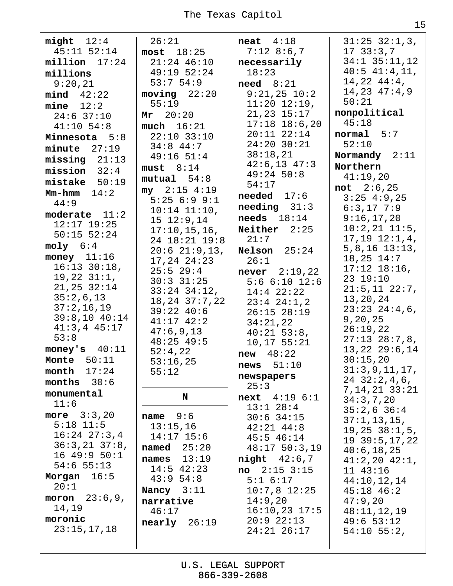| - 1 |         |
|-----|---------|
|     | . .     |
|     |         |
|     | ۰.<br>v |

| $mid$ $12:4$                  | 26:21                           | $\text{neat}$ 4:18                  | $31:25$ $32:1,3$ ,             |
|-------------------------------|---------------------------------|-------------------------------------|--------------------------------|
| $45:11$ $52:14$               | $most$ 18:25                    | $7:12$ 8:6,7                        | 1733:3,7                       |
| $millicn$ $17:24$             | $21:24$ 46:10                   | necessarily                         | $34:1$ $35:11,12$              |
| millions                      | 49:19 52:24                     | 18:23                               | $40:5$ $41:4,11,$              |
| 9:20,21                       | 53:754:9                        | $need \quad 8:21$                   | $14,22$ $44:4$ ,               |
| $mind \quad 42:22$            | $moving$ $22:20$                | $9:21,25$ $10:2$                    | 14, 23 47: 4, 9                |
| $mine$ 12:2                   | 55:19                           | $11:20$ $12:19$ ,                   | 50:21                          |
| $24:6$ 37:10                  | Mr 20:20                        | $21, 23$ $15:17$                    | nonpolitical                   |
| $41:10$ 54:8                  | $much$ $16:21$                  | $17:18$ $18:6,20$                   | 45:18                          |
| Minnesota 5:8                 | $22:10$ 33:10                   | $20:11$ $22:14$                     | normal 5:7                     |
| $minute$ $27:19$              | $34:8$ 44:7                     | $24:20$ 30:21<br>38:18,21           | 52:10                          |
| $missing$ 21:13               | $49:16$ 51:4                    | $42:6,13$ $47:3$                    | Normandy $2:11$                |
| $mission 32:4$                | must 8:14                       | $49:24$ 50:8                        | Northern                       |
| $mistake$ 50:19               | mutual 54:8                     | 54:17                               | 41:19,20                       |
| $Mm-hmm$ $14:2$               | $my$ 2:15 4:19                  | $n$ eeded $17:6$                    | not 2:6,25<br>$3:25$ 4:9,25    |
| 44:9                          | 5:256:99:1                      | $\boldsymbol{needing}$ 31:3         | $6:3,17$ 7:9                   |
| moderate $11:2$               | $10:14$ $11:10$ ,<br>15 12:9,14 | $\boldsymbol{\texttt{needs}}$ 18:14 | 9:16,17,20                     |
| $12:17$ $19:25$               | 17:10, 15, 16,                  | Neither $2:25$                      | $10:2,21$ $11:5,$              |
| $50:15$ $52:24$               | 24 18:21 19:8                   | 21:7                                | $17, 19$ $12:1, 4$ ,           |
| $moly$ 6:4                    | $20:6$ 21:9,13,                 | Nelson $25:24$                      | $5, 8, 16$ 13:13,              |
| money $11:16$                 | 17,24 24:23                     | 26:1                                | $18, 25$ $14:7$                |
| $16:13$ $30:18$ ,             | $25:5$ 29:4                     | <b>never</b> $2:19,22$              | $17:12$ $18:16$ ,              |
| $19,22$ $31:1,$               | $30:3$ $31:25$                  | $5:6$ $6:10$ $12:6$                 | 23 19:10                       |
| $21, 25$ $32:14$              | $33:24$ $34:12$ ,               | $14:4$ 22:22                        | $21:5,11$ $22:7,$              |
| 35:2,6,13                     | $18, 24$ $37:7, 22$             | $23:4$ $24:1,2$                     | 13,20,24                       |
| 37:2,16,19<br>$39:8,10$ 40:14 | $39:22$ 40:6                    | $26:15$ $28:19$                     | $23:23$ $24:4,6$ ,             |
| $41:3,4$ $45:17$              | $41:17$ $42:2$                  | 34:21,22                            | 9, 20, 25                      |
| 53:8                          | 47:6,9,13                       | $40:21$ 53:8,                       | 26:19,22<br>$27:13$ $28:7,8$ , |
| money's $40:11$               | $48:25$ 49:5                    | 10, 17, 55:21                       | 13, 22, 29:6, 14               |
| Monte $50:11$                 | 52:4,22<br>53:16,25             | $new$ 48:22                         | 30:15,20                       |
| month<br>17:24                | 55:12                           | news $51:10$                        | 31:3,9,11,17,                  |
| months $30:6$                 |                                 | newspapers                          | $24$ 32:2,4,6,                 |
| monumental                    |                                 | 25:3                                | 7, 14, 21 33: 21               |
| 11:6                          | N                               | next 4:19 6:1                       | 34:3,7,20                      |
| more $3:3,20$                 | name $9:6$                      | $13:1$ 28:4                         | $35:2,6$ 36:4                  |
| $5:18$ 11:5                   | 13:15,16                        | $30:6$ 34:15<br>$42:21$ $44:8$      | 37:1, 13, 15,                  |
| $16:24$ $27:3,4$              | $14:17$ 15:6                    | $45:5$ $46:14$                      | 19, 25, 38:1, 5,               |
| $36:3,21$ $37:8$ ,            | named $25:20$                   | $48:17$ 50:3,19                     | $19$ 39:5, 17, 22              |
| 1649:950:1                    | 13:19<br>names                  | $night$ 42:6,7                      | 40:6, 18, 25                   |
| $54:6$ 55:13                  | $14:5$ 42:23                    | no<br>$2:15$ $3:15$                 | $41:2,20$ $42:1,$<br>11 43:16  |
| Morgan $16:5$                 | 43:954:8                        | 5:1 6:17                            | 44:10,12,14                    |
| 20:1                          | Nancy $3:11$                    | $10:7,8$ 12:25                      | $45:18$ $46:2$                 |
| moron $23:6,9$ ,              | narrative                       | 14:9,20                             | 47:9,20                        |
| 14,19                         | 46:17                           | $16:10,23$ 17:5                     | 48:11,12,19                    |
| moronic                       | nearly 26:19                    | $20:9$ $22:13$                      | 49:653:12                      |
| 23:15,17,18                   |                                 | $24:21$ $26:17$                     | $54:10$ 55:2,                  |
|                               |                                 |                                     |                                |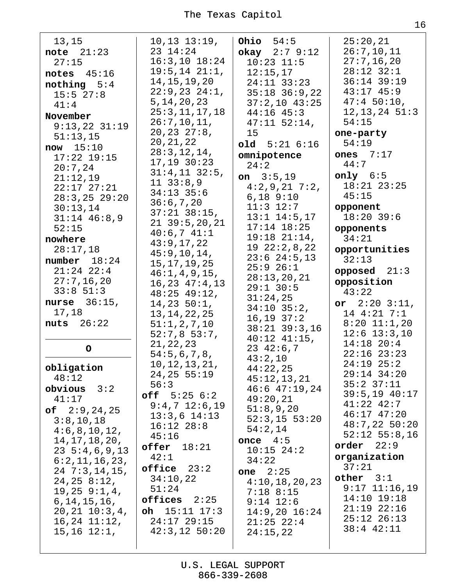| 13,15               | $10, 13$ $13:19$ , | Ohio $54:5$         | 25:20,21          |
|---------------------|--------------------|---------------------|-------------------|
| note $21:23$        | 23 14:24           | okay $2:79:12$      | 26:7, 10, 11      |
| 27:15               | $16:3, 10$ $18:24$ | $10:23$ $11:5$      | 27:7, 16, 20      |
|                     |                    |                     | 28:12 32:1        |
| notes $45:16$       | $19:5, 14$ $21:1,$ | 12:15,17            |                   |
| nothing $5:4$       | 14, 15, 19, 20     | $24:11$ $33:23$     | 36:14 39:19       |
| 15:5 27:8           | $22:9,23$ $24:1,$  | $35:18$ $36:9,22$   | $43:17$ $45:9$    |
|                     | 5, 14, 20, 23      | $37:2,10$ 43:25     | 47:450:10,        |
| 41:4                | 25:3, 11, 17, 18   | $44:16$ $45:3$      | $12, 13, 24$ 51:3 |
| November            |                    |                     |                   |
| $9:13,22$ $31:19$   | 26:7, 10, 11,      | $47:11$ 52:14,      | 54:15             |
| 51:13,15            | 20, 23, 27:8,      | 15                  | one-party         |
|                     | 20, 21, 22         | $old$ $5:21$ $6:16$ | 54:19             |
| now 15:10           | 28:3, 12, 14,      |                     | ones $7:17$       |
| $17:22$ $19:15$     | $17, 19$ $30:23$   | omnipotence         |                   |
| 20:7,24             |                    | 24:2                | 44:7              |
| 21:12,19            | $31:4,11$ $32:5,$  | on $3:5,19$         | only $6:5$        |
| $22:17$ $27:21$     | $11 \quad 33:8,9$  | $4:2,9,21$ 7:2,     | $18:21$ $23:25$   |
|                     | $34:13$ 35:6       | $6,18$ $9:10$       | 45:15             |
| $28:3, 25$ 29:20    | 36:6,7,20          |                     |                   |
| 30:13,14            | $37:21$ $38:15$ ,  | $11:3$ $12:7$       | opponent          |
| $31:14$ 46:8,9      |                    | $13:1$ $14:5,17$    | $18:20$ 39:6      |
| 52:15               | $21$ 39:5, 20, 21  | $17:14$ $18:25$     | opponents         |
| nowhere             | 40:6,741:1         | $19:18$ $21:14$ ,   | 34:21             |
|                     | 43:9,17,22         | 1922:2,8,22         |                   |
| 28:17,18            | 45:9, 10, 14,      |                     | opportunities     |
| number $18:24$      | 15, 17, 19, 25     | $23:6$ $24:5,13$    | 32:13             |
| $21:24$ $22:4$      | 46:1, 4, 9, 15,    | $25:9$ $26:1$       | opposed $21:3$    |
| 27:7,16,20          |                    | 28:13, 20, 21       | opposition        |
| $33:8$ $51:3$       | 16, 23, 47:4, 13   | $29:1$ 30:5         |                   |
|                     | $48:25$ $49:12$ ,  | 31:24,25            | 43:22             |
| nurse $36:15$ ,     | 14, 23, 50:1,      | $34:10$ $35:2$ ,    | or $2:203:11$ ,   |
| 17,18               | 13, 14, 22, 25     |                     | $14$ $4:21$ $7:1$ |
| nuts $26:22$        | 51:1,2,7,10        | $16, 19$ $37:2$     | $8:20$ 11:1,20    |
|                     |                    | $38:21$ $39:3,16$   | $12:6$ 13:3,10    |
|                     | 52:7,853:7,        | $40:12$ $41:15$ ,   |                   |
| $\mathsf{o}$        | 21, 22, 23         | $23 \t42:6,7$       | 14:18 20:4        |
|                     | 54:5,6,7,8,        | 43:2,10             | $22:16$ $23:23$   |
|                     | 10, 12, 13, 21,    |                     | $24:19$ $25:2$    |
| obligation          | 24, 25, 55:19      | 44:22,25            | $29:14$ 34:20     |
| 48:12               | 56:3               | 45:12,13,21         | $35:2$ $37:11$    |
| obvious $3:2$       |                    | $46:6$ $47:19,24$   |                   |
| 41:17               | off 5:25 6:2       | 49:20,21            | $39:5,19$ 40:17   |
| of $2:9,24,25$      | $9:4,7$ 12:6,19    | 51:8,9,20           | $41:22$ $42:7$    |
|                     | $13:3,6$ $14:13$   | $52:3,15$ 53:20     | 46:17 47:20       |
| 3:8,10,18           | $16:12$ $28:8$     |                     | $48:7,22$ 50:20   |
| 4:6,8,10,12,        | 45:16              | 54:2,14             | $52:12$ $55:8,16$ |
| 14, 17, 18, 20,     |                    | once $4:5$          |                   |
| $23\;\;5:4,6,9,13$  | $offer$ $18:21$    | $10:15$ $24:2$      | 22:9<br>order     |
| 6:2,11,16,23,       | 42:1               | 34:22               | organization      |
|                     | $offline 23:2$     |                     | 37:21             |
| $24 \t7:3,14,15,$   | 34:10,22           | one $2:25$          | other 3:1         |
| $24, 25$ 8:12,      |                    | 4:10,18,20,23       |                   |
| $19,25$ $9:1,4$ ,   | 51:24              | $7:18$ 8:15         | $9:17$ $11:16,19$ |
| 6, 14, 15, 16,      | $offices$ $2:25$   | $9:14$ 12:6         | $14:10$ $19:18$   |
| $20, 21$ $10:3, 4,$ | oh $15:11$ $17:3$  | $14:9,20$ $16:24$   | $21:19$ $22:16$   |
|                     | 24:17 29:15        |                     | $25:12$ $26:13$   |
| $16, 24$ $11:12$ ,  |                    | $21:25$ $22:4$      | $38:4$ $42:11$    |
| $15, 16$ $12:1,$    | $42:3,12$ 50:20    | 24:15,22            |                   |
|                     |                    |                     |                   |
|                     |                    |                     |                   |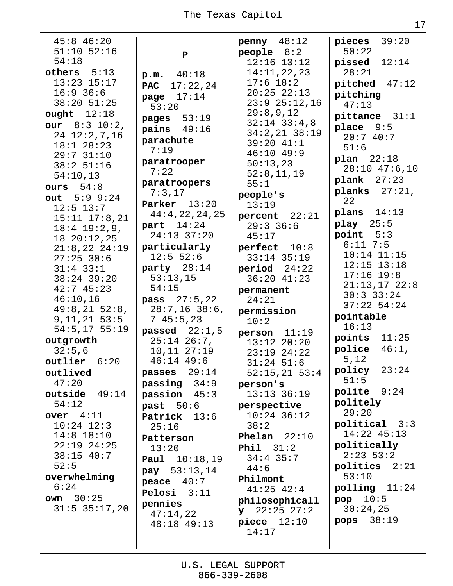$45:8$  46:20  $51:10$   $52:16$  $54:18$ others  $5:13$  $13:23$   $15:17$  $16:9$  36:6  $38:20$  51:25 ought  $12:18$ our  $8:3 10:2$ ,  $24$   $12:2,7,16$  $18:1$  28:23  $29:7$  31:10  $38:2$  51:16  $54:10.13$ ours  $54:8$ out  $5:9$  9:24  $12:5$  13:7  $15:11$   $17:8,21$  $18:4$   $19:2,9$ ,  $1820:12,25$  $21:8,22$   $24:19$  $27:25$  30:6  $31:4$  33:1  $38:24$  39:20  $42:745:23$  $46:10,16$  $49:8,21\ 52:8,$  $9, 11, 21$  53:5  $54:5,17$  55:19 outgrowth  $32:5,6$  $outputier$   $6:20$ outlived  $47:20$ outside  $49:14$  $54:12$ over  $4:11$  $10:24$   $12:3$  $14:8$  18:10  $22:19$   $24:25$ 38:15 40:7  $52:5$ overwhelming  $6:24$  $own 30:25$  $31:5$   $35:17,20$ 

 $\mathbf{P}$  $40:18$  $p.m.$ **PAC** 17:22,24 page  $17:14$  $53:20$ pages  $53:19$  $\text{pairs}$  49:16 parachute  $7:19$ paratrooper  $7:22$ paratroopers  $7:3.17$ Parker  $13:20$  $44:4,22,24,25$ part  $14:24$  $24:13$  37:20 particularly  $12:5 52:6$ party  $28:14$  $53:13,15$  $54:15$ **pass**  $27:5,22$  $28:7,16$  38:6,  $745:5,23$ passed  $22:1.5$  $25:14$   $26:7$ ,  $10, 11$   $27:19$  $46:14$   $49:6$ passes  $29:14$  $passing 34:9$ passion  $45:3$ past  $50:6$ Patrick 13:6  $25:16$ Patterson  $13:20$ Paul 10:18,19 pay  $53:13,14$ peace  $40:7$ Pelosi  $3:11$ pennies  $47:14,22$  $48:18$   $49:13$ 

 $penny$  48:12 people  $8:2$  $12:16$   $13:12$  $14:11,22,23$  $17:6$  18:2  $20:25$   $22:13$  $23:9$   $25:12.16$  $29:8,9,12$  $32:14$   $33:4.8$  $34:2,21$   $38:19$ 39:20 41:1  $46:10$   $49:9$  $50:13.23$  $52:8,11,19$  $55:1$ people's  $13:19$ percent  $22:21$  $29:3$  36:6  $45:17$ perfect 10:8  $33:14$  35:19  $period$  24:22  $36:20$  41:23 permanent  $24:21$ permission  $10:2$  $person 11:19$  $13:12$   $20:20$  $23:19$   $24:22$  $31:24$  51:6  $52:15,21$  53:4 person's  $13:13$   $36:19$ perspective  $10:24$  36:12  $38:2$ Phelan  $22:10$ Phil  $31:2$  $34:4$  35:7  $44:6$ Philmont  $41:25$   $42:4$ philosophicall  $y$  22:25 27:2  $piece$   $12:10$  $14:17$ 

pieces  $39:20$  $50:22$ pissed  $12:14$  $28:21$  $pitched$  47:12 pitching  $47:13$  $pitchance$  31:1 place  $9:5$  $20:740:7$  $51:6$  $plan$   $22:18$  $28:10$  47:6,10  $plank$  27:23 planks  $27:21$ ,  $2.2<sub>1</sub>$ plans  $14:13$ play  $25:5$ point  $5:3$  $6:11$  7:5  $10:14$   $11:15$  $12:15$   $13:18$  $17:16$   $19:8$  $21:13,17$   $22:8$  $30:3$  33:24  $37:22$  54:24 pointable  $16:13$ points  $11:25$ police  $46:1$ , 5,12 policy  $23:24$  $51:5$  $p$ olite  $9:24$ politely  $29:20$  $political$   $3:3$  $14:22$   $45:13$ politically  $2:23$  53:2  $politics$   $2:21$  $53:10$  $polling$   $11:24$ pop  $10:5$  $30:24,25$ pops  $38:19$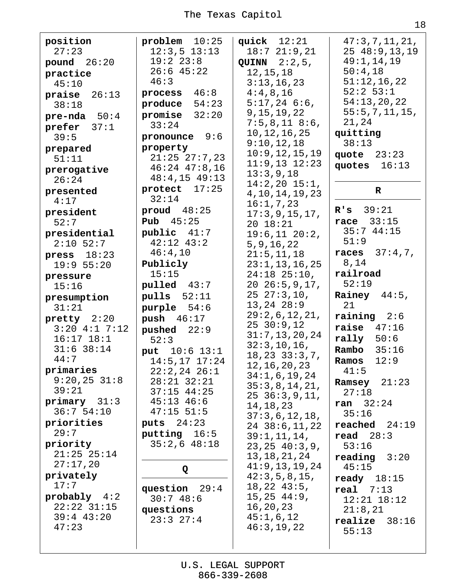| position<br>27:23<br>pound $26:20$<br>practice<br>45:10<br><b>praise</b> $26:13$<br>38:18<br>pre-nda $50:4$<br>prefer $37:1$<br>39:5<br>prepared<br>51:11<br>prerogative<br>26:24<br>presented                                                                                                                                                                                                                                              | $problem$ 10:25<br>$12:3,5$ $13:13$<br>19:2 23:8<br>$26:6$ 45:22<br>46:3<br>process $46:8$<br>produce $54:23$<br>promise $32:20$<br>33:24<br>pronounce 9:6<br>property<br>$21:25$ $27:7,23$<br>$46:24$ $47:8,16$<br>$48:4,15$ $49:13$<br>protect $17:25$<br>32:14                                                                                                                                                                             | quick $12:21$<br>18:721:9,21<br>QUINN $2:2,5$ ,<br>12, 15, 18<br>3:13,16,23<br>4:4,8,16<br>$5:17,24$ 6:6,<br>9, 15, 19, 22<br>7:5,8,118:6,<br>10, 12, 16, 25<br>9:10,12,18<br>10:9, 12, 15, 19<br>$11:9,13$ $12:23$<br>13:3,9,18<br>$14:2,20$ $15:1,$<br>4, 10, 14, 19, 23                                                                                                                                                                                                                                                                                                          | 47:3,7,11,21,<br>2548:9,13,19<br>49:1,14,19<br>50:4,18<br>51:12,16,22<br>$52:2$ $53:1$<br>54:13,20,22<br>55:5,7,11,15,<br>21,24<br>quitting<br>38:13<br>quote $23:23$<br>quotes<br>16:13<br>$\mathbf R$                                                                                                                                                                                                                                         |
|---------------------------------------------------------------------------------------------------------------------------------------------------------------------------------------------------------------------------------------------------------------------------------------------------------------------------------------------------------------------------------------------------------------------------------------------|-----------------------------------------------------------------------------------------------------------------------------------------------------------------------------------------------------------------------------------------------------------------------------------------------------------------------------------------------------------------------------------------------------------------------------------------------|-------------------------------------------------------------------------------------------------------------------------------------------------------------------------------------------------------------------------------------------------------------------------------------------------------------------------------------------------------------------------------------------------------------------------------------------------------------------------------------------------------------------------------------------------------------------------------------|-------------------------------------------------------------------------------------------------------------------------------------------------------------------------------------------------------------------------------------------------------------------------------------------------------------------------------------------------------------------------------------------------------------------------------------------------|
| 4:17<br>president<br>52:7<br>presidential<br>$2:10$ 52:7<br>press $18:23$<br>19:9 55:20<br>pressure<br>15:16<br>presumption<br>31:21<br>pretty $2:20$<br>$3:20$ 4:1 7:12<br>$16:17$ $18:1$<br>$31:6$ 38:14<br>44:7<br>primaries<br>$9:20,25$ 31:8<br>39:21<br>primary 31:3<br>36:754:10<br>priorities<br>29:7<br>priority<br>$21:25$ $25:14$<br>27:17,20<br>privately<br>17:7<br>$probably$ 4:2<br>$22:22$ $31:15$<br>$39:4$ 43:20<br>47:23 | proud $48:25$<br><b>Pub</b> $45:25$<br>public 41:7<br>$42:12$ $43:2$<br>46:4,10<br>Publicly<br>15:15<br>pulled 43:7<br>pulls $52:11$<br>purple $54:6$<br>push $46:17$<br>pushed $22:9$<br>52:3<br>put $10:6$ 13:1<br>14:5, 17 17:24<br>$22:2,24$ $26:1$<br>$28:21$ $32:21$<br>$37:15$ 44:25<br>$45:13$ $46:6$<br>$47:15$ 51:5<br>puts $24:23$<br>putting 16:5<br>$35:2,6$ 48:18<br>Q<br>29:4<br>question<br>30:748:6<br>questions<br>23:327:4 | 16:1, 7, 23<br>17:3,9,15,17,<br>20 18:21<br>19:6, 11 20:2,<br>5, 9, 16, 22<br>21:5, 11, 18<br>23:1, 13, 16, 25<br>$24:18$ $25:10$ ,<br>$20\;\;26:5,9,17,$<br>$25\;\;27:3,10,$<br>$13, 24$ $28:9$<br>29:2,6,12,21,<br>2530:9,12<br>31:7, 13, 20, 24<br>32:3,10,16,<br>18, 23, 33:3, 7,<br>12, 16, 20, 23<br>34:1,6,19,24<br>35:3,8,14,21,<br>$25\ \ 36:3,9,11,$<br>14, 18, 23<br>37:3,6,12,18,<br>$24$ $38:6,11,22$<br>39:1, 11, 14,<br>23, 25, 40:3, 9,<br>13,18,21,24<br>41:9,13,19,24<br>42:3,5,8,15,<br>$18,22$ $43:5$ ,<br>15, 25, 44:9,<br>16,20,23<br>45:1,6,12<br>46:3,19,22 | R's 39:21<br>race $33:15$<br>35:744:15<br>51:9<br>37:4,7,<br>races<br>8,14<br>railroad<br>52:19<br>Rainey $44:5$ ,<br>21<br>$raining$ 2:6<br>raise $47:16$<br>rally $50:6$<br>Rambo<br>35:16<br>12:9<br>Ramos<br>41:5<br>Ramsey $21:23$<br>27:18<br>ran 32:24<br>35:16<br>$reached$ 24:19<br>read $28:3$<br>53:16<br>$\texttt{reading}$ 3:20<br>45:15<br>ready $18:15$<br>$real$ 7:13<br>$12:21$ $18:12$<br>21:8,21<br>$realize$ 38:16<br>55:13 |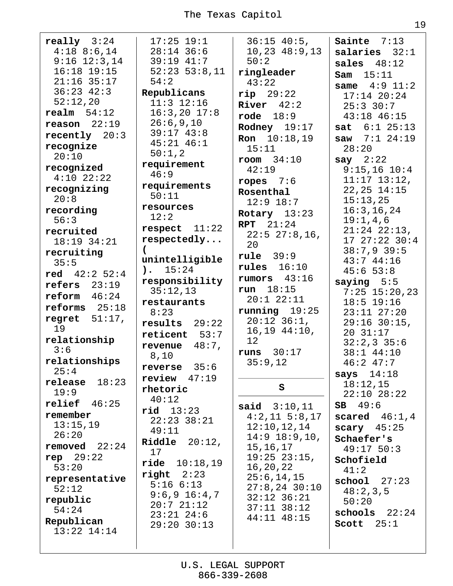| really $3:24$          | $17:25$ 19:1               | $36:15$ 40:5,         | Sainte $7:13$            |
|------------------------|----------------------------|-----------------------|--------------------------|
| $4:18$ $8:6,14$        | $28:14$ 36:6               | 10, 23, 48:9, 13      | salaries $32:1$          |
| $9:16$ $12:3,14$       | 39:19 41:7                 | 50:2                  | sales $48:12$            |
| $16:18$ $19:15$        | $52:23$ $53:8,11$          | ringleader            | <b>Sam</b> $15:11$       |
| $21:16$ 35:17          | 54:2                       | 43:22                 | <b>same</b> $4:9$ $11:2$ |
| $36:23$ $42:3$         | Republicans                | $rip$ 29:22           | $17:14$ $20:24$          |
| 52:12,20               | $11:3$ $12:16$             | River $42:2$          | $25:3$ 30:7              |
| $\texttt{realm}$ 54:12 | $16:3,20$ $17:8$           | rode $18:9$           | 43:18 46:15              |
| $reason$ 22:19         | 26:6,9,10                  | Rodney $19:17$        | sat $6:1$ 25:13          |
| recently $20:3$        | $39:17$ $43:8$             | <b>Ron</b> $10:18,19$ | saw $7:1$ 24:19          |
| recognize              | $45:21$ $46:1$             | 15:11                 | 28:20                    |
| 20:10                  | 50:1,2                     | $room$ $34:10$        | say $2:22$               |
| recognized             | requirement                | 42:19                 | $9:15,16$ $10:4$         |
| $4:10$ $22:22$         | 46:9                       |                       | $11:17$ $13:12$ ,        |
| recognizing            | requirements               | ropes $7:6$           | $22, 25$ $14:15$         |
| 20:8                   | 50:11                      | Rosenthal             | 15:13,25                 |
| recording              | resources                  | $12:9$ 18:7           | 16:3, 16, 24             |
| 56:3                   | 12:2                       | Rotary $13:23$        | 19:1,4,6                 |
| recruited              | respect $11:22$            | RPT 21:24             | $21:24$ $22:13$ ,        |
| 18:19 34:21            | respectedly                | $22:5$ $27:8,16$ ,    | 17 27:22 30:4            |
| recruiting             |                            | 20                    | $38:7,9$ 39:5            |
| 35:5                   | unintelligible             | rule 39:9             | 43:744:16                |
| red $42:2 52:4$        | $\lambda$ . 15:24          | rules $16:10$         | 45:653:8                 |
| refers $23:19$         | responsibility             | rumors $43:16$        | saying $5:5$             |
|                        | 35:12,13                   | run $18:15$           | $7:25$ 15:20,23          |
| reform 46:24           | restaurants                | $20:1$ $22:11$        | $18:5$ 19:16             |
| reforms $25:18$        | 8:23                       | $running$ 19:25       | $23:11$ $27:20$          |
| regret $51:17$ ,       | $results$ 29:22            | $20:12$ $36:1$ ,      | $29:16$ 30:15,           |
| 19                     | reticent 53:7              | $16, 19$ $44:10,$     | 20 31:17                 |
| relationship           | revenue $48:7$ ,           | 12 <sup>°</sup>       | $32:2,3$ 35:6            |
| 3:6                    | 8,10                       | runs 30:17            | $38:1$ 44:10             |
| relationships          | reverse $35:6$             | 35:9,12               | $46:2$ $47:7$            |
| 25:4                   | $review$ 47:19             |                       | says $14:18$             |
| $relcase$ $18:23$      | rhetoric                   | S                     | 18:12,15                 |
| 19:9                   | 40:12                      |                       | $22:10$ $28:22$          |
| $relief$ 46:25         | $rid$ $13:23$              | <b>said</b> $3:10,11$ | $SB$ 49:6                |
| remember               | $22:23$ $38:21$            | $4:2,11$ 5:8,17       | scared $46:1,4$          |
| 13:15,19               | 49:11                      | 12:10, 12, 14         | scary $45:25$            |
| 26:20                  | Riddle $20:12$ ,           | $14:9$ $18:9,10,$     | Schaefer's               |
| removed $22:24$        | 17                         | 15,16,17              | $49:17$ 50:3             |
| rep $29:22$            | $\texttt{ride}$ $10:18,19$ | $19:25$ $23:15$ ,     | Schofield                |
| 53:20                  | right  2:23                | 16,20,22              | 41:2                     |
| representative         | $5:16 \ 6:13$              | 25:6, 14, 15          | $\text{school}$ 27:23    |
| 52:12                  | $9:6,9$ 16:4,7             | $27:8, 24$ 30:10      | 48:2,3,5                 |
| republic               | 20:721:12                  | $32:12$ $36:21$       | 50:20                    |
| 54:24                  | $23:21$ $24:6$             | $37:11$ $38:12$       | schools $22:24$          |
| Republican             | $29:20$ 30:13              | 44:11 48:15           | Scott $25:1$             |
| $13:22$ $14:14$        |                            |                       |                          |
|                        |                            |                       |                          |
|                        |                            |                       |                          |

19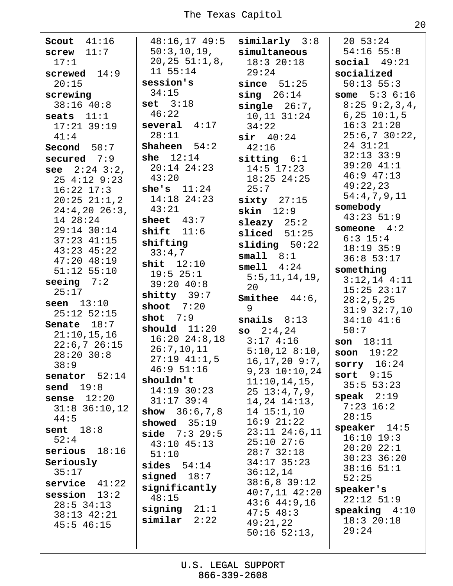Scout  $41:16$  $screw$  11:7  $17:1$ screwed  $14:9$  $20:15$ screwing  $38:16$   $40:8$ seats  $11:1$  $17:21$  39:19  $41:4$ Second  $50:7$ secured  $7:9$ see  $2:24$   $3:2$ ,  $254:129:23$  $16:22$   $17:3$  $20:25$   $21:1.2$  $24:4,20$   $26:3,$ 14 28:24 29:14 30:14  $37:23$  41:15  $43:23$   $45:22$  $47:20$   $48:19$  $51:12$   $55:10$ seeing  $7:2$  $25:17$ seen  $13:10$  $25:12$   $52:15$ Senate  $18:7$  $21:10,15,16$  $22:6,726:15$  $28:20$  30:8  $38:9$ senator  $52:14$ send  $19:8$ sense  $12:20$  $31:8$   $36:10,12$  $44:5$ sent  $18:8$  $52:4$ serious  $18:16$ Seriously  $35:17$  $s$ ervice  $41:22$ session  $13:2$  $28:5$  34:13  $38:13$   $42:21$  $45:5$   $46:15$ 

 $48:16,17$   $49:5$  $50:3, 10, 19,$  $20, 25, 51:1, 8,$  $11 55:14$ session's  $34:15$  $set$   $3:18$  $46:22$ several  $4:17$  $28:11$ **Shaheen**  $54:2$ she  $12:14$  $20:14$   $24:23$  $43:20$ she's  $11:24$  $14:18$  24:23 43:21 sheet  $43:7$ shift  $11:6$ shifting  $33:4,7$ shit  $12:10$  $19:5$  25:1  $39:20$  40:8  $\text{shitty}$  39:7 shoot  $7:20$ shot  $7:9$ should  $11:20$  $16:20$   $24:8,18$  $26:7, 10, 11$  $27:19$   $41:1,5$  $46:951:16$ shouldn't  $14:19$  30:23  $31:17$  39:4 show  $36:6,7,8$ showed  $35:19$ **side**  $7:3$  29:5  $43:10$   $45:13$  $51:10$ sides  $54:14$ signed  $18:7$ significantly 48:15 signing  $21:1$ similar  $2:22$ 

 $similarly$  3:8 simultaneous  $18:3$  20:18  $29:24$ since  $51:25$  $\sin q$  26:14  $single$   $26:7$ ,  $10, 11$   $31:24$  $34:22$  $sir$  40:24  $42:16$  $s$ itting  $6:1$  $14:5$  17:23  $18:25$  24:25  $25:7$  $sixty$  27:15  $skin$   $12:9$  $sl$ azy  $25:2$  $sliced 51:25$  $sliding 50:22$  $small 8:1$  $smell 1$   $4:24$  $5:5, 11, 14, 19,$ 20 Smithee  $44:6.$ 9 snails  $8:13$  $so$   $2:4.24$  $3:174:16$  $5:10,12$  8:10,  $16, 17, 20$  9:7,  $9,23$   $10:10,24$  $11:10, 14, 15,$  $25 \t13:4,7,9,$  $14, 24$   $14:13$ ,  $14$   $15:1,10$  $16:9$   $21:22$  $23:11$   $24:6.11$  $25:10$   $27:6$  $28:7$  32:18  $34:17$  35:23  $36:12,14$  $38:6,8$  39:12  $40:7,11$   $42:20$  $43:6$   $44:9,16$  $47:5$  48:3  $49:21,22$  $50:16$   $52:13$ ,

 $20\;\;53:24$  $54:16$   $55:8$ social  $49:21$ socialized  $50:13$  55:3 some  $5:36:16$  $8:25$   $9:2,3,4$ ,  $6, 25, 10:1, 5$  $16:3$   $21:20$  $25:6,7$  30:22, 24 31:21  $32:13$   $33:9$  $39:20$  41:1  $46:9$   $47:13$  $49:22,23$  $54:4,7,9,11$ somebody  $43:23$  51:9 someone  $4:2$  $6:3$  15:4  $18:19$  35:9  $36:8$  53:17 something  $3:12,14$   $4:11$  $15:25$   $23:17$  $28:2,5,25$  $31:9$   $32:7,10$  $34:10$   $41:6$  $50:7$  $son 18:11$ soon  $19:22$ sorry  $16:24$ sort  $9:15$  $35:5 53:23$ speak  $2:19$  $7:23$  16:2  $28:15$ speaker  $14:5$  $16:10$   $19:3$  $20:2022:1$  $30:23$  36:20  $38:16$   $51:1$  $52:25$ speaker's  $22:12$  51:9  $$  $18:320:18$  $29:24$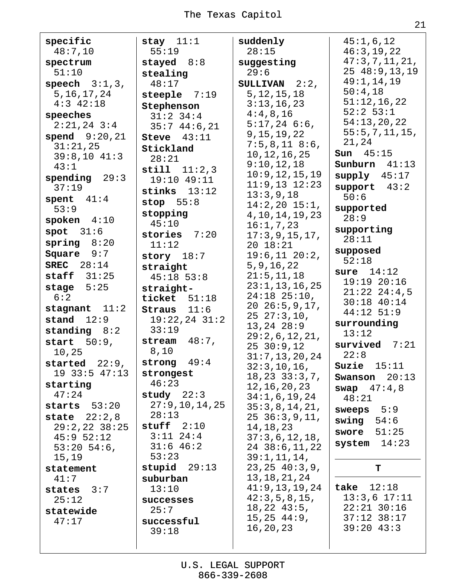specific  $48:7,10$ spectrum  $51:10$ speech  $3:1,3$ , 5, 16, 17, 24  $4:3$  42:18 speeches  $2:21,24$   $3:4$ spend  $9:20,21$  $31:21,25$  $39:8,10$  41:3  $43:1$ spending  $29:3$  $37:19$ spent  $41:4$  $53:9$ spoken  $4:10$ spot  $31:6$  $spring 8:20$ Square  $9:7$ **SREC** 28:14 staff  $31:25$ stage  $5:25$  $6:2$ stagnant  $11:2$  $\texttt{stand}$   $12:9$ standing  $8:2$ start  $50:9$ , 10,25 started  $22:9$ ,  $19$  33:5  $47:13$ starting  $47:24$ starts  $53:20$ state  $22:2,8$  $29:2,22$  38:25  $45:952:12$  $53:20$  54:6, 15,19 statement  $41:7$ states  $3:7$  $25:12$ statewide  $47:17$ 

stay  $11:1$  $55:19$ stayed  $8:8$ stealing  $48:17$ steeple  $7:19$ Stephenson  $31:2$  34:4  $35:744:6,21$ Steve  $43:11$ Stickland  $28:21$  $\text{still}$   $11:2,3$  $19:10$   $49:11$ stinks  $13:12$ stop  $55:8$ stopping  $45:10$ stories 7:20  $11:12$ story  $18:7$ straight  $45:18$   $53:8$ straightticket  $51:18$ Straus  $11:6$  $19:22,24$   $31:2$  $33:19$ stream  $48:7$ ,  $8,10$ strong  $49:4$ strongest  $46:23$ study  $22:3$  $27:9, 10, 14, 25$  $28:13$ stuff  $2:10$  $3:11$   $24:4$  $31:646:2$  $53:23$ stupid  $29:13$ suburban  $13:10$ successes  $25:7$ successful  $39:18$ 

suddenly  $28:15$ suggesting  $29:6$ SULLIVAN  $2:2$ ,  $5, 12, 15, 18$  $3:13,16,23$  $4:4,8,16$  $5:17,24$  6:6,  $9, 15, 19, 22$  $7:5,8,11$  8:6, 10, 12, 16, 25  $9:10,12,18$  $10:9, 12, 15, 19$  $11:9,13$   $12:23$  $13:3,9,18$  $14:2,20$   $15:1,$ 4, 10, 14, 19, 23  $16:1,7,23$  $17:3,9,15,17,$  $20 18:21$  $19:6, 11 20:2,$ 5, 9, 16, 22  $21:5, 11, 18$  $23:1, 13, 16, 25$  $24:18$   $25:10$ ,  $20\ \ 26:5,9,17,$  $2527:3,10,$  $13, 24$   $28:9$  $29:2,6,12,21,$  $2530:9,12$  $31:7,13,20,24$  $32:3, 10, 16,$  $18, 23, 33:3, 7,$ 12, 16, 20, 23  $34:1,6,19,24$  $35:3,8,14,21,$  $25$   $36:3,9,11$ , 14, 18, 23  $37:3,6,12,18,$ 24 38:6,11,22  $39:1, 11, 14,$  $23, 25, 40:3, 9,$ 13, 18, 21, 24  $41:9, 13, 19, 24$  $42:3,5,8,15,$  $18, 22, 43:5,$  $15, 25, 44:9,$ 16, 20, 23

 $45:1,6,12$  $46:3,19,22$  $47:3,7,11,21,$  $25, 48:9, 13, 19$  $49:1,14,19$  $50:4,18$  $51:12,16,22$  $52:2$   $53:1$  $54:13,20,22$  $55:5, 7, 11, 15,$ 21,24 **Sun**  $45:15$ Sunburn  $41:13$ supply  $45:17$ support  $43:2$  $50:6$ supported  $28:9$ supporting  $28:11$ supposed  $52:18$ sure  $14:12$  $19:1920:16$  $21:22$   $24:4,5$  $30:18$  40:14  $44:12$  51:9 surrounding  $13:12$ survived  $7:21$  $22:8$ Suzie  $15:11$ Swanson  $20:13$ swap  $47:4,8$  $48:21$ sweeps  $5:9$ swing  $54:6$ swore  $51:25$ system  $14:23$ T. take  $12:18$  $13:3.6$   $17:11$  $22:21$   $30:16$  $37:12$   $38:17$  $39:20$  43:3

U.S. LEGAL SUPPORT 866-339-2608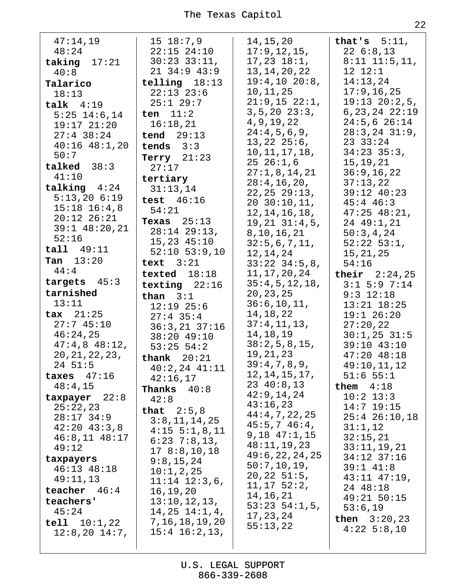| 47:14,19<br>48:24<br>taking $17:21$<br>40:8<br>Talarico<br>18:13<br>talk $4:19$<br>$5:25$ $14:6,14$<br>$19:17$ $21:20$<br>$27:4$ 38:24<br>$40:16$ $48:1,20$<br>50:7<br>talked $38:3$<br>41:10<br>talking $4:24$<br>5:13,206:19<br>$15:18$ $16:4,8$<br>$20:12$ $26:21$                   | $15\;18:7,9$<br>$22:15$ $24:10$<br>$30:23$ $33:11$ ,<br>$21$ 34:9 43:9<br>telling $18:13$<br>$22:13$ $23:6$<br>$25:1$ 29:7<br>ten $11:2$<br>16:18,21<br>tend $29:13$<br>tends $3:3$<br>Terry $21:23$<br>27:17<br>tertiary<br>31:13,14<br>test $46:16$<br>54:21<br>Texas $25:13$                    | 14,15,20<br>17:9, 12, 15,<br>$17, 23$ $18:1$ ,<br>13, 14, 20, 22<br>19:4, 10 20:8,<br>10,11,25<br>21:9,15 22:1,<br>$3, 5, 20$ $23:3$ ,<br>4, 9, 19, 22<br>24:4,5,6,9,<br>$13,22$ $25:6$ ,<br>10, 11, 17, 18,<br>$25\ \ 26:1,6$<br>27:1,8,14,21<br>28:4, 16, 20,<br>22, 25, 29:13,<br>20, 30:10, 11,<br>12, 14, 16, 18,<br>$19, 21$ $31:4, 5,$ | that's $5:11$ ,<br>226:8,13<br>$8:11$ $11:5,11$ ,<br>12 12:1<br>14:13,24<br>17:9, 16, 25<br>$19:13$ $20:2,5$ ,<br>$6, 23, 24$ $22:19$<br>$24:5,6$ 26:14<br>$28:3, 24$ $31:9,$<br>23 33:24<br>$34:23$ $35:3$ ,<br>15,19,21<br>36:9, 16, 22<br>37:13,22<br>39:12 40:23<br>$45:4$ $46:3$<br>$47:25$ $48:21$ ,<br>24 49:1,21 |
|-----------------------------------------------------------------------------------------------------------------------------------------------------------------------------------------------------------------------------------------------------------------------------------------|----------------------------------------------------------------------------------------------------------------------------------------------------------------------------------------------------------------------------------------------------------------------------------------------------|-----------------------------------------------------------------------------------------------------------------------------------------------------------------------------------------------------------------------------------------------------------------------------------------------------------------------------------------------|--------------------------------------------------------------------------------------------------------------------------------------------------------------------------------------------------------------------------------------------------------------------------------------------------------------------------|
| $39:1$ $48:20,21$<br>52:16<br>tall 49:11<br>Tan $13:20$<br>44:4<br>targets $45:3$<br>tarnished<br>13:11<br>$\texttt{tax}$ 21:25<br>27:745:10<br>46:24,25<br>$47:4,8$ $48:12,$<br>20, 21, 22, 23,                                                                                        | $28:14$ $29:13$ ,<br>$15,23$ $45:10$<br>$52:10$ $53:9,10$<br>text $3:21$<br>texted $18:18$<br>texting $22:16$<br>than $3:1$<br>$12:19$ 25:6<br>$27:4$ 35:4<br>$36:3,21$ $37:16$<br>38:20 49:10<br>$53:25$ $54:2$<br>thank $20:21$                                                                  | 8, 10, 16, 21<br>32:5,6,7,11,<br>12,14,24<br>$33:22$ $34:5,8$ ,<br>11,17,20,24<br>35:4,5,12,18,<br>20, 23, 25<br>36:6, 10, 11,<br>14,18,22<br>37:4,11,13,<br>14, 18, 19<br>38:2,5,8,15,<br>19, 21, 23                                                                                                                                         | 50:3,4,24<br>$52:22$ $53:1$ ,<br>15, 21, 25<br>54:16<br>their $2:24,25$<br>$3:1$ 5:9 7:14<br>$9:3$ 12:18<br>$13:21$ $18:25$<br>$19:1$ 26:20<br>27:20,22<br>$30:1,25$ 31:5<br>39:10 43:10<br>$47:20$ $48:18$                                                                                                              |
| $24 \;\; 51:5$<br>taxes $47:16$<br>48:4,15<br>$\texttt{txpayer}$ 22:8<br>25:22,23<br>$28:17$ 34:9<br>$42:20$ $43:3,8$<br>$46:8,11$ $48:17$<br>49:12<br>taxpayers<br>$46:13$ $48:18$<br>49:11,13<br>teacher $46:4$<br>teachers'<br>45:24<br>$\text{tell}$ $10:1,22$<br>$12:8,20$ $14:7,$ | $40:2,24$ $41:11$<br>42:16,17<br>Thanks<br>40:8<br>42:8<br>that $2:5,8$<br>3:8,11,14,25<br>$4:15 \t5:1,8,11$<br>$6:23$ 7:8,13,<br>178:8,10,18<br>9:8,15,24<br>10:1, 2, 25<br>$11:14$ $12:3,6$ ,<br>16, 19, 20<br>13:10, 12, 13,<br>$14, 25$ $14:1, 4$ ,<br>7, 16, 18, 19, 20<br>$15:4$ $16:2,13$ , | 39:4,7,8,9,<br>12, 14, 15, 17,<br>$23 \t40:8,13$<br>42:9,14,24<br>43:16,23<br>44:4,7,22,25<br>45:5,746:4,<br>$9,18$ $47:1,15$<br>48:11,19,23<br>49:6, 22, 24, 25<br>50:7,10,19,<br>20, 22, 51:5,<br>11, 17, 52:2,<br>14, 16, 21<br>$53:23 \ 54:1,5,$<br>17, 23, 24<br>55:13,22                                                                | 49:10,11,12<br>$51:6$ $55:1$<br>them $4:18$<br>$10:2$ 13:3<br>$14:7$ 19:15<br>$25:4$ $26:10,18$<br>31:1,12<br>32:15,21<br>33:11,19,21<br>34:12 37:16<br>$39:1$ $41:8$<br>$43:11$ $47:19$ ,<br>24 48:18<br>49:21 50:15<br>53:6,19<br><b>then</b> $3:20,23$<br>$4:22$ 5:8,10                                               |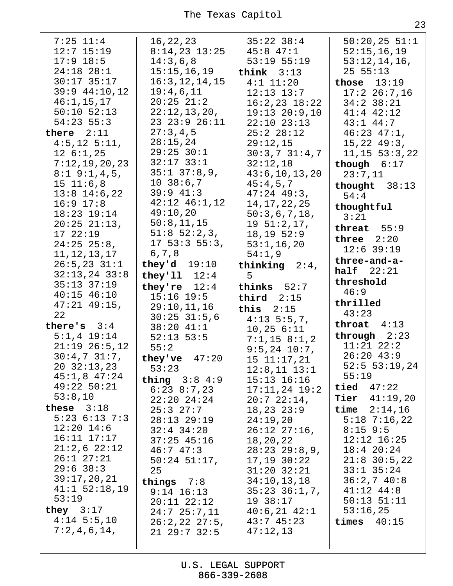| $7:25$ $11:4$       | 16, 22, 23         | $35:22$ $38:4$     | 50:20,25 51:1          |
|---------------------|--------------------|--------------------|------------------------|
|                     |                    |                    |                        |
| $12:7$ $15:19$      | $8:14,23$ 13:25    | $45:8$ $47:1$      | 52:15,16,19            |
| $17:9$ 18:5         | 14:3,6,8           | $53:19$ $55:19$    | 53:12,14,16,           |
| $24:18$ $28:1$      | 15:15,16,19        | think $3:13$       | 25 55:13               |
| $30:17$ 35:17       | 16:3, 12, 14, 15   | $4:1$ 11:20        | those $13:19$          |
| $39:9$ 44:10,12     | 19:4,6,11          |                    |                        |
|                     |                    | $12:13$ $13:7$     | $17:2$ 26:7,16         |
| 46:1, 15, 17        | $20:25$ $21:2$     | $16:2,23$ $18:22$  | $34:2$ $38:21$         |
| $50:10$ $52:13$     | 22:12,13,20,       | $19:13$ $20:9,10$  | $41:4$ $42:12$         |
| $54:23$ 55:3        | 23 23:9 26:11      | $22:10$ $23:13$    | $43:1$ $44:7$          |
| there $2:11$        | 27:3,4,5           | 25:228:12          | $46:23$ $47:1$ ,       |
| $4:5, 12$ $5:11,$   | 28:15,24           | 29:12,15           | 15, 22, 49:3,          |
|                     | $29:25$ 30:1       |                    |                        |
| 12, 6:1, 25         |                    | 30:3,731:4,7       | $11, 15$ 53:3, 22      |
| 7:12,19,20,23       | $32:17$ $33:1$     | 32:12,18           | though $6:17$          |
| $8:1$ 9:1, 4, 5,    | $35:1$ $37:8,9$ ,  | 43:6, 10, 13, 20   | 23:7,11                |
| $15 \t11:6.8$       | 10, 38:6, 7        | 45:4,5,7           | thought $38:13$        |
| $13:8$ $14:6,22$    | $39:9$ $41:3$      | $47:24$ $49:3$ ,   |                        |
| $16:9$ $17:8$       | $42:12$ $46:1,12$  |                    | 54:4                   |
|                     |                    | 14, 17, 22, 25     | thoughtful             |
| 18:23 19:14         | 49:10,20           | 50:3,6,7,18,       | 3:21                   |
| $20:25$ $21:13$ ,   | 50:8, 11, 15       | 19 51:2,17,        | threat $55:9$          |
| 1722:19             | $51:8$ $52:2,3$ ,  | $18, 19$ 52:9      |                        |
| $24:25$ $25:8$ ,    | $17\,53:3\,55:3,$  | 53:1, 16, 20       | three $2:20$           |
| 11, 12, 13, 17      | 6,7,8              | 54:1,9             | $12:6$ 39:19           |
| $26:5, 23$ $31:1$   | they'd $19:10$     | thinking $2:4$ ,   | three-and-a-           |
|                     |                    |                    | half $22:21$           |
| $32:13,24$ 33:8     | they'll $12:4$     | 5                  | threshold              |
| $35:13$ $37:19$     | they're $12:4$     | thinks $52:7$      | 46:9                   |
| $40:15$ $46:10$     | $15:16$ 19:5       | third $2:15$       |                        |
| $47:21$ $49:15$ ,   | 29:10,11,16        | this $2:15$        | thrilled               |
| 22                  | $30:25$ $31:5,6$   | $4:13\ 5:5,7,$     | 43:23                  |
| there's $3:4$       | 38:20 41:1         |                    | throat $4:13$          |
| $5:1,4$ 19:14       | $52:13$ $53:5$     | $10, 25$ $6:11$    | through $2:23$         |
|                     |                    | $7:1,15$ 8:1,2     | $11:21$ $22:2$         |
| $21:19$ $26:5,12$   | 55:2               | $9:5, 24$ 10:7,    |                        |
| 30:4,731:7,         | they've $47:20$    | 15 11:17,21        | $26:20$ 43:9           |
| $20 \quad 32:13,23$ | 53:23              | $12:8,11$ $13:1$   | $52:5$ 53:19,24        |
| $45:1,8$ $47:24$    |                    |                    |                        |
|                     |                    |                    | 55:19                  |
| $49:22$ 50:21       | thing $3:84:9$     | $15:13$ $16:16$    |                        |
|                     | $6:23$ $8:7,23$    | $17:11,24$ 19:2    | tied $47:22$           |
| 53:8,10             | $22:20$ $24:24$    | $20:7$ $22:14$ ,   | <b>Tier</b> $41:19,20$ |
| these $3:18$        | 25:327:7           | $18, 23$ $23:9$    | time $2:14,16$         |
| $5:23$ $6:13$ $7:3$ | $28:13$ $29:19$    | 24:19,20           | $5:18$ 7:16,22         |
| $12:20$ 14:6        | $32:4$ $34:20$     | $26:12$ $27:16$ ,  | $8:15$ 9:5             |
| $16:11$ $17:17$     | $37:25$ 45:16      | 18,20,22           | $12:12$ $16:25$        |
| $21:2,6$ $22:12$    | 46:747:3           |                    | $18:4$ 20:24           |
| $26:1$ $27:21$      |                    | $28:23$ $29:8,9$ , |                        |
|                     | $50:24$ 51:17,     | $17,19$ $30:22$    | $21:8$ 30:5,22         |
| $29:6$ 38:3         | 25                 | $31:20$ $32:21$    | $33:1$ $35:24$         |
| 39:17,20,21         | things $7:8$       | 34:10,13,18        | 36:2,740:8             |
| $41:1$ 52:18,19     | $9:14$ 16:13       | $35:23$ $36:1,7$ , | $41:12$ $44:8$         |
| 53:19               | $20:11$ $22:12$    | 19 38:17           | $50:13$ $51:11$        |
| they $3:17$         | $24:7$ $25:7,11$   | $40:6,21$ $42:1$   | 53:16,25               |
| $4:14$ 5:5,10       |                    | 43:745:23          | times $40:15$          |
| 7:2,4,6,14,         | 26:2, 22 27:5,     |                    |                        |
|                     | $21$ $29:7$ $32:5$ | 47:12,13           |                        |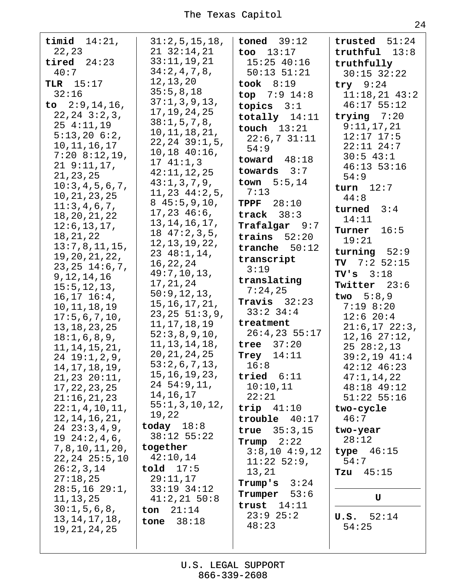| timid $14:21$ ,<br>22,23<br>tired $24:23$<br>40:7<br>TLR $15:17$<br>32:16<br>to $2:9,14,16$ ,<br>$22, 24$ $3:2, 3$ ,<br>$25 \t4:11,19$<br>$5:13,20$ $6:2,$<br>10, 11, 16, 17<br>$7:20$ 8:12,19,<br>219:11,17,<br>21, 23, 25<br>10:3,4,5,6,7,<br>10, 21, 23, 25<br>11:3,4,6,7,<br>18, 20, 21, 22<br>12:6, 13, 17,<br>18, 21, 22<br>13:7,8,11,15,<br>19, 20, 21, 22,<br>$23, 25$ $14:6, 7,$<br>9, 12, 14, 16<br>15:5, 12, 13,<br>$16, 17$ $16:4$ ,<br>10, 11, 18, 19<br>17:5,6,7,10,<br>13, 18, 23, 25<br>18:1,6,8,9,<br>11, 14, 15, 21,<br>$24$ $19:1, 2, 9$ ,<br>14, 17, 18, 19,<br>21, 23, 20:11,<br>17, 22, 23, 25<br>21:16,21,23<br>22:1, 4, 10, 11,<br>12, 14, 16, 21,<br>$24$ $23:3,4,9$ ,<br>$19\ \ 24:2,4,6,$<br>7, 8, 10, 11, 20,<br>$22, 24$ $25:5, 10$<br>26:2,3,14<br>27:18,25<br>$28:5, 16$ $29:1,$<br>11, 13, 25<br>30:1, 5, 6, 8,<br>13, 14, 17, 18,<br>19, 21, 24, 25 | 31:2,5,15,18,<br>$21 \t32:14,21$<br>33:11,19,21<br>34:2,4,7,8,<br>12, 13, 20<br>35:5,8,18<br>37:1, 3, 9, 13,<br>17, 19, 24, 25<br>38:1, 5, 7, 8,<br>10, 11, 18, 21,<br>$22, 24$ $39:1, 5,$<br>$10,18$ $40:16$ ,<br>1741:1,3<br>42:11,12,25<br>43:1,3,7,9,<br>11, 23, 44:2, 5,<br>845:5,9,10,<br>$17,23$ $46:6$ ,<br>13, 14, 16, 17,<br>1847:2,3,5,<br>12, 13, 19, 22,<br>$23 \t48:1,14,$<br>16, 22, 24<br>49:7,10,13,<br>17, 21, 24<br>50:9, 12, 13,<br>15, 16, 17, 21,<br>$23, 25$ 51:3,9,<br>11, 17, 18, 19<br>52:3,8,9,10,<br>11, 13, 14, 18,<br>20, 21, 24, 25<br>53:2,6,7,13,<br>15, 16, 19, 23,<br>$24\ \,54:9,11,$<br>14,16,17<br>55:1,3,10,12,<br>19,22<br>today $18:8$<br>$38:12$ 55:22<br>together<br>42:10,14<br>$\text{told}$ 17:5<br>29:11,17<br>$33:19$ $34:12$<br>$41:2,21$ 50:8<br>ton $21:14$<br>38:18<br>tone | $toned$ $39:12$<br>too $13:17$<br>$15:25$ 40:16<br>$50:13$ $51:21$<br>took $8:19$<br>top $7:9$ 14:8<br>topics $3:1$<br>totally $14:11$<br>touch $13:21$<br>22:6,731:11<br>54:9<br>toward $48:18$<br>towards $3:7$<br>town $5:5,14$<br>7:13<br>TPPF $28:10$<br>track $38:3$<br>Trafalgar 9:7<br>trains $52:20$<br>tranche $50:12$<br>transcript<br>3:19<br>translating<br>7:24,25<br>Travis $32:23$<br>$33:2$ $34:4$<br>treatment<br>$26:4,23$ 55:17<br>tree $37:20$<br>Trey $14:11$<br>16:8<br>tried $6:11$<br>10:10,11<br>22:21<br>trip $41:10$<br>$trouble$ 40:17<br>true $35:3,15$<br>Trump $2:22$<br>$3:8,10$ 4:9,12<br>$11:22$ 52:9,<br>13,21<br>Trump's $3:24$<br>Trumper $53:6$<br>trust $14:11$<br>$23:9$ $25:2$<br>48:23 | trusted $51:24$<br>$truthful$ $13:8$<br>truthfully<br>$30:15$ $32:22$<br>try $9:24$<br>$11:18,21$ 43:2<br>$46:17$ 55:12<br>trying $7:20$<br>9:11,17,21<br>$12:17$ $17:5$<br>$22:11$ $24:7$<br>$30:5$ 43:1<br>$46:13$ 53:16<br>54:9<br>turn $12:7$<br>44:8<br>turned $3:4$<br>14:11<br>Turner<br>16:5<br>19:21<br>turning $52:9$<br>TV $7:2$ 52:15<br>$TV's$ 3:18<br>Twitter 23:6<br>two $5:8,9$<br>$7:19$ 8:20<br>12:6 20:4<br>$21:6, 17$ $22:3,$<br>$12, 16$ $27:12,$<br>$25\ \ 28:2,13$<br>$39:2,19$ $41:4$<br>42:12 46:23<br>47:1,14,22<br>48:18 49:12<br>$51:22$ $55:16$<br>two-cycle<br>46:7<br>two-year<br>28:12<br>type $46:15$<br>54:7<br>45:15<br>Tzu<br>$\mathbf U$<br>52:14<br>U.S.<br>54:25 |
|--------------------------------------------------------------------------------------------------------------------------------------------------------------------------------------------------------------------------------------------------------------------------------------------------------------------------------------------------------------------------------------------------------------------------------------------------------------------------------------------------------------------------------------------------------------------------------------------------------------------------------------------------------------------------------------------------------------------------------------------------------------------------------------------------------------------------------------------------------------------------------------|---------------------------------------------------------------------------------------------------------------------------------------------------------------------------------------------------------------------------------------------------------------------------------------------------------------------------------------------------------------------------------------------------------------------------------------------------------------------------------------------------------------------------------------------------------------------------------------------------------------------------------------------------------------------------------------------------------------------------------------------------------------------------------------------------------------------------------|-----------------------------------------------------------------------------------------------------------------------------------------------------------------------------------------------------------------------------------------------------------------------------------------------------------------------------------------------------------------------------------------------------------------------------------------------------------------------------------------------------------------------------------------------------------------------------------------------------------------------------------------------------------------------------------------------------------------------------------|---------------------------------------------------------------------------------------------------------------------------------------------------------------------------------------------------------------------------------------------------------------------------------------------------------------------------------------------------------------------------------------------------------------------------------------------------------------------------------------------------------------------------------------------------------------------------------------------------------------------------------------------------------------------------------------------------------|
|--------------------------------------------------------------------------------------------------------------------------------------------------------------------------------------------------------------------------------------------------------------------------------------------------------------------------------------------------------------------------------------------------------------------------------------------------------------------------------------------------------------------------------------------------------------------------------------------------------------------------------------------------------------------------------------------------------------------------------------------------------------------------------------------------------------------------------------------------------------------------------------|---------------------------------------------------------------------------------------------------------------------------------------------------------------------------------------------------------------------------------------------------------------------------------------------------------------------------------------------------------------------------------------------------------------------------------------------------------------------------------------------------------------------------------------------------------------------------------------------------------------------------------------------------------------------------------------------------------------------------------------------------------------------------------------------------------------------------------|-----------------------------------------------------------------------------------------------------------------------------------------------------------------------------------------------------------------------------------------------------------------------------------------------------------------------------------------------------------------------------------------------------------------------------------------------------------------------------------------------------------------------------------------------------------------------------------------------------------------------------------------------------------------------------------------------------------------------------------|---------------------------------------------------------------------------------------------------------------------------------------------------------------------------------------------------------------------------------------------------------------------------------------------------------------------------------------------------------------------------------------------------------------------------------------------------------------------------------------------------------------------------------------------------------------------------------------------------------------------------------------------------------------------------------------------------------|

24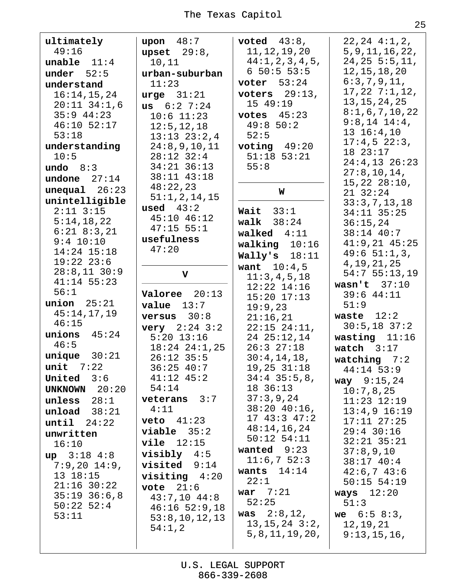| ultimately           | upon $48:7$                  | voted $43:8$ ,                    | $22, 24$ $4:1, 2,$              |
|----------------------|------------------------------|-----------------------------------|---------------------------------|
| 49:16                | upset $29:8$ ,               | 11, 12, 19, 20                    | 5, 9, 11, 16, 22,               |
| unable $11:4$        | 10,11                        | 44:1, 2, 3, 4, 5,                 | $24, 25$ 5:5, 11,               |
| under $52:5$         | urban-suburban               | 650:553:5                         | 12, 15, 18, 20                  |
| understand           | 11:23                        | voter $53:24$                     | 6:3,7,9,11,                     |
| 16:14,15,24          | urge $31:21$                 | voters $29:13$ ,                  | 17, 22, 7:1, 12,                |
| $20:11$ 34:1,6       | us $6:2$ 7:24                | 15 49:19                          | 13, 15, 24, 25                  |
| $35:9$ 44:23         | $10:6$ 11:23                 | votes $45:23$                     | 8:1,6,7,10,22                   |
| 46:10 52:17          | 12:5, 12, 18                 | 49:850:2                          | $9:8,14$ $14:4,$                |
| 53:18                | $13:13$ $23:2,4$             | 52:5                              | $13 \t16:4,10$                  |
| understanding        | 24:8,9,10,11                 | voting $49:20$                    | $17:4,5$ 22:3,                  |
| 10:5                 | 28:12 32:4                   | $51:18$ $53:21$                   | 18 23:17                        |
| undo $8:3$           | $34:21$ $36:13$              | 55:8                              | $24:4,13$ $26:23$               |
| undone $27:14$       | 38:11 43:18                  |                                   | 27:8, 10, 14,                   |
| unequal 26:23        | 48:22,23                     | W                                 | $15, 22$ $28:10$ ,              |
| unintelligible       | 51:1, 2, 14, 15              |                                   | 2132:24                         |
| $2:11$ $3:15$        | used $43:2$                  | Wait $33:1$                       | 33:3,7,13,18                    |
| 5:14,18,22           | $45:10$ $46:12$              | walk $38:24$                      | 34:11 35:25                     |
| $6:21$ $8:3,21$      | $47:15$ 55:1                 | walked $4:11$                     | 36:15,24<br>38:14 40:7          |
| $9:4$ 10:10          | usefulness                   |                                   | $41:9,21$ $45:25$               |
| $14:24$ $15:18$      | 47:20                        | walking $10:16$                   | 49:651:1,3,                     |
| $19:22$ $23:6$       |                              | Wally's $18:11$                   | 4, 19, 21, 25                   |
| $28:8,11$ 30:9       | $\mathbf v$                  | <b>want</b> $10:4,5$              | 54:755:13,19                    |
| $41:14$ 55:23        |                              | 11:3,4,5,18                       | wasn't $37:10$                  |
| 56:1                 | Valoree 20:13                | $12:22$ $14:16$                   | $39:6$ 44:11                    |
| union $25:21$        | $value$ 13:7                 | $15:20$ $17:13$                   | 51:9                            |
| 45:14,17,19          |                              | 19:9,23                           | waste $12:2$                    |
| 46:15                | versus $30:8$                | 21:16,21                          | $30:5,18$ 37:2                  |
| unions $45:24$       | <b>very</b> $2:24$ $3:2$     | $22:15$ $24:11$ ,                 |                                 |
| 46:5                 | $5:20$ 13:16                 | 24 25:12,14<br>26:327:18          | wasting $11:16$                 |
| $unique$ 30:21       | $18:24$ $24:1,25$            |                                   | watch $3:17$                    |
| $unit$ 7:22          | $26:12$ 35:5<br>$36:25$ 40:7 | 30:4,14,18,                       | watching $7:2$                  |
| United $3:6$         | $41:12$ $45:2$               | $19,25$ $31:18$<br>$34:4$ 35:5,8, | $44:14$ 53:9                    |
|                      | 54:14                        | 18 36:13                          | <b>way</b> $9:15,24$            |
| <b>UNKNOWN</b> 20:20 | $veterans$ 3:7               | 37:3,9,24                         | 10:7,8,25                       |
| unless $28:1$        | 4:11                         | $38:20$ 40:16,                    | $11:23$ $12:19$                 |
| unload $38:21$       |                              | $17$ $43:3$ $47:2$                | $13:4,9$ 16:19                  |
| until 24:22          | $veto$ $41:23$               | 48:14,16,24                       | $17:11$ $27:25$                 |
| unwritten            | $viable$ 35:2                | $50:12$ $54:11$                   | $29:4$ 30:16<br>$32:21$ $35:21$ |
| 16:10                | $vile$ $12:15$               | wanted $9:23$                     |                                 |
| $up$ 3:18 4:8        | $visibly 4:5$                | 11:6,752:3                        | 37:8,9,10<br>$38:17$ 40:4       |
| $7:9,20$ 14:9,       | $visited 9:14$               | wants $14:14$                     | 42:6,743:6                      |
| 13 18:15             | $visiting 4:20$              | 22:1                              | $50:15$ $54:19$                 |
| $21:16$ 30:22        | vote $21:6$                  | war $7:21$                        | ways $12:20$                    |
| $35:19$ $36:6,8$     | $43:7,10$ $44:8$             | 52:25                             | 51:3                            |
| $50:22$ 52:4         | $46:16$ 52:9,18              | <b>was</b> $2:8,12,$              |                                 |
| 53:11                | 53:8,10,12,13                | $13, 15, 24$ $3:2,$               | we $6:58:3$ ,                   |
|                      | 54:1,2                       | 5, 8, 11, 19, 20,                 | 12,19,21<br>9:13,15,16,         |
|                      |                              |                                   |                                 |
|                      |                              |                                   |                                 |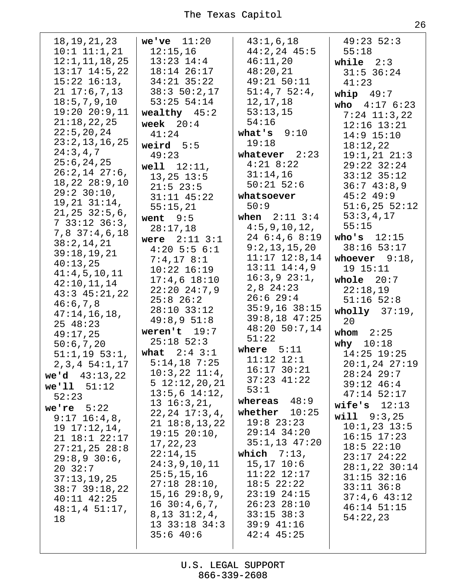| 18, 19, 21, 23<br>$10:1$ $11:1,21$<br>12:1, 11, 18, 25<br>$13:17$ $14:5$ , 22<br>$15:22$ $16:13$ ,<br>$21 \t17:6,7,13$<br>18:5,7,9,10<br>$19:20$ $20:9,11$<br>21:18,22,25<br>22:5, 20, 24<br>23:2,13,16,25<br>24:3,4,7<br>25:6, 24, 25<br>$26:2,14$ 27:6,<br>$18, 22$ $28:9, 10$<br>$29:2$ 30:10,<br>$19, 21$ $31:14$ ,<br>$21, 25$ $32:5, 6,$<br>$7\,33:12\,36:3,$<br>$7,8$ 37:4,6,18<br>38:2,14,21<br>39:18,19,21<br>40:13,25<br>41:4,5,10,11<br>42:10,11,14<br>$43:3$ $45:21,22$<br>46:6,7,8<br>47:14,16,18,<br>25 48:23<br>49:17,25<br>50:6,7,20<br>$51:1,19$ 53:1,<br>2,3,4 54:1,17<br>we'd $43:13,22$<br>we'll 51:12<br>52:23<br>we're $5:22$<br>$9:17$ $16:4,8$ ,<br>19 17:12,14,<br>$21$ $18:1$ $22:17$<br>$27:21,25$ $28:8$<br>$29:8,9$ 30:6,<br>2032:7<br>37:13,19,25<br>$38:7$ 39:18,22<br>$40:11$ $42:25$<br>48:1, 451:17,<br>18 | we've $11:20$<br>12:15,16<br>$13:23$ $14:4$<br>18:14 26:17<br>$34:21$ $35:22$<br>38:350:2,17<br>$53:25$ $54:14$<br>wealthy $45:2$<br>week $20:4$<br>41:24<br>weird $5:5$<br>49:23<br>$well$ $12:11$ ,<br>$13, 25$ $13:5$<br>$21:5$ 23:5<br>$31:11$ $45:22$<br>55:15,21<br>went $9:5$<br>28:17,18<br>were $2:11$ $3:1$<br>$4:20$ 5:5 6:1<br>$7:4,17$ 8:1<br>$10:22$ $16:19$<br>$17:4,6$ $18:10$<br>$22:20$ $24:7,9$<br>$25:8$ 26:2<br>$28:10$ $33:12$<br>49:8,951:8<br>weren't $19:7$<br>$25:18$ 52:3<br>what $2:4$ $3:1$<br>$5:14,18$ 7:25<br>$10:3,22$ $11:4$ ,<br>$5\;12:12,20,21$<br>$13:5,6$ $14:12,$<br>$13\;16:3,21,$<br>$22, 24$ $17:3, 4$ ,<br>$21 \t18:8,13,22$<br>$19:15$ $20:10$ ,<br>17, 22, 23<br>22:14,15<br>24:3,9,10,11<br>25:5, 15, 16<br>$27:18$ $28:10$ ,<br>$15, 16$ $29:8, 9,$<br>$16\ \ 30:4,6,7,$<br>8, 13, 31:2, 4,<br>$13 \t33:18 \t34:3$ | 43:1,6,18<br>$44:2, 24$ $45:5$<br>46:11,20<br>48:20,21<br>49:21 50:11<br>51:4,752:4,<br>12, 17, 18<br>53:13,15<br>54:16<br>what's $9:10$<br>19:18<br>whatever $2:23$<br>$4:21$ 8:22<br>31:14,16<br>$50:21$ 52:6<br>whatsoever<br>50:9<br>when $2:11 \ 3:4$<br>4:5, 9, 10, 12,<br>246::468:19<br>9:2,13,15,20<br>$11:17$ $12:8,14$<br>$13:11$ $14:4,9$<br>$16:3,9$ $23:1,$<br>$2,8$ $24:23$<br>$26:6$ 29:4<br>$35:9,16$ $38:15$<br>$39:8,18$ 47:25<br>48:20 50:7,14<br>51:22<br>where $5:11$<br>$11:12$ $12:1$<br>$16:17$ 30:21<br>$37:23$ $41:22$<br>53:1<br>whereas $48:9$<br>whether<br>10:25<br>$19:8$ $23:23$<br>29:14 34:20<br>$35:1,13$ $47:20$<br>which $7:13$ ,<br>$15, 17$ $10:6$<br>$11:22$ $12:17$<br>$18:5$ 22:22<br>$23:19$ $24:15$<br>$26:23$ $28:10$<br>$33:15$ $38:3$<br>$39:9$ 41:16 | $49:23$ 52:3<br>55:18<br>while $2:3$<br>$31:5$ 36:24<br>41:23<br>whip $49:7$<br>who $4:17 \t6:23$<br>$7:24$ 11:3,22<br>$12:16$ $13:21$<br>$14:9$ 15:10<br>18:12,22<br>$19:1,21$ $21:3$<br>$29:22$ $32:24$<br>$33:12$ $35:12$<br>36:743:8,9<br>$45:2$ $49:9$<br>$51:6,25$ 52:12<br>53:3,4,17<br>55:15<br>who's $12:15$<br>38:16 53:17<br>whoever $9:18$ ,<br>19 15:11<br>whole $20:7$<br>22:18,19<br>$51:16$ $52:8$<br>wholly $37:19$ ,<br>20<br>whom $2:25$<br>why $10:18$<br>$14:25$ 19:25<br>$20:1, 24$ $27:19$<br>$28:24$ 29:7<br>$39:12 \ 46:4$<br>$47:14$ 52:17<br>wife's $12:13$<br>will 9:3,25<br>$10:1,23$ 13:5<br>$16:15$ $17:23$<br>$18:5$ 22:10<br>$23:17$ $24:22$<br>$28:1, 22$ 30:14<br>$31:15$ $32:16$<br>$33:11$ $36:8$<br>$37:4,6$ 43:12<br>$46:14$ 51:15<br>54:22,23 |
|----------------------------------------------------------------------------------------------------------------------------------------------------------------------------------------------------------------------------------------------------------------------------------------------------------------------------------------------------------------------------------------------------------------------------------------------------------------------------------------------------------------------------------------------------------------------------------------------------------------------------------------------------------------------------------------------------------------------------------------------------------------------------------------------------------------------------------------------|--------------------------------------------------------------------------------------------------------------------------------------------------------------------------------------------------------------------------------------------------------------------------------------------------------------------------------------------------------------------------------------------------------------------------------------------------------------------------------------------------------------------------------------------------------------------------------------------------------------------------------------------------------------------------------------------------------------------------------------------------------------------------------------------------------------------------------------------------------------------|-------------------------------------------------------------------------------------------------------------------------------------------------------------------------------------------------------------------------------------------------------------------------------------------------------------------------------------------------------------------------------------------------------------------------------------------------------------------------------------------------------------------------------------------------------------------------------------------------------------------------------------------------------------------------------------------------------------------------------------------------------------------------------------------------------|---------------------------------------------------------------------------------------------------------------------------------------------------------------------------------------------------------------------------------------------------------------------------------------------------------------------------------------------------------------------------------------------------------------------------------------------------------------------------------------------------------------------------------------------------------------------------------------------------------------------------------------------------------------------------------------------------------------------------------------------------------------------------------------|
|                                                                                                                                                                                                                                                                                                                                                                                                                                                                                                                                                                                                                                                                                                                                                                                                                                              | 35:640:6                                                                                                                                                                                                                                                                                                                                                                                                                                                                                                                                                                                                                                                                                                                                                                                                                                                           | $42:4$ $45:25$                                                                                                                                                                                                                                                                                                                                                                                                                                                                                                                                                                                                                                                                                                                                                                                        |                                                                                                                                                                                                                                                                                                                                                                                                                                                                                                                                                                                                                                                                                                                                                                                       |

U.S. LEGAL SUPPORT 866-339-2608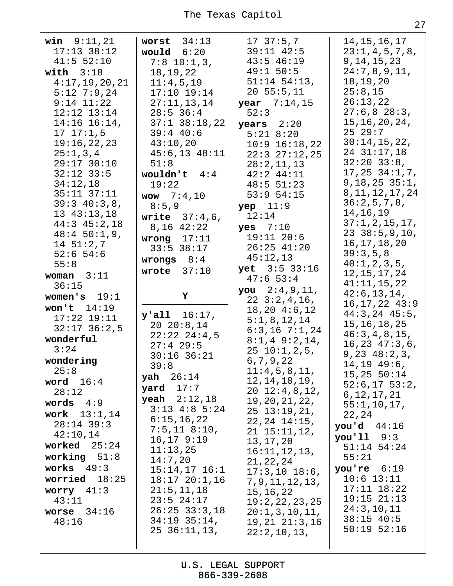| <b>win</b> $9:11,21$<br>$17:13$ 38:12<br>41:5 52:10<br>with $3:18$<br>4:17,19,20,21<br>$5:12$ 7:9,24<br>$9:14$ $11:22$<br>$12:12$ $13:14$<br>$14:16$ $16:14$ ,<br>17, 17:1, 5<br>19:16,22,23<br>25:1,3,4<br>29:17 30:10<br>$32:12$ $33:5$<br>34:12,18<br>$35:11$ $37:11$<br>39:340:3,8,<br>13 43:13,18<br>$44:3$ $45:2,18$<br>$48:450:1,9$ ,<br>$14 \ 51:2,7$<br>$52:6$ 54:6<br>55:8<br>woman $3:11$<br>36:15<br>women's $19:1$<br>won't $14:19$<br>$17:22$ $19:11$<br>$32:17$ $36:2,5$<br>wonderful<br>3:24<br>wondering<br>25:8<br>word $16:4$<br>28:12<br>words $4:9$ | worst $34:13$<br>would $6:20$<br>$7:8$ 10:1,3,<br>18, 19, 22<br>11:4,5,19<br>$17:10$ $19:14$<br>27:11,13,14<br>$28:5$ 36:4<br>$37:1$ $38:18,22$<br>$39:4$ 40:6<br>43:10,20<br>$45:6,13$ $48:11$<br>51:8<br>wouldn't $4:4$<br>19:22<br><b>wow</b> $7:4,10$<br>8:5,9<br><b>write</b> $37:4,6$ ,<br>$8,16$ 42:22<br>wrong $17:11$<br>$33:5$ $38:17$<br>wrongs $8:4$<br>wrote $37:10$<br>Υ<br>$y$ 'all $16:17$ ,<br>$20\ \ 20:8,14$<br>$22:22$ $24:4,5$<br>$27:4$ 29:5<br>$30:16$ $36:21$<br>39:8<br>$\text{yah}$ 26:14<br>yard $17:7$<br><b>yeah</b> $2:12,18$<br>$3:13$ 4:8 5:24 | 17, 37:5, 7<br>$39:11$ $42:5$<br>$43:5$ 46:19<br>49:1 50:5<br>$51:14$ $54:13$ ,<br>20, 55:5, 11<br><b>year</b> $7:14,15$<br>52:3<br>$years$ $2:20$<br>$5:21$ $8:20$<br>$10:9$ $16:18,22$<br>$22:3$ $27:12,25$<br>28:2,11,13<br>$42:2$ $44:11$<br>48:5 51:23<br>$53:9$ $54:15$<br>$yep$ 11:9<br>12:14<br>yes $7:10$<br>$19:11$ $20:6$<br>$26:25$ 41:20<br>45:12,13<br>yet 3:5 33:16<br>47:653:4<br><b>you</b> $2:4,9,11,$<br>$22 \t3:2,4,16,$<br>$18,20$ $4:6,12$<br>5:1,8,12,14<br>$6:3,16$ 7:1,24<br>$8:1,4$ 9:2,14,<br>2510:1, 2, 5,<br>6,7,9,22<br>11:4,5,8,11,<br>12, 14, 18, 19,<br>$20 \t12:4,8,12,$<br>19, 20, 21, 22,<br>$25 \t13:19,21,$ | 14, 15, 16, 17<br>23:1,4,5,7,8,<br>9, 14, 15, 23<br>24:7,8,9,11,<br>18, 19, 20<br>25:8,15<br>26:13,22<br>27:6,828:3,<br>15, 16, 20, 24,<br>2529:7<br>30:14,15,22,<br>24 31:17,18<br>$32:20$ $33:8$ ,<br>$17, 25$ $34:1, 7,$<br>$9,18,25$ $35:1$ ,<br>8, 11, 12, 17, 24<br>36:2,5,7,8,<br>14, 16, 19<br>37:1, 2, 15, 17,<br>$23$ $38:5,9,10$ ,<br>16, 17, 18, 20<br>39:3,5,8<br>40:1, 2, 3, 5,<br>12, 15, 17, 24<br>41:11,15,22<br>42:6, 13, 14,<br>$16, 17, 22$ $43:9$<br>$44:3,24$ $45:5,$<br>15, 16, 18, 25<br>46:3, 4, 8, 15,<br>16, 23, 47:3, 6,<br>9, 23, 48:2, 3,<br>$14, 19$ $49:6$ ,<br>15,25,50:14<br>$52:6, 17$ 53:2,<br>6, 12, 17, 21<br>55:1, 10, 17, |
|--------------------------------------------------------------------------------------------------------------------------------------------------------------------------------------------------------------------------------------------------------------------------------------------------------------------------------------------------------------------------------------------------------------------------------------------------------------------------------------------------------------------------------------------------------------------------|--------------------------------------------------------------------------------------------------------------------------------------------------------------------------------------------------------------------------------------------------------------------------------------------------------------------------------------------------------------------------------------------------------------------------------------------------------------------------------------------------------------------------------------------------------------------------------|---------------------------------------------------------------------------------------------------------------------------------------------------------------------------------------------------------------------------------------------------------------------------------------------------------------------------------------------------------------------------------------------------------------------------------------------------------------------------------------------------------------------------------------------------------------------------------------------------------------------------------------------------|-------------------------------------------------------------------------------------------------------------------------------------------------------------------------------------------------------------------------------------------------------------------------------------------------------------------------------------------------------------------------------------------------------------------------------------------------------------------------------------------------------------------------------------------------------------------------------------------------------------------------------------------------------------------|
| work $13:1,14$<br>$28:14$ 39:3<br>42:10,14<br>worked $25:24$<br>working $51:8$<br>works $49:3$<br>worried $18:25$<br>worry $41:3$<br>43:11<br>worse $34:16$<br>48:16                                                                                                                                                                                                                                                                                                                                                                                                     | 6:15,16,22<br>$7:5,11$ 8:10,<br>$16, 17$ 9:19<br>11:13,25<br>14:7,20<br>$15:14,17$ $16:1$<br>$18:17$ $20:1,16$<br>21:5, 11, 18<br>$23:5$ $24:17$<br>$26:25$ $33:3,18$<br>$34:19$ $35:14$ ,<br>$25\ \ 36:11,13,$                                                                                                                                                                                                                                                                                                                                                                | $22, 24$ $14:15$ ,<br>$21 \t15:11,12,$<br>13, 17, 20<br>16:11, 12, 13,<br>21, 22, 24<br>$17:3,10$ $18:6,$<br>7, 9, 11, 12, 13,<br>15, 16, 22<br>19:2,22,23,25<br>20:1, 3, 10, 11,<br>$19, 21$ $21:3, 16$<br>22:2,10,13,                                                                                                                                                                                                                                                                                                                                                                                                                           | 22,24<br>you'd $44:16$<br>$you'11$ $9:3$<br>$51:14$ 54:24<br>55:21<br>you're $6:19$<br>$10:6$ $13:11$<br>$17:11$ $18:22$<br>$19:15$ $21:13$<br>24:3,10,11<br>$38:15$ 40:5<br>$50:19$ $52:16$                                                                                                                                                                                                                                                                                                                                                                                                                                                                      |